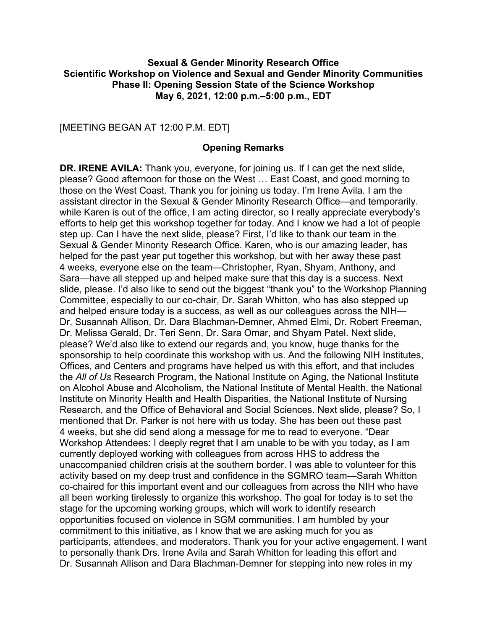### **Sexual & Gender Minority Research Office Scientific Workshop on Violence and Sexual and Gender Minority Communities Phase II: Opening Session State of the Science Workshop May 6, 2021, 12:00 p.m.–5:00 p.m., EDT**

[MEETING BEGAN AT 12:00 P.M. EDT]

### **Opening Remarks**

 while Karen is out of the office, I am acting director, so I really appreciate everybody's Sara—have all stepped up and helped make sure that this day is a success. Next Committee, especially to our co-chair, Dr. Sarah Whitton, who has also stepped up currently deployed working with colleagues from across HHS to address the co-chaired for this important event and our colleagues from across the NIH who have to personally thank Drs. Irene Avila and Sarah Whitton for leading this effort and **DR. IRENE AVILA:** Thank you, everyone, for joining us. If I can get the next slide, please? Good afternoon for those on the West … East Coast, and good morning to those on the West Coast. Thank you for joining us today. I'm Irene Avila. I am the assistant director in the Sexual & Gender Minority Research Office—and temporarily. efforts to help get this workshop together for today. And I know we had a lot of people step up. Can I have the next slide, please? First, I'd like to thank our team in the Sexual & Gender Minority Research Office. Karen, who is our amazing leader, has helped for the past year put together this workshop, but with her away these past 4 weeks, everyone else on the team—Christopher, Ryan, Shyam, Anthony, and slide, please. I'd also like to send out the biggest "thank you" to the Workshop Planning and helped ensure today is a success, as well as our colleagues across the NIH— Dr. Susannah Allison, Dr. Dara Blachman-Demner, Ahmed Elmi, Dr. Robert Freeman, Dr. Melissa Gerald, Dr. Teri Senn, Dr. Sara Omar, and Shyam Patel. Next slide, please? We'd also like to extend our regards and, you know, huge thanks for the sponsorship to help coordinate this workshop with us. And the following NIH Institutes, Offices, and Centers and programs have helped us with this effort, and that includes the *All of Us* Research Program, the National Institute on Aging, the National Institute on Alcohol Abuse and Alcoholism, the National Institute of Mental Health, the National Institute on Minority Health and Health Disparities, the National Institute of Nursing Research, and the Office of Behavioral and Social Sciences. Next slide, please? So, I mentioned that Dr. Parker is not here with us today. She has been out these past 4 weeks, but she did send along a message for me to read to everyone. "Dear Workshop Attendees: I deeply regret that I am unable to be with you today, as I am unaccompanied children crisis at the southern border. I was able to volunteer for this activity based on my deep trust and confidence in the SGMRO team—Sarah Whitton all been working tirelessly to organize this workshop. The goal for today is to set the stage for the upcoming working groups, which will work to identify research opportunities focused on violence in SGM communities. I am humbled by your commitment to this initiative, as I know that we are asking much for you as participants, attendees, and moderators. Thank you for your active engagement. I want Dr. Susannah Allison and Dara Blachman-Demner for stepping into new roles in my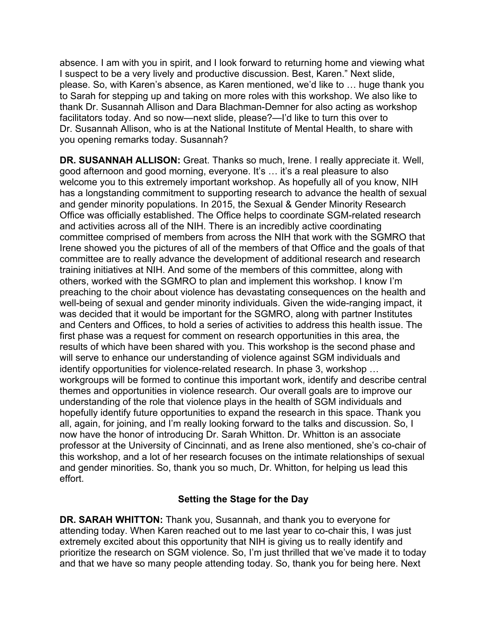I suspect to be a very lively and productive discussion. Best, Karen." Next slide, thank Dr. Susannah Allison and Dara Blachman-Demner for also acting as workshop Dr. Susannah Allison, who is at the National Institute of Mental Health, to share with absence. I am with you in spirit, and I look forward to returning home and viewing what please. So, with Karen's absence, as Karen mentioned, we'd like to … huge thank you to Sarah for stepping up and taking on more roles with this workshop. We also like to facilitators today. And so now—next slide, please?—I'd like to turn this over to you opening remarks today. Susannah?

 good afternoon and good morning, everyone. It's … it's a real pleasure to also and gender minority populations. In 2015, the Sexual & Gender Minority Research committee comprised of members from across the NIH that work with the SGMRO that Irene showed you the pictures of all of the members of that Office and the goals of that training initiatives at NIH. And some of the members of this committee, along with others, worked with the SGMRO to plan and implement this workshop. I know I'm will serve to enhance our understanding of violence against SGM individuals and identify opportunities for violence-related research. In phase 3, workshop … all, again, for joining, and I'm really looking forward to the talks and discussion. So, I now have the honor of introducing Dr. Sarah Whitton. Dr. Whitton is an associate professor at the University of Cincinnati, and as Irene also mentioned, she's co-chair of this workshop, and a lot of her research focuses on the intimate relationships of sexual and gender minorities. So, thank you so much, Dr. Whitton, for helping us lead this **DR. SUSANNAH ALLISON:** Great. Thanks so much, Irene. I really appreciate it. Well, welcome you to this extremely important workshop. As hopefully all of you know, NIH has a longstanding commitment to supporting research to advance the health of sexual Office was officially established. The Office helps to coordinate SGM-related research and activities across all of the NIH. There is an incredibly active coordinating committee are to really advance the development of additional research and research preaching to the choir about violence has devastating consequences on the health and well-being of sexual and gender minority individuals. Given the wide-ranging impact, it was decided that it would be important for the SGMRO, along with partner Institutes and Centers and Offices, to hold a series of activities to address this health issue. The first phase was a request for comment on research opportunities in this area, the results of which have been shared with you. This workshop is the second phase and workgroups will be formed to continue this important work, identify and describe central themes and opportunities in violence research. Our overall goals are to improve our understanding of the role that violence plays in the health of SGM individuals and hopefully identify future opportunities to expand the research in this space. Thank you effort.

# **Setting the Stage for the Day**

 **DR. SARAH WHITTON:** Thank you, Susannah, and thank you to everyone for attending today. When Karen reached out to me last year to co-chair this, I was just extremely excited about this opportunity that NIH is giving us to really identify and prioritize the research on SGM violence. So, I'm just thrilled that we've made it to today and that we have so many people attending today. So, thank you for being here. Next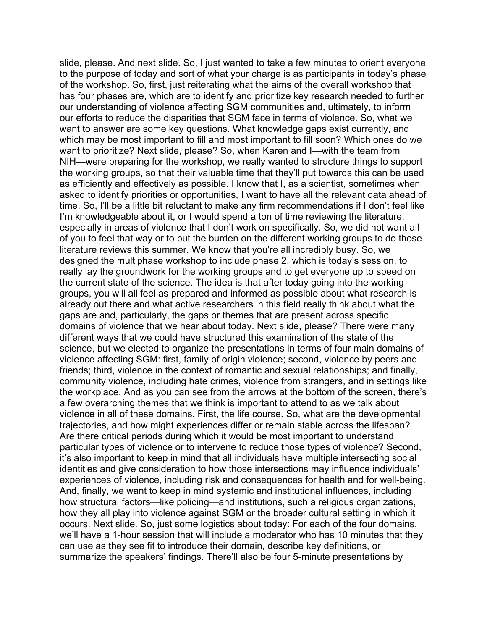has four phases are, which are to identify and prioritize key research needed to further our understanding of violence affecting SGM communities and, ultimately, to inform our efforts to reduce the disparities that SGM face in terms of violence. So, what we which may be most important to fill and most important to fill soon? Which ones do we want to prioritize? Next slide, please? So, when Karen and I—with the team from asked to identify priorities or opportunities, I want to have all the relevant data ahead of the current state of the science. The idea is that after today going into the working domains of violence that we hear about today. Next slide, please? There were many friends; third, violence in the context of romantic and sexual relationships; and finally, And, finally, we want to keep in mind systemic and institutional influences, including occurs. Next slide. So, just some logistics about today: For each of the four domains, we'll have a 1-hour session that will include a moderator who has 10 minutes that they summarize the speakers' findings. There'll also be four 5-minute presentations by slide, please. And next slide. So, I just wanted to take a few minutes to orient everyone to the purpose of today and sort of what your charge is as participants in today's phase of the workshop. So, first, just reiterating what the aims of the overall workshop that want to answer are some key questions. What knowledge gaps exist currently, and NIH—were preparing for the workshop, we really wanted to structure things to support the working groups, so that their valuable time that they'll put towards this can be used as efficiently and effectively as possible. I know that I, as a scientist, sometimes when time. So, I'll be a little bit reluctant to make any firm recommendations if I don't feel like I'm knowledgeable about it, or I would spend a ton of time reviewing the literature, especially in areas of violence that I don't work on specifically. So, we did not want all of you to feel that way or to put the burden on the different working groups to do those literature reviews this summer. We know that you're all incredibly busy. So, we designed the multiphase workshop to include phase 2, which is today's session, to really lay the groundwork for the working groups and to get everyone up to speed on groups, you will all feel as prepared and informed as possible about what research is already out there and what active researchers in this field really think about what the gaps are and, particularly, the gaps or themes that are present across specific different ways that we could have structured this examination of the state of the science, but we elected to organize the presentations in terms of four main domains of violence affecting SGM: first, family of origin violence; second, violence by peers and community violence, including hate crimes, violence from strangers, and in settings like the workplace. And as you can see from the arrows at the bottom of the screen, there's a few overarching themes that we think is important to attend to as we talk about violence in all of these domains. First, the life course. So, what are the developmental trajectories, and how might experiences differ or remain stable across the lifespan? Are there critical periods during which it would be most important to understand particular types of violence or to intervene to reduce those types of violence? Second, it's also important to keep in mind that all individuals have multiple intersecting social identities and give consideration to how those intersections may influence individuals' experiences of violence, including risk and consequences for health and for well-being. how structural factors—like policing—and institutions, such a religious organizations, how they all play into violence against SGM or the broader cultural setting in which it can use as they see fit to introduce their domain, describe key definitions, or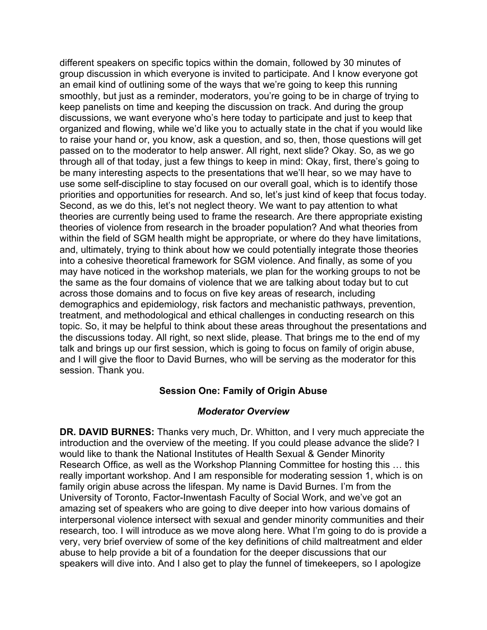organized and flowing, while we'd like you to actually state in the chat if you would like passed on to the moderator to help answer. All right, next slide? Okay. So, as we go through all of that today, just a few things to keep in mind: Okay, first, there's going to within the field of SGM health might be appropriate, or where do they have limitations, and, ultimately, trying to think about how we could potentially integrate those theories demographics and epidemiology, risk factors and mechanistic pathways, prevention, the discussions today. All right, so next slide, please. That brings me to the end of my different speakers on specific topics within the domain, followed by 30 minutes of group discussion in which everyone is invited to participate. And I know everyone got an email kind of outlining some of the ways that we're going to keep this running smoothly, but just as a reminder, moderators, you're going to be in charge of trying to keep panelists on time and keeping the discussion on track. And during the group discussions, we want everyone who's here today to participate and just to keep that to raise your hand or, you know, ask a question, and so, then, those questions will get be many interesting aspects to the presentations that we'll hear, so we may have to use some self-discipline to stay focused on our overall goal, which is to identify those priorities and opportunities for research. And so, let's just kind of keep that focus today. Second, as we do this, let's not neglect theory. We want to pay attention to what theories are currently being used to frame the research. Are there appropriate existing theories of violence from research in the broader population? And what theories from into a cohesive theoretical framework for SGM violence. And finally, as some of you may have noticed in the workshop materials, we plan for the working groups to not be the same as the four domains of violence that we are talking about today but to cut across those domains and to focus on five key areas of research, including treatment, and methodological and ethical challenges in conducting research on this topic. So, it may be helpful to think about these areas throughout the presentations and talk and brings up our first session, which is going to focus on family of origin abuse, and I will give the floor to David Burnes, who will be serving as the moderator for this session. Thank you.

## **Session One: Family of Origin Abuse**

## *Moderator Overview*

 **DR. DAVID BURNES:** Thanks very much, Dr. Whitton, and I very much appreciate the introduction and the overview of the meeting. If you could please advance the slide? I very, very brief overview of some of the key definitions of child maltreatment and elder would like to thank the National Institutes of Health Sexual & Gender Minority Research Office, as well as the Workshop Planning Committee for hosting this … this really important workshop. And I am responsible for moderating session 1, which is on family origin abuse across the lifespan. My name is David Burnes. I'm from the University of Toronto, Factor-Inwentash Faculty of Social Work, and we've got an amazing set of speakers who are going to dive deeper into how various domains of interpersonal violence intersect with sexual and gender minority communities and their research, too. I will introduce as we move along here. What I'm going to do is provide a abuse to help provide a bit of a foundation for the deeper discussions that our speakers will dive into. And I also get to play the funnel of timekeepers, so I apologize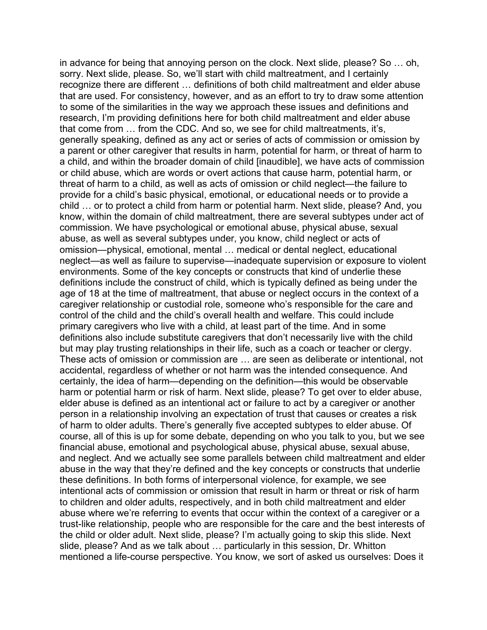in advance for being that annoying person on the clock. Next slide, please? So … oh, sorry. Next slide, please. So, we'll start with child maltreatment, and I certainly to some of the similarities in the way we approach these issues and definitions and a parent or other caregiver that results in harm, potential for harm, or threat of harm to a child, and within the broader domain of child [inaudible], we have acts of commission child … or to protect a child from harm or potential harm. Next slide, please? And, you know, within the domain of child maltreatment, there are several subtypes under act of commission. We have psychological or emotional abuse, physical abuse, sexual control of the child and the child's overall health and welfare. This could include definitions also include substitute caregivers that don't necessarily live with the child but may play trusting relationships in their life, such as a coach or teacher or clergy. harm or potential harm or risk of harm. Next slide, please? To get over to elder abuse, course, all of this is up for some debate, depending on who you talk to you, but we see intentional acts of commission or omission that result in harm or threat or risk of harm the child or older adult. Next slide, please? I'm actually going to skip this slide. Next mentioned a life-course perspective. You know, we sort of asked us ourselves: Does it recognize there are different … definitions of both child maltreatment and elder abuse that are used. For consistency, however, and as an effort to try to draw some attention research, I'm providing definitions here for both child maltreatment and elder abuse that come from … from the CDC. And so, we see for child maltreatments, it's, generally speaking, defined as any act or series of acts of commission or omission by or child abuse, which are words or overt actions that cause harm, potential harm, or threat of harm to a child, as well as acts of omission or child neglect—the failure to provide for a child's basic physical, emotional, or educational needs or to provide a abuse, as well as several subtypes under, you know, child neglect or acts of omission—physical, emotional, mental … medical or dental neglect, educational neglect—as well as failure to supervise—inadequate supervision or exposure to violent environments. Some of the key concepts or constructs that kind of underlie these definitions include the construct of child, which is typically defined as being under the age of 18 at the time of maltreatment, that abuse or neglect occurs in the context of a caregiver relationship or custodial role, someone who's responsible for the care and primary caregivers who live with a child, at least part of the time. And in some These acts of omission or commission are … are seen as deliberate or intentional, not accidental, regardless of whether or not harm was the intended consequence. And certainly, the idea of harm—depending on the definition—this would be observable elder abuse is defined as an intentional act or failure to act by a caregiver or another person in a relationship involving an expectation of trust that causes or creates a risk of harm to older adults. There's generally five accepted subtypes to elder abuse. Of financial abuse, emotional and psychological abuse, physical abuse, sexual abuse, and neglect. And we actually see some parallels between child maltreatment and elder abuse in the way that they're defined and the key concepts or constructs that underlie these definitions. In both forms of interpersonal violence, for example, we see to children and older adults, respectively, and in both child maltreatment and elder abuse where we're referring to events that occur within the context of a caregiver or a trust-like relationship, people who are responsible for the care and the best interests of slide, please? And as we talk about … particularly in this session, Dr. Whitton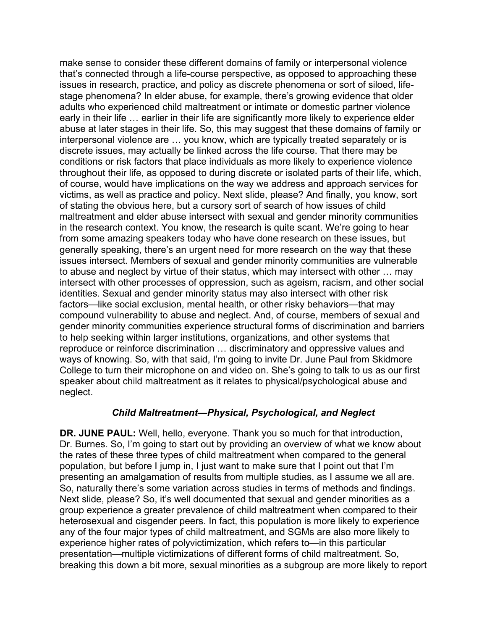stage phenomena? In elder abuse, for example, there's growing evidence that older conditions or risk factors that place individuals as more likely to experience violence to abuse and neglect by virtue of their status, which may intersect with other … may identities. Sexual and gender minority status may also intersect with other risk College to turn their microphone on and video on. She's going to talk to us as our first speaker about child maltreatment as it relates to physical/psychological abuse and make sense to consider these different domains of family or interpersonal violence that's connected through a life-course perspective, as opposed to approaching these issues in research, practice, and policy as discrete phenomena or sort of siloed, lifeadults who experienced child maltreatment or intimate or domestic partner violence early in their life … earlier in their life are significantly more likely to experience elder abuse at later stages in their life. So, this may suggest that these domains of family or interpersonal violence are … you know, which are typically treated separately or is discrete issues, may actually be linked across the life course. That there may be throughout their life, as opposed to during discrete or isolated parts of their life, which, of course, would have implications on the way we address and approach services for victims, as well as practice and policy. Next slide, please? And finally, you know, sort of stating the obvious here, but a cursory sort of search of how issues of child maltreatment and elder abuse intersect with sexual and gender minority communities in the research context. You know, the research is quite scant. We're going to hear from some amazing speakers today who have done research on these issues, but generally speaking, there's an urgent need for more research on the way that these issues intersect. Members of sexual and gender minority communities are vulnerable intersect with other processes of oppression, such as ageism, racism, and other social factors—like social exclusion, mental health, or other risky behaviors—that may compound vulnerability to abuse and neglect. And, of course, members of sexual and gender minority communities experience structural forms of discrimination and barriers to help seeking within larger institutions, organizations, and other systems that reproduce or reinforce discrimination … discriminatory and oppressive values and ways of knowing. So, with that said, I'm going to invite Dr. June Paul from Skidmore neglect.

## *Child Maltreatment—Physical, Psychological, and Neglect*

 **DR. JUNE PAUL:** Well, hello, everyone. Thank you so much for that introduction, Dr. Burnes. So, I'm going to start out by providing an overview of what we know about the rates of these three types of child maltreatment when compared to the general Next slide, please? So, it's well documented that sexual and gender minorities as a heterosexual and cisgender peers. In fact, this population is more likely to experience breaking this down a bit more, sexual minorities as a subgroup are more likely to report population, but before I jump in, I just want to make sure that I point out that I'm presenting an amalgamation of results from multiple studies, as I assume we all are. So, naturally there's some variation across studies in terms of methods and findings. group experience a greater prevalence of child maltreatment when compared to their any of the four major types of child maltreatment, and SGMs are also more likely to experience higher rates of polyvictimization, which refers to—in this particular presentation—multiple victimizations of different forms of child maltreatment. So,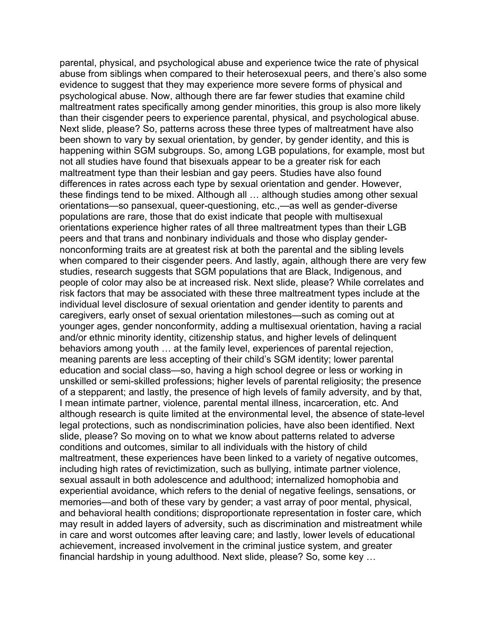parental, physical, and psychological abuse and experience twice the rate of physical been shown to vary by sexual orientation, by gender, by gender identity, and this is happening within SGM subgroups. So, among LGB populations, for example, most but orientations experience higher rates of all three maltreatment types than their LGB meaning parents are less accepting of their child's SGM identity; lower parental legal protections, such as nondiscrimination policies, have also been identified. Next memories—and both of these vary by gender; a vast array of poor mental, physical, financial hardship in young adulthood. Next slide, please? So, some key … abuse from siblings when compared to their heterosexual peers, and there's also some evidence to suggest that they may experience more severe forms of physical and psychological abuse. Now, although there are far fewer studies that examine child maltreatment rates specifically among gender minorities, this group is also more likely than their cisgender peers to experience parental, physical, and psychological abuse. Next slide, please? So, patterns across these three types of maltreatment have also not all studies have found that bisexuals appear to be a greater risk for each maltreatment type than their lesbian and gay peers. Studies have also found differences in rates across each type by sexual orientation and gender. However, these findings tend to be mixed. Although all … although studies among other sexual orientations—so pansexual, queer-questioning, etc.,—as well as gender-diverse populations are rare, those that do exist indicate that people with multisexual peers and that trans and nonbinary individuals and those who display gendernonconforming traits are at greatest risk at both the parental and the sibling levels when compared to their cisgender peers. And lastly, again, although there are very few studies, research suggests that SGM populations that are Black, Indigenous, and people of color may also be at increased risk. Next slide, please? While correlates and risk factors that may be associated with these three maltreatment types include at the individual level disclosure of sexual orientation and gender identity to parents and caregivers, early onset of sexual orientation milestones—such as coming out at younger ages, gender nonconformity, adding a multisexual orientation, having a racial and/or ethnic minority identity, citizenship status, and higher levels of delinquent behaviors among youth … at the family level, experiences of parental rejection, education and social class—so, having a high school degree or less or working in unskilled or semi-skilled professions; higher levels of parental religiosity; the presence of a stepparent; and lastly, the presence of high levels of family adversity, and by that, I mean intimate partner, violence, parental mental illness, incarceration, etc. And although research is quite limited at the environmental level, the absence of state-level slide, please? So moving on to what we know about patterns related to adverse conditions and outcomes, similar to all individuals with the history of child maltreatment, these experiences have been linked to a variety of negative outcomes, including high rates of revictimization, such as bullying, intimate partner violence, sexual assault in both adolescence and adulthood; internalized homophobia and experiential avoidance, which refers to the denial of negative feelings, sensations, or and behavioral health conditions; disproportionate representation in foster care, which may result in added layers of adversity, such as discrimination and mistreatment while in care and worst outcomes after leaving care; and lastly, lower levels of educational achievement, increased involvement in the criminal justice system, and greater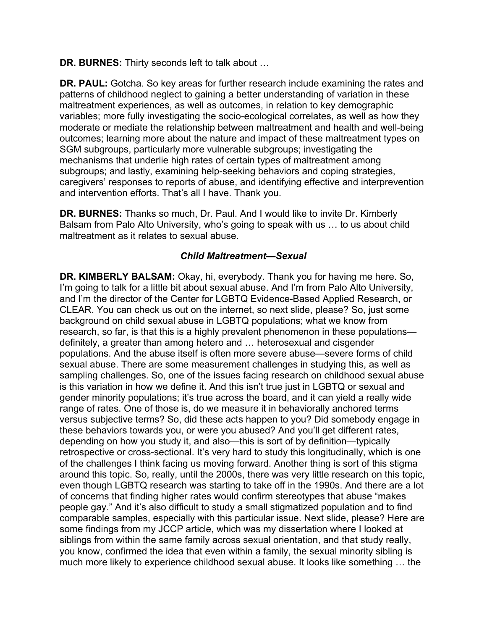**DR. BURNES:** Thirty seconds left to talk about …

 patterns of childhood neglect to gaining a better understanding of variation in these variables; more fully investigating the socio-ecological correlates, as well as how they SGM subgroups, particularly more vulnerable subgroups; investigating the **DR. PAUL:** Gotcha. So key areas for further research include examining the rates and maltreatment experiences, as well as outcomes, in relation to key demographic moderate or mediate the relationship between maltreatment and health and well-being outcomes; learning more about the nature and impact of these maltreatment types on mechanisms that underlie high rates of certain types of maltreatment among subgroups; and lastly, examining help-seeking behaviors and coping strategies, caregivers' responses to reports of abuse, and identifying effective and interprevention and intervention efforts. That's all I have. Thank you.

 **DR. BURNES:** Thanks so much, Dr. Paul. And I would like to invite Dr. Kimberly Balsam from Palo Alto University, who's going to speak with us … to us about child maltreatment as it relates to sexual abuse.

## *Child Maltreatment—Sexual*

 research, so far, is that this is a highly prevalent phenomenon in these populations— range of rates. One of those is, do we measure it in behaviorally anchored terms around this topic. So, really, until the 2000s, there was very little research on this topic, comparable samples, especially with this particular issue. Next slide, please? Here are some findings from my JCCP article, which was my dissertation where I looked at much more likely to experience childhood sexual abuse. It looks like something … the **DR. KIMBERLY BALSAM:** Okay, hi, everybody. Thank you for having me here. So, I'm going to talk for a little bit about sexual abuse. And I'm from Palo Alto University, and I'm the director of the Center for LGBTQ Evidence-Based Applied Research, or CLEAR. You can check us out on the internet, so next slide, please? So, just some background on child sexual abuse in LGBTQ populations; what we know from definitely, a greater than among hetero and … heterosexual and cisgender populations. And the abuse itself is often more severe abuse—severe forms of child sexual abuse. There are some measurement challenges in studying this, as well as sampling challenges. So, one of the issues facing research on childhood sexual abuse is this variation in how we define it. And this isn't true just in LGBTQ or sexual and gender minority populations; it's true across the board, and it can yield a really wide versus subjective terms? So, did these acts happen to you? Did somebody engage in these behaviors towards you, or were you abused? And you'll get different rates, depending on how you study it, and also—this is sort of by definition—typically retrospective or cross-sectional. It's very hard to study this longitudinally, which is one of the challenges I think facing us moving forward. Another thing is sort of this stigma even though LGBTQ research was starting to take off in the 1990s. And there are a lot of concerns that finding higher rates would confirm stereotypes that abuse "makes people gay." And it's also difficult to study a small stigmatized population and to find siblings from within the same family across sexual orientation, and that study really, you know, confirmed the idea that even within a family, the sexual minority sibling is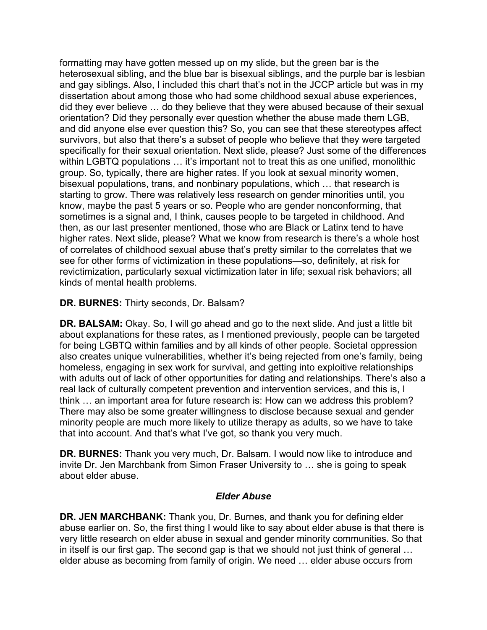heterosexual sibling, and the blue bar is bisexual siblings, and the purple bar is lesbian and gay siblings. Also, I included this chart that's not in the JCCP article but was in my did they ever believe … do they believe that they were abused because of their sexual and did anyone else ever question this? So, you can see that these stereotypes affect specifically for their sexual orientation. Next slide, please? Just some of the differences within LGBTQ populations … it's important not to treat this as one unified, monolithic group. So, typically, there are higher rates. If you look at sexual minority women, sometimes is a signal and, I think, causes people to be targeted in childhood. And higher rates. Next slide, please? What we know from research is there's a whole host see for other forms of victimization in these populations—so, definitely, at risk for formatting may have gotten messed up on my slide, but the green bar is the dissertation about among those who had some childhood sexual abuse experiences, orientation? Did they personally ever question whether the abuse made them LGB, survivors, but also that there's a subset of people who believe that they were targeted bisexual populations, trans, and nonbinary populations, which … that research is starting to grow. There was relatively less research on gender minorities until, you know, maybe the past 5 years or so. People who are gender nonconforming, that then, as our last presenter mentioned, those who are Black or Latinx tend to have of correlates of childhood sexual abuse that's pretty similar to the correlates that we revictimization, particularly sexual victimization later in life; sexual risk behaviors; all kinds of mental health problems.

# **DR. BURNES:** Thirty seconds, Dr. Balsam?

 **DR. BALSAM:** Okay. So, I will go ahead and go to the next slide. And just a little bit about explanations for these rates, as I mentioned previously, people can be targeted for being LGBTQ within families and by all kinds of other people. Societal oppression real lack of culturally competent prevention and intervention services, and this is, I There may also be some greater willingness to disclose because sexual and gender also creates unique vulnerabilities, whether it's being rejected from one's family, being homeless, engaging in sex work for survival, and getting into exploitive relationships with adults out of lack of other opportunities for dating and relationships. There's also a think … an important area for future research is: How can we address this problem? minority people are much more likely to utilize therapy as adults, so we have to take that into account. And that's what I've got, so thank you very much.

 **DR. BURNES:** Thank you very much, Dr. Balsam. I would now like to introduce and invite Dr. Jen Marchbank from Simon Fraser University to … she is going to speak about elder abuse.

## *Elder Abuse*

 **DR. JEN MARCHBANK:** Thank you, Dr. Burnes, and thank you for defining elder abuse earlier on. So, the first thing I would like to say about elder abuse is that there is in itself is our first gap. The second gap is that we should not just think of general … very little research on elder abuse in sexual and gender minority communities. So that elder abuse as becoming from family of origin. We need … elder abuse occurs from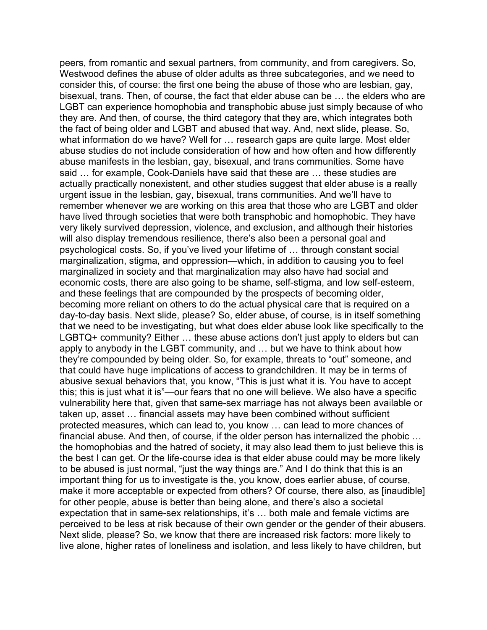Westwood defines the abuse of older adults as three subcategories, and we need to consider this, of course: the first one being the abuse of those who are lesbian, gay, bisexual, trans. Then, of course, the fact that elder abuse can be … the elders who are they are. And then, of course, the third category that they are, which integrates both abuse studies do not include consideration of how and how often and how differently abuse manifests in the lesbian, gay, bisexual, and trans communities. Some have day-to-day basis. Next slide, please? So, elder abuse, of course, is in itself something LGBTQ+ community? Either … these abuse actions don't just apply to elders but can they're compounded by being older. So, for example, threats to "out" someone, and that could have huge implications of access to grandchildren. It may be in terms of this; this is just what it is"—our fears that no one will believe. We also have a specific financial abuse. And then, of course, if the older person has internalized the phobic … important thing for us to investigate is the, you know, does earlier abuse, of course, make it more acceptable or expected from others? Of course, there also, as [inaudible] for other people, abuse is better than being alone, and there's also a societal Next slide, please? So, we know that there are increased risk factors: more likely to peers, from romantic and sexual partners, from community, and from caregivers. So, LGBT can experience homophobia and transphobic abuse just simply because of who the fact of being older and LGBT and abused that way. And, next slide, please. So, what information do we have? Well for … research gaps are quite large. Most elder said … for example, Cook-Daniels have said that these are … these studies are actually practically nonexistent, and other studies suggest that elder abuse is a really urgent issue in the lesbian, gay, bisexual, trans communities. And we'll have to remember whenever we are working on this area that those who are LGBT and older have lived through societies that were both transphobic and homophobic. They have very likely survived depression, violence, and exclusion, and although their histories will also display tremendous resilience, there's also been a personal goal and psychological costs. So, if you've lived your lifetime of … through constant social marginalization, stigma, and oppression—which, in addition to causing you to feel marginalized in society and that marginalization may also have had social and economic costs, there are also going to be shame, self-stigma, and low self-esteem, and these feelings that are compounded by the prospects of becoming older, becoming more reliant on others to do the actual physical care that is required on a that we need to be investigating, but what does elder abuse look like specifically to the apply to anybody in the LGBT community, and … but we have to think about how abusive sexual behaviors that, you know, "This is just what it is. You have to accept vulnerability here that, given that same-sex marriage has not always been available or taken up, asset … financial assets may have been combined without sufficient protected measures, which can lead to, you know … can lead to more chances of the homophobias and the hatred of society, it may also lead them to just believe this is the best I can get. Or the life-course idea is that elder abuse could may be more likely to be abused is just normal, "just the way things are." And I do think that this is an expectation that in same-sex relationships, it's … both male and female victims are perceived to be less at risk because of their own gender or the gender of their abusers. live alone, higher rates of loneliness and isolation, and less likely to have children, but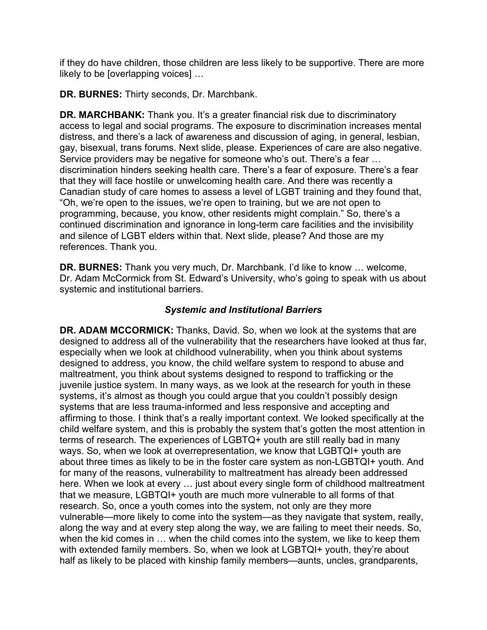likely to be [overlapping voices] … if they do have children, those children are less likely to be supportive. There are more

**DR. BURNES:** Thirty seconds, Dr. Marchbank.

 continued discrimination and ignorance in long-term care facilities and the invisibility **DR. MARCHBANK:** Thank you. It's a greater financial risk due to discriminatory access to legal and social programs. The exposure to discrimination increases mental distress, and there's a lack of awareness and discussion of aging, in general, lesbian, gay, bisexual, trans forums. Next slide, please. Experiences of care are also negative. Service providers may be negative for someone who's out. There's a fear … discrimination hinders seeking health care. There's a fear of exposure. There's a fear that they will face hostile or unwelcoming health care. And there was recently a Canadian study of care homes to assess a level of LGBT training and they found that, "Oh, we're open to the issues, we're open to training, but we are not open to programming, because, you know, other residents might complain." So, there's a and silence of LGBT elders within that. Next slide, please? And those are my references. Thank you.

**DR. BURNES:** Thank you very much, Dr. Marchbank. I'd like to know … welcome, Dr. Adam McCormick from St. Edward's University, who's going to speak with us about systemic and institutional barriers.

# *Systemic and Institutional Barriers*

 **DR. ADAM MCCORMICK:** Thanks, David. So, when we look at the systems that are designed to address, you know, the child welfare system to respond to abuse and about three times as likely to be in the foster care system as non-LGBTQI+ youth. And that we measure, LGBTQI+ youth are much more vulnerable to all forms of that vulnerable—more likely to come into the system—as they navigate that system, really, designed to address all of the vulnerability that the researchers have looked at thus far, especially when we look at childhood vulnerability, when you think about systems maltreatment, you think about systems designed to respond to trafficking or the juvenile justice system. In many ways, as we look at the research for youth in these systems, it's almost as though you could argue that you couldn't possibly design systems that are less trauma-informed and less responsive and accepting and affirming to those. I think that's a really important context. We looked specifically at the child welfare system, and this is probably the system that's gotten the most attention in terms of research. The experiences of LGBTQ+ youth are still really bad in many ways. So, when we look at overrepresentation, we know that LGBTQI+ youth are for many of the reasons, vulnerability to maltreatment has already been addressed here. When we look at every … just about every single form of childhood maltreatment research. So, once a youth comes into the system, not only are they more along the way and at every step along the way, we are failing to meet their needs. So, when the kid comes in … when the child comes into the system, we like to keep them with extended family members. So, when we look at LGBTQI+ youth, they're about half as likely to be placed with kinship family members—aunts, uncles, grandparents,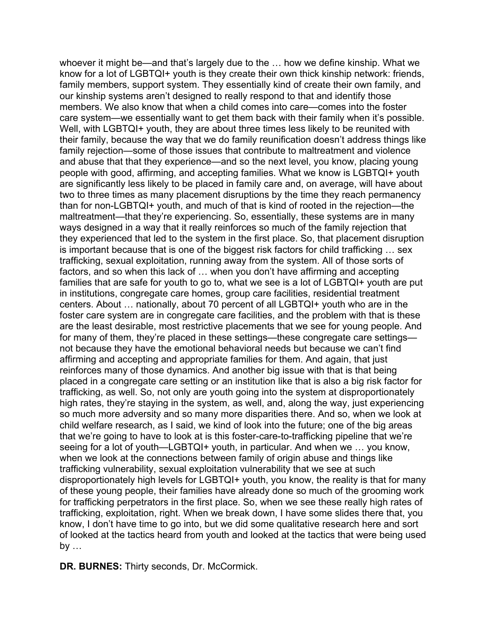know for a lot of LGBTQI+ youth is they create their own thick kinship network: friends, Well, with LGBTQI+ youth, they are about three times less likely to be reunited with people with good, affirming, and accepting families. What we know is LGBTQI+ youth are significantly less likely to be placed in family care and, on average, will have about two to three times as many placement disruptions by the time they reach permanency maltreatment—that they're experiencing. So, essentially, these systems are in many is important because that is one of the biggest risk factors for child trafficking … sex factors, and so when this lack of … when you don't have affirming and accepting centers. About … nationally, about 70 percent of all LGBTQI+ youth who are in the are the least desirable, most restrictive placements that we see for young people. And placed in a congregate care setting or an institution like that is also a big risk factor for high rates, they're staying in the system, as well, and, along the way, just experiencing child welfare research, as I said, we kind of look into the future; one of the big areas seeing for a lot of youth—LGBTQI+ youth, in particular. And when we … you know, disproportionately high levels for LGBTQI+ youth, you know, the reality is that for many by … whoever it might be—and that's largely due to the … how we define kinship. What we family members, support system. They essentially kind of create their own family, and our kinship systems aren't designed to really respond to that and identify those members. We also know that when a child comes into care—comes into the foster care system—we essentially want to get them back with their family when it's possible. their family, because the way that we do family reunification doesn't address things like family rejection—some of those issues that contribute to maltreatment and violence and abuse that that they experience—and so the next level, you know, placing young than for non-LGBTQI+ youth, and much of that is kind of rooted in the rejection—the ways designed in a way that it really reinforces so much of the family rejection that they experienced that led to the system in the first place. So, that placement disruption trafficking, sexual exploitation, running away from the system. All of those sorts of families that are safe for youth to go to, what we see is a lot of LGBTQI+ youth are put in institutions, congregate care homes, group care facilities, residential treatment foster care system are in congregate care facilities, and the problem with that is these for many of them, they're placed in these settings—these congregate care settings not because they have the emotional behavioral needs but because we can't find affirming and accepting and appropriate families for them. And again, that just reinforces many of those dynamics. And another big issue with that is that being trafficking, as well. So, not only are youth going into the system at disproportionately so much more adversity and so many more disparities there. And so, when we look at that we're going to have to look at is this foster-care-to-trafficking pipeline that we're when we look at the connections between family of origin abuse and things like trafficking vulnerability, sexual exploitation vulnerability that we see at such of these young people, their families have already done so much of the grooming work for trafficking perpetrators in the first place. So, when we see these really high rates of trafficking, exploitation, right. When we break down, I have some slides there that, you know, I don't have time to go into, but we did some qualitative research here and sort of looked at the tactics heard from youth and looked at the tactics that were being used

**DR. BURNES:** Thirty seconds, Dr. McCormick.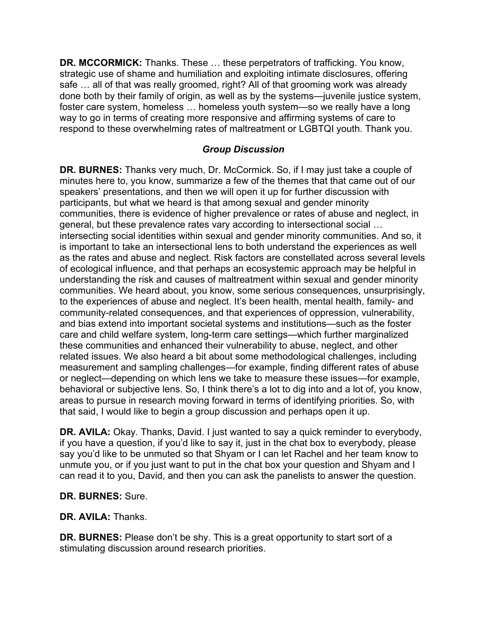**DR. MCCORMICK:** Thanks. These … these perpetrators of trafficking. You know, strategic use of shame and humiliation and exploiting intimate disclosures, offering safe … all of that was really groomed, right? All of that grooming work was already done both by their family of origin, as well as by the systems—juvenile justice system, foster care system, homeless … homeless youth system—so we really have a long way to go in terms of creating more responsive and affirming systems of care to respond to these overwhelming rates of maltreatment or LGBTQI youth. Thank you.

# *Group Discussion*

 minutes here to, you know, summarize a few of the themes that that came out of our these communities and enhanced their vulnerability to abuse, neglect, and other that said, I would like to begin a group discussion and perhaps open it up. **DR. BURNES:** Thanks very much, Dr. McCormick. So, if I may just take a couple of speakers' presentations, and then we will open it up for further discussion with participants, but what we heard is that among sexual and gender minority communities, there is evidence of higher prevalence or rates of abuse and neglect, in general, but these prevalence rates vary according to intersectional social … intersecting social identities within sexual and gender minority communities. And so, it is important to take an intersectional lens to both understand the experiences as well as the rates and abuse and neglect. Risk factors are constellated across several levels of ecological influence, and that perhaps an ecosystemic approach may be helpful in understanding the risk and causes of maltreatment within sexual and gender minority communities. We heard about, you know, some serious consequences, unsurprisingly, to the experiences of abuse and neglect. It's been health, mental health, family- and community-related consequences, and that experiences of oppression, vulnerability, and bias extend into important societal systems and institutions—such as the foster care and child welfare system, long-term care settings—which further marginalized related issues. We also heard a bit about some methodological challenges, including measurement and sampling challenges—for example, finding different rates of abuse or neglect—depending on which lens we take to measure these issues—for example, behavioral or subjective lens. So, I think there's a lot to dig into and a lot of, you know, areas to pursue in research moving forward in terms of identifying priorities. So, with

 say you'd like to be unmuted so that Shyam or I can let Rachel and her team know to can read it to you, David, and then you can ask the panelists to answer the question. **DR. AVILA:** Okay. Thanks, David. I just wanted to say a quick reminder to everybody, if you have a question, if you'd like to say it, just in the chat box to everybody, please unmute you, or if you just want to put in the chat box your question and Shyam and I

# **DR. BURNES:** Sure.

**DR. AVILA:** Thanks.

**DR. BURNES:** Please don't be shy. This is a great opportunity to start sort of a stimulating discussion around research priorities.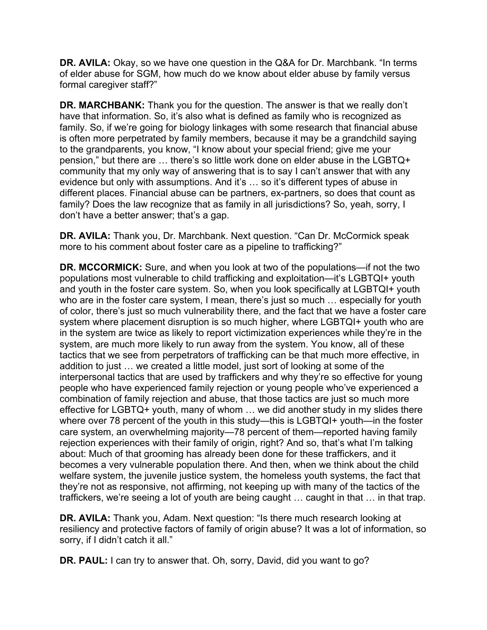**DR. AVILA:** Okay, so we have one question in the Q&A for Dr. Marchbank. "In terms formal caregiver staff?" of elder abuse for SGM, how much do we know about elder abuse by family versus

 have that information. So, it's also what is defined as family who is recognized as family. So, if we're going for biology linkages with some research that financial abuse pension," but there are … there's so little work done on elder abuse in the LGBTQ+ **DR. MARCHBANK:** Thank you for the question. The answer is that we really don't is often more perpetrated by family members, because it may be a grandchild saying to the grandparents, you know, "I know about your special friend; give me your community that my only way of answering that is to say I can't answer that with any evidence but only with assumptions. And it's … so it's different types of abuse in different places. Financial abuse can be partners, ex-partners, so does that count as family? Does the law recognize that as family in all jurisdictions? So, yeah, sorry, I don't have a better answer; that's a gap.

 **DR. AVILA:** Thank you, Dr. Marchbank. Next question. "Can Dr. McCormick speak more to his comment about foster care as a pipeline to trafficking?"

**DR. MCCORMICK:** Sure, and when you look at two of the populations—if not the two populations most vulnerable to child trafficking and exploitation—it's LGBTQI+ youth and youth in the foster care system. So, when you look specifically at LGBTQI+ youth who are in the foster care system, I mean, there's just so much … especially for youth of color, there's just so much vulnerability there, and the fact that we have a foster care system where placement disruption is so much higher, where LGBTQI+ youth who are in the system are twice as likely to report victimization experiences while they're in the system, are much more likely to run away from the system. You know, all of these tactics that we see from perpetrators of trafficking can be that much more effective, in addition to just … we created a little model, just sort of looking at some of the interpersonal tactics that are used by traffickers and why they're so effective for young people who have experienced family rejection or young people who've experienced a combination of family rejection and abuse, that those tactics are just so much more effective for LGBTQ+ youth, many of whom … we did another study in my slides there where over 78 percent of the youth in this study—this is LGBTQI+ youth—in the foster care system, an overwhelming majority—78 percent of them—reported having family rejection experiences with their family of origin, right? And so, that's what I'm talking about: Much of that grooming has already been done for these traffickers, and it becomes a very vulnerable population there. And then, when we think about the child welfare system, the juvenile justice system, the homeless youth systems, the fact that they're not as responsive, not affirming, not keeping up with many of the tactics of the traffickers, we're seeing a lot of youth are being caught … caught in that … in that trap.

 **DR. AVILA:** Thank you, Adam. Next question: "Is there much research looking at resiliency and protective factors of family of origin abuse? It was a lot of information, so sorry, if I didn't catch it all."

**DR. PAUL:** I can try to answer that. Oh, sorry, David, did you want to go?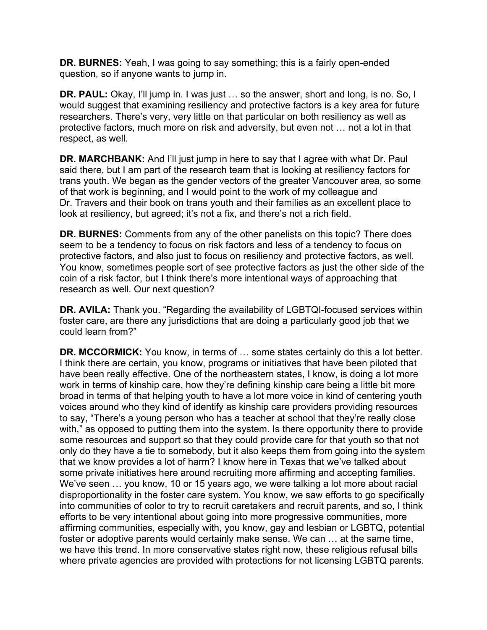**DR. BURNES:** Yeah, I was going to say something; this is a fairly open-ended question, so if anyone wants to jump in.

 protective factors, much more on risk and adversity, but even not … not a lot in that respect, as well. **DR. PAUL:** Okay, I'll jump in. I was just … so the answer, short and long, is no. So, I would suggest that examining resiliency and protective factors is a key area for future researchers. There's very, very little on that particular on both resiliency as well as

**DR. MARCHBANK:** And I'll just jump in here to say that I agree with what Dr. Paul said there, but I am part of the research team that is looking at resiliency factors for trans youth. We began as the gender vectors of the greater Vancouver area, so some of that work is beginning, and I would point to the work of my colleague and Dr. Travers and their book on trans youth and their families as an excellent place to look at resiliency, but agreed; it's not a fix, and there's not a rich field.

**DR. BURNES:** Comments from any of the other panelists on this topic? There does seem to be a tendency to focus on risk factors and less of a tendency to focus on protective factors, and also just to focus on resiliency and protective factors, as well. You know, sometimes people sort of see protective factors as just the other side of the coin of a risk factor, but I think there's more intentional ways of approaching that research as well. Our next question?

**DR. AVILA:** Thank you. "Regarding the availability of LGBTQI-focused services within foster care, are there any jurisdictions that are doing a particularly good job that we could learn from?"

**DR. MCCORMICK:** You know, in terms of ... some states certainly do this a lot better. I think there are certain, you know, programs or initiatives that have been piloted that have been really effective. One of the northeastern states, I know, is doing a lot more work in terms of kinship care, how they're defining kinship care being a little bit more broad in terms of that helping youth to have a lot more voice in kind of centering youth voices around who they kind of identify as kinship care providers providing resources to say, "There's a young person who has a teacher at school that they're really close with," as opposed to putting them into the system. Is there opportunity there to provide some resources and support so that they could provide care for that youth so that not only do they have a tie to somebody, but it also keeps them from going into the system that we know provides a lot of harm? I know here in Texas that we've talked about some private initiatives here around recruiting more affirming and accepting families. We've seen … you know, 10 or 15 years ago, we were talking a lot more about racial disproportionality in the foster care system. You know, we saw efforts to go specifically into communities of color to try to recruit caretakers and recruit parents, and so, I think efforts to be very intentional about going into more progressive communities, more affirming communities, especially with, you know, gay and lesbian or LGBTQ, potential foster or adoptive parents would certainly make sense. We can … at the same time, we have this trend. In more conservative states right now, these religious refusal bills where private agencies are provided with protections for not licensing LGBTQ parents.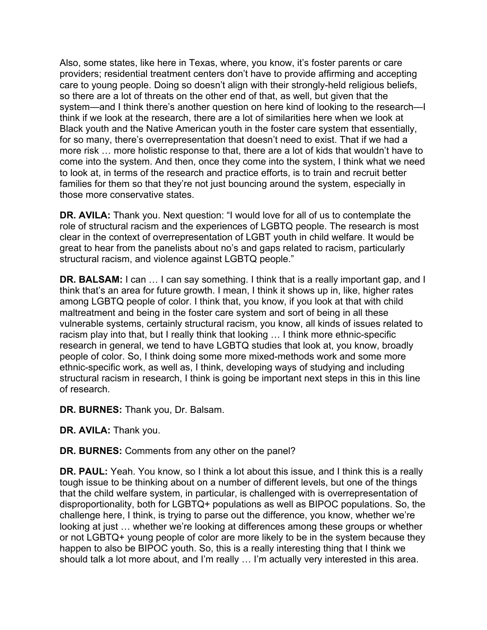Also, some states, like here in Texas, where, you know, it's foster parents or care providers; residential treatment centers don't have to provide affirming and accepting care to young people. Doing so doesn't align with their strongly-held religious beliefs, so there are a lot of threats on the other end of that, as well, but given that the system—and I think there's another question on here kind of looking to the research—I think if we look at the research, there are a lot of similarities here when we look at Black youth and the Native American youth in the foster care system that essentially, for so many, there's overrepresentation that doesn't need to exist. That if we had a more risk … more holistic response to that, there are a lot of kids that wouldn't have to come into the system. And then, once they come into the system, I think what we need to look at, in terms of the research and practice efforts, is to train and recruit better families for them so that they're not just bouncing around the system, especially in those more conservative states.

**DR. AVILA:** Thank you. Next question: "I would love for all of us to contemplate the role of structural racism and the experiences of LGBTQ people. The research is most clear in the context of overrepresentation of LGBT youth in child welfare. It would be great to hear from the panelists about no's and gaps related to racism, particularly structural racism, and violence against LGBTQ people."

**DR. BALSAM:** I can … I can say something. I think that is a really important gap, and I think that's an area for future growth. I mean, I think it shows up in, like, higher rates among LGBTQ people of color. I think that, you know, if you look at that with child maltreatment and being in the foster care system and sort of being in all these vulnerable systems, certainly structural racism, you know, all kinds of issues related to racism play into that, but I really think that looking … I think more ethnic-specific research in general, we tend to have LGBTQ studies that look at, you know, broadly people of color. So, I think doing some more mixed-methods work and some more ethnic-specific work, as well as, I think, developing ways of studying and including structural racism in research, I think is going be important next steps in this in this line of research.

**DR. BURNES:** Thank you, Dr. Balsam.

**DR. AVILA:** Thank you.

**DR. BURNES:** Comments from any other on the panel?

**DR. PAUL:** Yeah. You know, so I think a lot about this issue, and I think this is a really tough issue to be thinking about on a number of different levels, but one of the things that the child welfare system, in particular, is challenged with is overrepresentation of disproportionality, both for LGBTQ+ populations as well as BIPOC populations. So, the challenge here, I think, is trying to parse out the difference, you know, whether we're looking at just … whether we're looking at differences among these groups or whether or not LGBTQ+ young people of color are more likely to be in the system because they happen to also be BIPOC youth. So, this is a really interesting thing that I think we should talk a lot more about, and I'm really … I'm actually very interested in this area.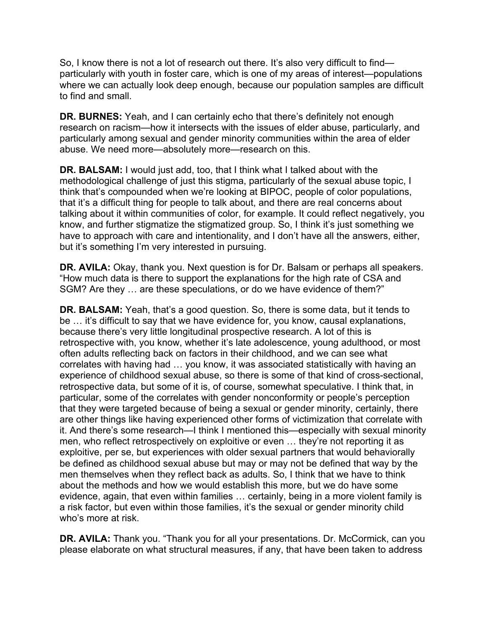So, I know there is not a lot of research out there. It's also very difficult to find particularly with youth in foster care, which is one of my areas of interest—populations where we can actually look deep enough, because our population samples are difficult to find and small.

**DR. BURNES:** Yeah, and I can certainly echo that there's definitely not enough research on racism—how it intersects with the issues of elder abuse, particularly, and particularly among sexual and gender minority communities within the area of elder abuse. We need more—absolutely more—research on this.

**DR. BALSAM:** I would just add, too, that I think what I talked about with the methodological challenge of just this stigma, particularly of the sexual abuse topic, I think that's compounded when we're looking at BIPOC, people of color populations, that it's a difficult thing for people to talk about, and there are real concerns about talking about it within communities of color, for example. It could reflect negatively, you know, and further stigmatize the stigmatized group. So, I think it's just something we have to approach with care and intentionality, and I don't have all the answers, either, but it's something I'm very interested in pursuing.

**DR. AVILA:** Okay, thank you. Next question is for Dr. Balsam or perhaps all speakers. "How much data is there to support the explanations for the high rate of CSA and SGM? Are they … are these speculations, or do we have evidence of them?"

**DR. BALSAM:** Yeah, that's a good question. So, there is some data, but it tends to be … it's difficult to say that we have evidence for, you know, causal explanations, because there's very little longitudinal prospective research. A lot of this is retrospective with, you know, whether it's late adolescence, young adulthood, or most often adults reflecting back on factors in their childhood, and we can see what correlates with having had … you know, it was associated statistically with having an experience of childhood sexual abuse, so there is some of that kind of cross-sectional, retrospective data, but some of it is, of course, somewhat speculative. I think that, in particular, some of the correlates with gender nonconformity or people's perception that they were targeted because of being a sexual or gender minority, certainly, there are other things like having experienced other forms of victimization that correlate with it. And there's some research—I think I mentioned this—especially with sexual minority men, who reflect retrospectively on exploitive or even … they're not reporting it as exploitive, per se, but experiences with older sexual partners that would behaviorally be defined as childhood sexual abuse but may or may not be defined that way by the men themselves when they reflect back as adults. So, I think that we have to think about the methods and how we would establish this more, but we do have some evidence, again, that even within families … certainly, being in a more violent family is a risk factor, but even within those families, it's the sexual or gender minority child who's more at risk.

**DR. AVILA:** Thank you. "Thank you for all your presentations. Dr. McCormick, can you please elaborate on what structural measures, if any, that have been taken to address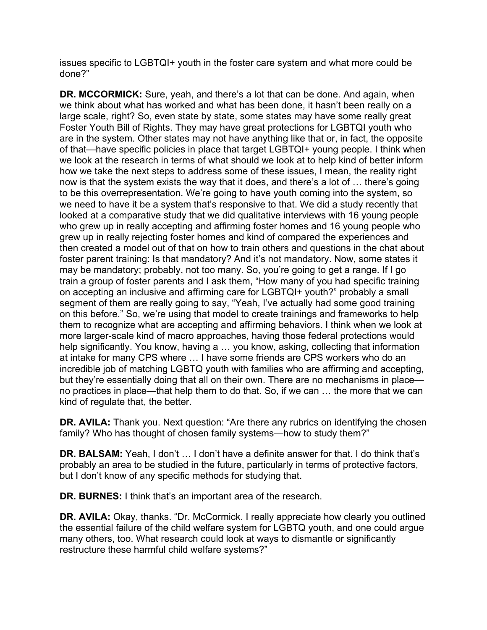issues specific to LGBTQI+ youth in the foster care system and what more could be done?"

**DR. MCCORMICK:** Sure, yeah, and there's a lot that can be done. And again, when we think about what has worked and what has been done, it hasn't been really on a large scale, right? So, even state by state, some states may have some really great Foster Youth Bill of Rights. They may have great protections for LGBTQI youth who are in the system. Other states may not have anything like that or, in fact, the opposite of that—have specific policies in place that target LGBTQI+ young people. I think when we look at the research in terms of what should we look at to help kind of better inform how we take the next steps to address some of these issues, I mean, the reality right now is that the system exists the way that it does, and there's a lot of … there's going to be this overrepresentation. We're going to have youth coming into the system, so we need to have it be a system that's responsive to that. We did a study recently that looked at a comparative study that we did qualitative interviews with 16 young people who grew up in really accepting and affirming foster homes and 16 young people who grew up in really rejecting foster homes and kind of compared the experiences and then created a model out of that on how to train others and questions in the chat about foster parent training: Is that mandatory? And it's not mandatory. Now, some states it may be mandatory; probably, not too many. So, you're going to get a range. If I go train a group of foster parents and I ask them, "How many of you had specific training on accepting an inclusive and affirming care for LGBTQI+ youth?" probably a small segment of them are really going to say, "Yeah, I've actually had some good training on this before." So, we're using that model to create trainings and frameworks to help them to recognize what are accepting and affirming behaviors. I think when we look at more larger-scale kind of macro approaches, having those federal protections would help significantly. You know, having a … you know, asking, collecting that information at intake for many CPS where … I have some friends are CPS workers who do an incredible job of matching LGBTQ youth with families who are affirming and accepting, but they're essentially doing that all on their own. There are no mechanisms in place no practices in place—that help them to do that. So, if we can … the more that we can kind of regulate that, the better.

 family? Who has thought of chosen family systems—how to study them?" **DR. AVILA:** Thank you. Next question: "Are there any rubrics on identifying the chosen

 **DR. BALSAM:** Yeah, I don't … I don't have a definite answer for that. I do think that's probably an area to be studied in the future, particularly in terms of protective factors, but I don't know of any specific methods for studying that.

**DR. BURNES:** I think that's an important area of the research.

**DR. AVILA:** Okay, thanks. "Dr. McCormick. I really appreciate how clearly you outlined the essential failure of the child welfare system for LGBTQ youth, and one could argue many others, too. What research could look at ways to dismantle or significantly restructure these harmful child welfare systems?"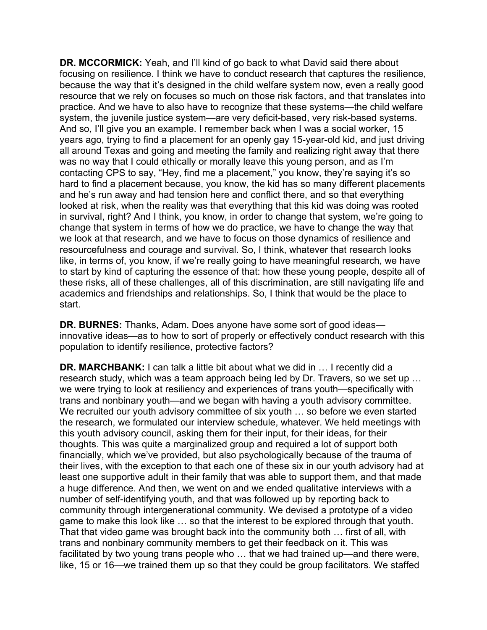**DR. MCCORMICK:** Yeah, and I'll kind of go back to what David said there about focusing on resilience. I think we have to conduct research that captures the resilience, because the way that it's designed in the child welfare system now, even a really good resource that we rely on focuses so much on those risk factors, and that translates into practice. And we have to also have to recognize that these systems—the child welfare system, the juvenile justice system—are very deficit-based, very risk-based systems. And so, I'll give you an example. I remember back when I was a social worker, 15 years ago, trying to find a placement for an openly gay 15-year-old kid, and just driving all around Texas and going and meeting the family and realizing right away that there was no way that I could ethically or morally leave this young person, and as I'm contacting CPS to say, "Hey, find me a placement," you know, they're saying it's so hard to find a placement because, you know, the kid has so many different placements and he's run away and had tension here and conflict there, and so that everything looked at risk, when the reality was that everything that this kid was doing was rooted in survival, right? And I think, you know, in order to change that system, we're going to change that system in terms of how we do practice, we have to change the way that we look at that research, and we have to focus on those dynamics of resilience and resourcefulness and courage and survival. So, I think, whatever that research looks like, in terms of, you know, if we're really going to have meaningful research, we have to start by kind of capturing the essence of that: how these young people, despite all of these risks, all of these challenges, all of this discrimination, are still navigating life and academics and friendships and relationships. So, I think that would be the place to start.

**DR. BURNES:** Thanks, Adam. Does anyone have some sort of good ideas innovative ideas—as to how to sort of properly or effectively conduct research with this population to identify resilience, protective factors?

**DR. MARCHBANK:** I can talk a little bit about what we did in … I recently did a research study, which was a team approach being led by Dr. Travers, so we set up … we were trying to look at resiliency and experiences of trans youth—specifically with trans and nonbinary youth—and we began with having a youth advisory committee. We recruited our youth advisory committee of six youth ... so before we even started the research, we formulated our interview schedule, whatever. We held meetings with this youth advisory council, asking them for their input, for their ideas, for their thoughts. This was quite a marginalized group and required a lot of support both financially, which we've provided, but also psychologically because of the trauma of their lives, with the exception to that each one of these six in our youth advisory had at least one supportive adult in their family that was able to support them, and that made a huge difference. And then, we went on and we ended qualitative interviews with a number of self-identifying youth, and that was followed up by reporting back to community through intergenerational community. We devised a prototype of a video game to make this look like … so that the interest to be explored through that youth. That that video game was brought back into the community both … first of all, with trans and nonbinary community members to get their feedback on it. This was facilitated by two young trans people who … that we had trained up—and there were, like, 15 or 16—we trained them up so that they could be group facilitators. We staffed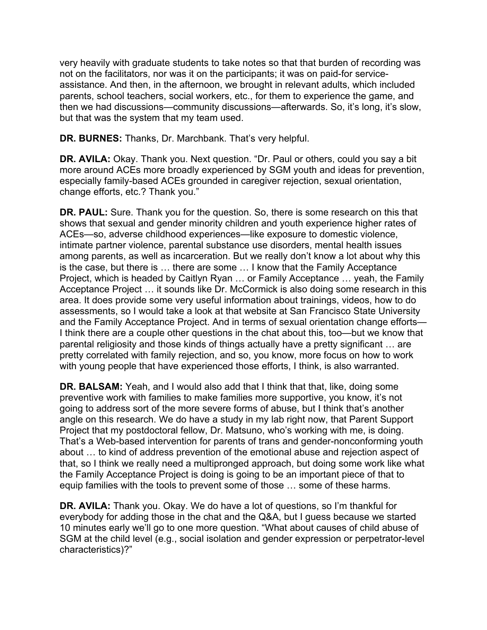parents, school teachers, social workers, etc., for them to experience the game, and very heavily with graduate students to take notes so that that burden of recording was not on the facilitators, nor was it on the participants; it was on paid-for serviceassistance. And then, in the afternoon, we brought in relevant adults, which included then we had discussions—community discussions—afterwards. So, it's long, it's slow, but that was the system that my team used.

**DR. BURNES:** Thanks, Dr. Marchbank. That's very helpful.

**DR. AVILA:** Okay. Thank you. Next question. "Dr. Paul or others, could you say a bit more around ACEs more broadly experienced by SGM youth and ideas for prevention, especially family-based ACEs grounded in caregiver rejection, sexual orientation, change efforts, etc.? Thank you."

**DR. PAUL:** Sure. Thank you for the question. So, there is some research on this that shows that sexual and gender minority children and youth experience higher rates of ACEs—so, adverse childhood experiences—like exposure to domestic violence, intimate partner violence, parental substance use disorders, mental health issues among parents, as well as incarceration. But we really don't know a lot about why this is the case, but there is … there are some … I know that the Family Acceptance Project, which is headed by Caitlyn Ryan … or Family Acceptance … yeah, the Family Acceptance Project … it sounds like Dr. McCormick is also doing some research in this area. It does provide some very useful information about trainings, videos, how to do assessments, so I would take a look at that website at San Francisco State University and the Family Acceptance Project. And in terms of sexual orientation change efforts— I think there are a couple other questions in the chat about this, too—but we know that parental religiosity and those kinds of things actually have a pretty significant … are pretty correlated with family rejection, and so, you know, more focus on how to work with young people that have experienced those efforts, I think, is also warranted.

**DR. BALSAM:** Yeah, and I would also add that I think that that, like, doing some preventive work with families to make families more supportive, you know, it's not going to address sort of the more severe forms of abuse, but I think that's another angle on this research. We do have a study in my lab right now, that Parent Support Project that my postdoctoral fellow, Dr. Matsuno, who's working with me, is doing. That's a Web-based intervention for parents of trans and gender-nonconforming youth about … to kind of address prevention of the emotional abuse and rejection aspect of that, so I think we really need a multipronged approach, but doing some work like what the Family Acceptance Project is doing is going to be an important piece of that to equip families with the tools to prevent some of those … some of these harms.

 **DR. AVILA:** Thank you. Okay. We do have a lot of questions, so I'm thankful for 10 minutes early we'll go to one more question. "What about causes of child abuse of everybody for adding those in the chat and the Q&A, but I guess because we started SGM at the child level (e.g., social isolation and gender expression or perpetrator-level characteristics)?"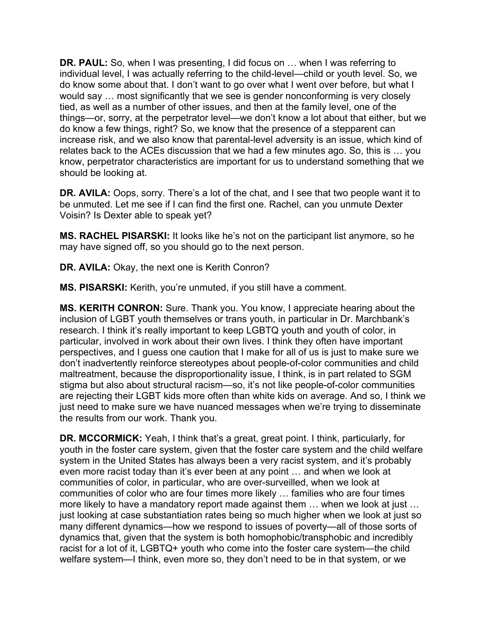do know some about that. I don't want to go over what I went over before, but what I **DR. PAUL:** So, when I was presenting, I did focus on … when I was referring to individual level, I was actually referring to the child-level—child or youth level. So, we would say … most significantly that we see is gender nonconforming is very closely tied, as well as a number of other issues, and then at the family level, one of the things—or, sorry, at the perpetrator level—we don't know a lot about that either, but we do know a few things, right? So, we know that the presence of a stepparent can increase risk, and we also know that parental-level adversity is an issue, which kind of relates back to the ACEs discussion that we had a few minutes ago. So, this is … you know, perpetrator characteristics are important for us to understand something that we should be looking at.

**DR. AVILA:** Oops, sorry. There's a lot of the chat, and I see that two people want it to be unmuted. Let me see if I can find the first one. Rachel, can you unmute Dexter Voisin? Is Dexter able to speak yet?

**MS. RACHEL PISARSKI:** It looks like he's not on the participant list anymore, so he may have signed off, so you should go to the next person.

**DR. AVILA:** Okay, the next one is Kerith Conron?

**MS. PISARSKI:** Kerith, you're unmuted, if you still have a comment.

**MS. KERITH CONRON:** Sure. Thank you. You know, I appreciate hearing about the inclusion of LGBT youth themselves or trans youth, in particular in Dr. Marchbank's research. I think it's really important to keep LGBTQ youth and youth of color, in particular, involved in work about their own lives. I think they often have important perspectives, and I guess one caution that I make for all of us is just to make sure we don't inadvertently reinforce stereotypes about people-of-color communities and child maltreatment, because the disproportionality issue, I think, is in part related to SGM stigma but also about structural racism—so, it's not like people-of-color communities are rejecting their LGBT kids more often than white kids on average. And so, I think we just need to make sure we have nuanced messages when we're trying to disseminate the results from our work. Thank you.

**DR. MCCORMICK:** Yeah, I think that's a great, great point. I think, particularly, for youth in the foster care system, given that the foster care system and the child welfare system in the United States has always been a very racist system, and it's probably even more racist today than it's ever been at any point … and when we look at communities of color, in particular, who are over-surveilled, when we look at communities of color who are four times more likely … families who are four times more likely to have a mandatory report made against them … when we look at just … just looking at case substantiation rates being so much higher when we look at just so many different dynamics—how we respond to issues of poverty—all of those sorts of dynamics that, given that the system is both homophobic/transphobic and incredibly racist for a lot of it, LGBTQ+ youth who come into the foster care system—the child welfare system—I think, even more so, they don't need to be in that system, or we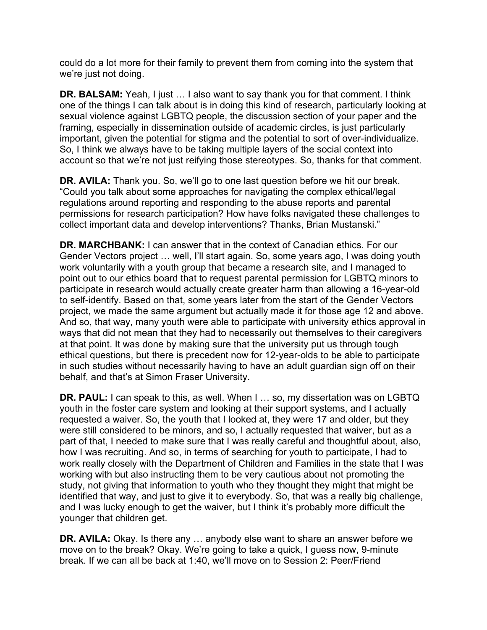could do a lot more for their family to prevent them from coming into the system that we're just not doing.

**DR. BALSAM:** Yeah, I just … I also want to say thank you for that comment. I think one of the things I can talk about is in doing this kind of research, particularly looking at sexual violence against LGBTQ people, the discussion section of your paper and the framing, especially in dissemination outside of academic circles, is just particularly important, given the potential for stigma and the potential to sort of over-individualize. So, I think we always have to be taking multiple layers of the social context into account so that we're not just reifying those stereotypes. So, thanks for that comment.

**DR. AVILA:** Thank you. So, we'll go to one last question before we hit our break. "Could you talk about some approaches for navigating the complex ethical/legal regulations around reporting and responding to the abuse reports and parental permissions for research participation? How have folks navigated these challenges to collect important data and develop interventions? Thanks, Brian Mustanski."

 Gender Vectors project … well, I'll start again. So, some years ago, I was doing youth to self-identify. Based on that, some years later from the start of the Gender Vectors **DR. MARCHBANK:** I can answer that in the context of Canadian ethics. For our work voluntarily with a youth group that became a research site, and I managed to point out to our ethics board that to request parental permission for LGBTQ minors to participate in research would actually create greater harm than allowing a 16-year-old project, we made the same argument but actually made it for those age 12 and above. And so, that way, many youth were able to participate with university ethics approval in ways that did not mean that they had to necessarily out themselves to their caregivers at that point. It was done by making sure that the university put us through tough ethical questions, but there is precedent now for 12-year-olds to be able to participate in such studies without necessarily having to have an adult guardian sign off on their behalf, and that's at Simon Fraser University.

**DR. PAUL:** I can speak to this, as well. When I … so, my dissertation was on LGBTQ youth in the foster care system and looking at their support systems, and I actually requested a waiver. So, the youth that I looked at, they were 17 and older, but they were still considered to be minors, and so, I actually requested that waiver, but as a part of that, I needed to make sure that I was really careful and thoughtful about, also, how I was recruiting. And so, in terms of searching for youth to participate, I had to work really closely with the Department of Children and Families in the state that I was working with but also instructing them to be very cautious about not promoting the study, not giving that information to youth who they thought they might that might be identified that way, and just to give it to everybody. So, that was a really big challenge, and I was lucky enough to get the waiver, but I think it's probably more difficult the younger that children get.

 move on to the break? Okay. We're going to take a quick, I guess now, 9-minute **DR. AVILA:** Okay. Is there any … anybody else want to share an answer before we break. If we can all be back at 1:40, we'll move on to Session 2: Peer/Friend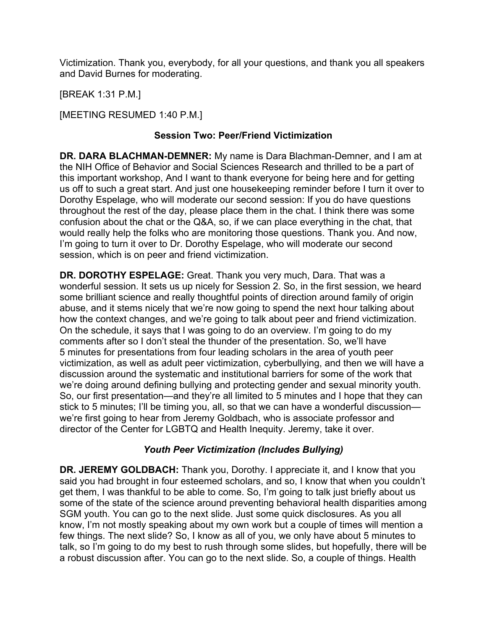Victimization. Thank you, everybody, for all your questions, and thank you all speakers and David Burnes for moderating.

[BREAK 1:31 P.M.]

[MEETING RESUMED 1:40 P.M.]

# **Session Two: Peer/Friend Victimization**

**DR. DARA BLACHMAN-DEMNER:** My name is Dara Blachman-Demner, and I am at the NIH Office of Behavior and Social Sciences Research and thrilled to be a part of this important workshop, And I want to thank everyone for being here and for getting us off to such a great start. And just one housekeeping reminder before I turn it over to Dorothy Espelage, who will moderate our second session: If you do have questions throughout the rest of the day, please place them in the chat. I think there was some confusion about the chat or the Q&A, so, if we can place everything in the chat, that would really help the folks who are monitoring those questions. Thank you. And now, I'm going to turn it over to Dr. Dorothy Espelage, who will moderate our second session, which is on peer and friend victimization.

**DR. DOROTHY ESPELAGE:** Great. Thank you very much, Dara. That was a wonderful session. It sets us up nicely for Session 2. So, in the first session, we heard some brilliant science and really thoughtful points of direction around family of origin abuse, and it stems nicely that we're now going to spend the next hour talking about how the context changes, and we're going to talk about peer and friend victimization. On the schedule, it says that I was going to do an overview. I'm going to do my comments after so I don't steal the thunder of the presentation. So, we'll have 5 minutes for presentations from four leading scholars in the area of youth peer victimization, as well as adult peer victimization, cyberbullying, and then we will have a discussion around the systematic and institutional barriers for some of the work that we're doing around defining bullying and protecting gender and sexual minority youth. So, our first presentation—and they're all limited to 5 minutes and I hope that they can stick to 5 minutes; I'll be timing you, all, so that we can have a wonderful discussion we're first going to hear from Jeremy Goldbach, who is associate professor and director of the Center for LGBTQ and Health Inequity. Jeremy, take it over.

# *Youth Peer Victimization (Includes Bullying)*

**DR. JEREMY GOLDBACH:** Thank you, Dorothy. I appreciate it, and I know that you said you had brought in four esteemed scholars, and so, I know that when you couldn't get them, I was thankful to be able to come. So, I'm going to talk just briefly about us some of the state of the science around preventing behavioral health disparities among SGM youth. You can go to the next slide. Just some quick disclosures. As you all know, I'm not mostly speaking about my own work but a couple of times will mention a few things. The next slide? So, I know as all of you, we only have about 5 minutes to talk, so I'm going to do my best to rush through some slides, but hopefully, there will be a robust discussion after. You can go to the next slide. So, a couple of things. Health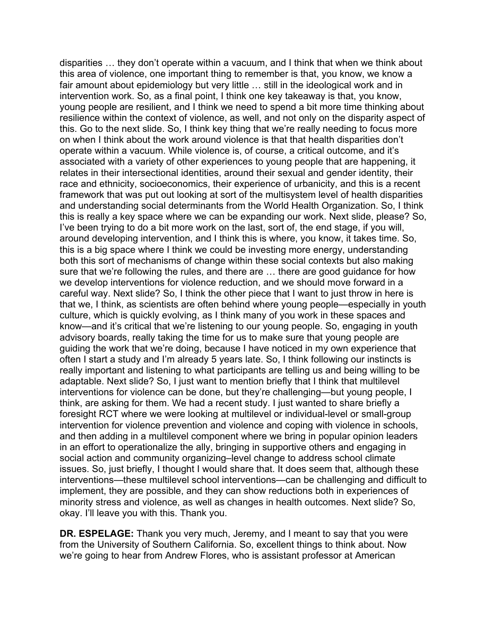disparities … they don't operate within a vacuum, and I think that when we think about this area of violence, one important thing to remember is that, you know, we know a fair amount about epidemiology but very little … still in the ideological work and in intervention work. So, as a final point, I think one key takeaway is that, you know, young people are resilient, and I think we need to spend a bit more time thinking about resilience within the context of violence, as well, and not only on the disparity aspect of this. Go to the next slide. So, I think key thing that we're really needing to focus more on when I think about the work around violence is that that health disparities don't operate within a vacuum. While violence is, of course, a critical outcome, and it's associated with a variety of other experiences to young people that are happening, it relates in their intersectional identities, around their sexual and gender identity, their race and ethnicity, socioeconomics, their experience of urbanicity, and this is a recent framework that was put out looking at sort of the multisystem level of health disparities and understanding social determinants from the World Health Organization. So, I think this is really a key space where we can be expanding our work. Next slide, please? So, I've been trying to do a bit more work on the last, sort of, the end stage, if you will, around developing intervention, and I think this is where, you know, it takes time. So, this is a big space where I think we could be investing more energy, understanding both this sort of mechanisms of change within these social contexts but also making sure that we're following the rules, and there are … there are good guidance for how we develop interventions for violence reduction, and we should move forward in a careful way. Next slide? So, I think the other piece that I want to just throw in here is that we, I think, as scientists are often behind where young people—especially in youth culture, which is quickly evolving, as I think many of you work in these spaces and know—and it's critical that we're listening to our young people. So, engaging in youth advisory boards, really taking the time for us to make sure that young people are guiding the work that we're doing, because I have noticed in my own experience that often I start a study and I'm already 5 years late. So, I think following our instincts is really important and listening to what participants are telling us and being willing to be adaptable. Next slide? So, I just want to mention briefly that I think that multilevel interventions for violence can be done, but they're challenging—but young people, I think, are asking for them. We had a recent study. I just wanted to share briefly a foresight RCT where we were looking at multilevel or individual-level or small-group intervention for violence prevention and violence and coping with violence in schools, and then adding in a multilevel component where we bring in popular opinion leaders in an effort to operationalize the ally, bringing in supportive others and engaging in social action and community organizing–level change to address school climate issues. So, just briefly, I thought I would share that. It does seem that, although these interventions—these multilevel school interventions—can be challenging and difficult to implement, they are possible, and they can show reductions both in experiences of minority stress and violence, as well as changes in health outcomes. Next slide? So, okay. I'll leave you with this. Thank you.

 we're going to hear from Andrew Flores, who is assistant professor at American **DR. ESPELAGE:** Thank you very much, Jeremy, and I meant to say that you were from the University of Southern California. So, excellent things to think about. Now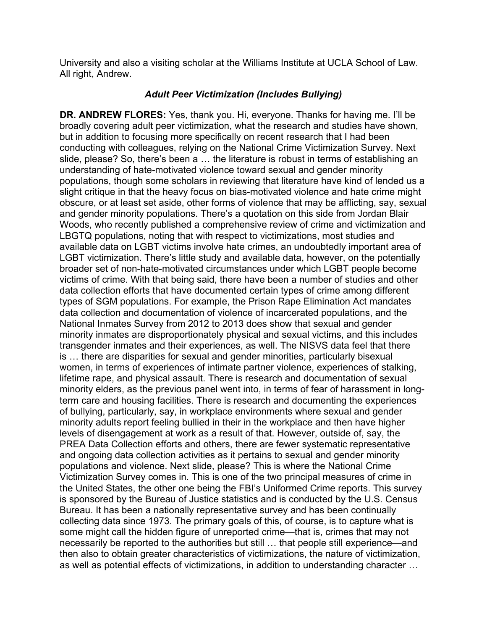University and also a visiting scholar at the Williams Institute at UCLA School of Law. All right, Andrew.

## *Adult Peer Victimization (Includes Bullying)*

**DR. ANDREW FLORES:** Yes, thank you. Hi, everyone. Thanks for having me. I'll be broadly covering adult peer victimization, what the research and studies have shown, but in addition to focusing more specifically on recent research that I had been conducting with colleagues, relying on the National Crime Victimization Survey. Next slide, please? So, there's been a … the literature is robust in terms of establishing an understanding of hate-motivated violence toward sexual and gender minority populations, though some scholars in reviewing that literature have kind of lended us a slight critique in that the heavy focus on bias-motivated violence and hate crime might obscure, or at least set aside, other forms of violence that may be afflicting, say, sexual and gender minority populations. There's a quotation on this side from Jordan Blair Woods, who recently published a comprehensive review of crime and victimization and LBGTQ populations, noting that with respect to victimizations, most studies and available data on LGBT victims involve hate crimes, an undoubtedly important area of LGBT victimization. There's little study and available data, however, on the potentially broader set of non-hate-motivated circumstances under which LGBT people become victims of crime. With that being said, there have been a number of studies and other data collection efforts that have documented certain types of crime among different types of SGM populations. For example, the Prison Rape Elimination Act mandates data collection and documentation of violence of incarcerated populations, and the National Inmates Survey from 2012 to 2013 does show that sexual and gender minority inmates are disproportionately physical and sexual victims, and this includes transgender inmates and their experiences, as well. The NISVS data feel that there is … there are disparities for sexual and gender minorities, particularly bisexual women, in terms of experiences of intimate partner violence, experiences of stalking, lifetime rape, and physical assault. There is research and documentation of sexual minority elders, as the previous panel went into, in terms of fear of harassment in longterm care and housing facilities. There is research and documenting the experiences of bullying, particularly, say, in workplace environments where sexual and gender minority adults report feeling bullied in their in the workplace and then have higher levels of disengagement at work as a result of that. However, outside of, say, the PREA Data Collection efforts and others, there are fewer systematic representative and ongoing data collection activities as it pertains to sexual and gender minority populations and violence. Next slide, please? This is where the National Crime Victimization Survey comes in. This is one of the two principal measures of crime in the United States, the other one being the FBI's Uniformed Crime reports. This survey is sponsored by the Bureau of Justice statistics and is conducted by the U.S. Census Bureau. It has been a nationally representative survey and has been continually collecting data since 1973. The primary goals of this, of course, is to capture what is some might call the hidden figure of unreported crime—that is, crimes that may not necessarily be reported to the authorities but still … that people still experience—and then also to obtain greater characteristics of victimizations, the nature of victimization, as well as potential effects of victimizations, in addition to understanding character …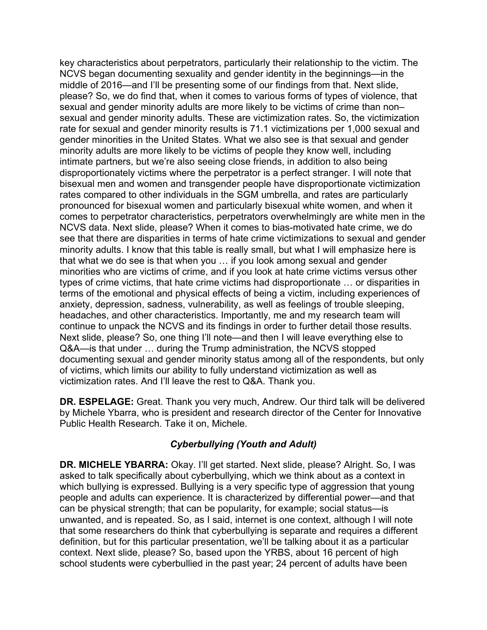key characteristics about perpetrators, particularly their relationship to the victim. The NCVS began documenting sexuality and gender identity in the beginnings—in the middle of 2016—and I'll be presenting some of our findings from that. Next slide, please? So, we do find that, when it comes to various forms of types of violence, that sexual and gender minority adults are more likely to be victims of crime than non– sexual and gender minority adults. These are victimization rates. So, the victimization rate for sexual and gender minority results is 71.1 victimizations per 1,000 sexual and gender minorities in the United States. What we also see is that sexual and gender minority adults are more likely to be victims of people they know well, including intimate partners, but we're also seeing close friends, in addition to also being disproportionately victims where the perpetrator is a perfect stranger. I will note that bisexual men and women and transgender people have disproportionate victimization rates compared to other individuals in the SGM umbrella, and rates are particularly pronounced for bisexual women and particularly bisexual white women, and when it comes to perpetrator characteristics, perpetrators overwhelmingly are white men in the NCVS data. Next slide, please? When it comes to bias-motivated hate crime, we do see that there are disparities in terms of hate crime victimizations to sexual and gender minority adults. I know that this table is really small, but what I will emphasize here is that what we do see is that when you … if you look among sexual and gender minorities who are victims of crime, and if you look at hate crime victims versus other types of crime victims, that hate crime victims had disproportionate … or disparities in terms of the emotional and physical effects of being a victim, including experiences of anxiety, depression, sadness, vulnerability, as well as feelings of trouble sleeping, headaches, and other characteristics. Importantly, me and my research team will continue to unpack the NCVS and its findings in order to further detail those results. Next slide, please? So, one thing I'll note—and then I will leave everything else to Q&A—is that under … during the Trump administration, the NCVS stopped documenting sexual and gender minority status among all of the respondents, but only of victims, which limits our ability to fully understand victimization as well as victimization rates. And I'll leave the rest to Q&A. Thank you.

**DR. ESPELAGE:** Great. Thank you very much, Andrew. Our third talk will be delivered by Michele Ybarra, who is president and research director of the Center for Innovative Public Health Research. Take it on, Michele.

# *Cyberbullying (Youth and Adult)*

**DR. MICHELE YBARRA:** Okay. I'll get started. Next slide, please? Alright. So, I was asked to talk specifically about cyberbullying, which we think about as a context in which bullying is expressed. Bullying is a very specific type of aggression that young people and adults can experience. It is characterized by differential power—and that can be physical strength; that can be popularity, for example; social status—is unwanted, and is repeated. So, as I said, internet is one context, although I will note that some researchers do think that cyberbullying is separate and requires a different definition, but for this particular presentation, we'll be talking about it as a particular context. Next slide, please? So, based upon the YRBS, about 16 percent of high school students were cyberbullied in the past year; 24 percent of adults have been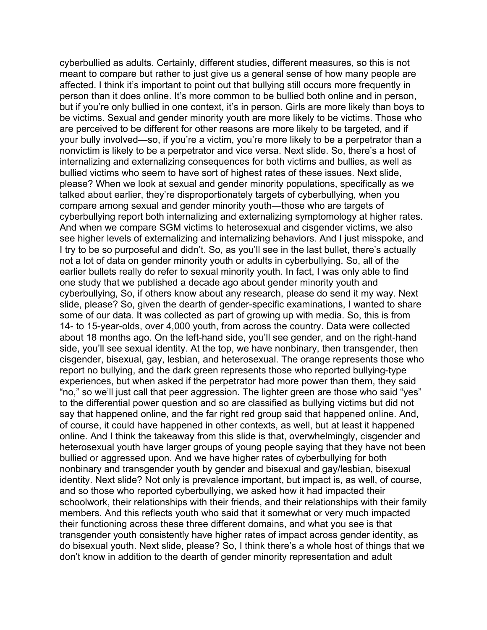cyberbullied as adults. Certainly, different studies, different measures, so this is not meant to compare but rather to just give us a general sense of how many people are affected. I think it's important to point out that bullying still occurs more frequently in person than it does online. It's more common to be bullied both online and in person, but if you're only bullied in one context, it's in person. Girls are more likely than boys to be victims. Sexual and gender minority youth are more likely to be victims. Those who are perceived to be different for other reasons are more likely to be targeted, and if your bully involved—so, if you're a victim, you're more likely to be a perpetrator than a nonvictim is likely to be a perpetrator and vice versa. Next slide. So, there's a host of internalizing and externalizing consequences for both victims and bullies, as well as bullied victims who seem to have sort of highest rates of these issues. Next slide, please? When we look at sexual and gender minority populations, specifically as we talked about earlier, they're disproportionately targets of cyberbullying, when you compare among sexual and gender minority youth—those who are targets of cyberbullying report both internalizing and externalizing symptomology at higher rates. And when we compare SGM victims to heterosexual and cisgender victims, we also see higher levels of externalizing and internalizing behaviors. And I just misspoke, and I try to be so purposeful and didn't. So, as you'll see in the last bullet, there's actually not a lot of data on gender minority youth or adults in cyberbullying. So, all of the earlier bullets really do refer to sexual minority youth. In fact, I was only able to find one study that we published a decade ago about gender minority youth and cyberbullying, So, if others know about any research, please do send it my way. Next slide, please? So, given the dearth of gender-specific examinations, I wanted to share some of our data. It was collected as part of growing up with media. So, this is from 14- to 15-year-olds, over 4,000 youth, from across the country. Data were collected about 18 months ago. On the left-hand side, you'll see gender, and on the right-hand side, you'll see sexual identity. At the top, we have nonbinary, then transgender, then cisgender, bisexual, gay, lesbian, and heterosexual. The orange represents those who report no bullying, and the dark green represents those who reported bullying-type experiences, but when asked if the perpetrator had more power than them, they said "no," so we'll just call that peer aggression. The lighter green are those who said "yes" to the differential power question and so are classified as bullying victims but did not say that happened online, and the far right red group said that happened online. And, of course, it could have happened in other contexts, as well, but at least it happened online. And I think the takeaway from this slide is that, overwhelmingly, cisgender and heterosexual youth have larger groups of young people saying that they have not been bullied or aggressed upon. And we have higher rates of cyberbullying for both nonbinary and transgender youth by gender and bisexual and gay/lesbian, bisexual identity. Next slide? Not only is prevalence important, but impact is, as well, of course, and so those who reported cyberbullying, we asked how it had impacted their schoolwork, their relationships with their friends, and their relationships with their family members. And this reflects youth who said that it somewhat or very much impacted their functioning across these three different domains, and what you see is that transgender youth consistently have higher rates of impact across gender identity, as do bisexual youth. Next slide, please? So, I think there's a whole host of things that we don't know in addition to the dearth of gender minority representation and adult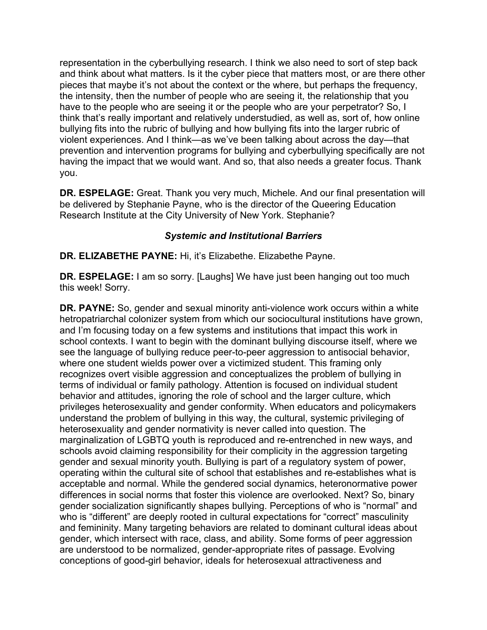representation in the cyberbullying research. I think we also need to sort of step back and think about what matters. Is it the cyber piece that matters most, or are there other pieces that maybe it's not about the context or the where, but perhaps the frequency, the intensity, then the number of people who are seeing it, the relationship that you have to the people who are seeing it or the people who are your perpetrator? So, I think that's really important and relatively understudied, as well as, sort of, how online bullying fits into the rubric of bullying and how bullying fits into the larger rubric of violent experiences. And I think—as we've been talking about across the day—that prevention and intervention programs for bullying and cyberbullying specifically are not having the impact that we would want. And so, that also needs a greater focus. Thank you.

**DR. ESPELAGE:** Great. Thank you very much, Michele. And our final presentation will be delivered by Stephanie Payne, who is the director of the Queering Education Research Institute at the City University of New York. Stephanie?

## *Systemic and Institutional Barriers*

**DR. ELIZABETHE PAYNE:** Hi, it's Elizabethe. Elizabethe Payne.

**DR. ESPELAGE:** I am so sorry. [Laughs] We have just been hanging out too much this week! Sorry.

**DR. PAYNE:** So, gender and sexual minority anti-violence work occurs within a white hetropatriarchal colonizer system from which our sociocultural institutions have grown, and I'm focusing today on a few systems and institutions that impact this work in school contexts. I want to begin with the dominant bullying discourse itself, where we see the language of bullying reduce peer-to-peer aggression to antisocial behavior, where one student wields power over a victimized student. This framing only recognizes overt visible aggression and conceptualizes the problem of bullying in terms of individual or family pathology. Attention is focused on individual student behavior and attitudes, ignoring the role of school and the larger culture, which privileges heterosexuality and gender conformity. When educators and policymakers understand the problem of bullying in this way, the cultural, systemic privileging of heterosexuality and gender normativity is never called into question. The marginalization of LGBTQ youth is reproduced and re-entrenched in new ways, and schools avoid claiming responsibility for their complicity in the aggression targeting gender and sexual minority youth. Bullying is part of a regulatory system of power, operating within the cultural site of school that establishes and re-establishes what is acceptable and normal. While the gendered social dynamics, heteronormative power differences in social norms that foster this violence are overlooked. Next? So, binary gender socialization significantly shapes bullying. Perceptions of who is "normal" and who is "different" are deeply rooted in cultural expectations for "correct" masculinity and femininity. Many targeting behaviors are related to dominant cultural ideas about gender, which intersect with race, class, and ability. Some forms of peer aggression are understood to be normalized, gender-appropriate rites of passage. Evolving conceptions of good-girl behavior, ideals for heterosexual attractiveness and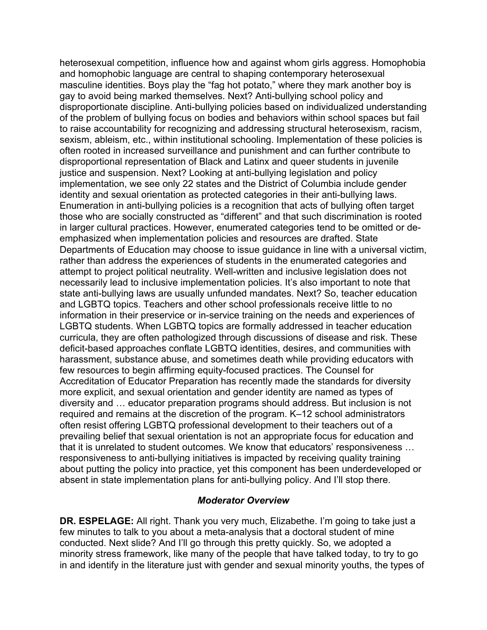heterosexual competition, influence how and against whom girls aggress. Homophobia and homophobic language are central to shaping contemporary heterosexual masculine identities. Boys play the "fag hot potato," where they mark another boy is gay to avoid being marked themselves. Next? Anti-bullying school policy and disproportionate discipline. Anti-bullying policies based on individualized understanding of the problem of bullying focus on bodies and behaviors within school spaces but fail to raise accountability for recognizing and addressing structural heterosexism, racism, sexism, ableism, etc., within institutional schooling. Implementation of these policies is often rooted in increased surveillance and punishment and can further contribute to disproportional representation of Black and Latinx and queer students in juvenile justice and suspension. Next? Looking at anti-bullying legislation and policy implementation, we see only 22 states and the District of Columbia include gender identity and sexual orientation as protected categories in their anti-bullying laws. Enumeration in anti-bullying policies is a recognition that acts of bullying often target those who are socially constructed as "different" and that such discrimination is rooted in larger cultural practices. However, enumerated categories tend to be omitted or deemphasized when implementation policies and resources are drafted. State Departments of Education may choose to issue guidance in line with a universal victim, rather than address the experiences of students in the enumerated categories and attempt to project political neutrality. Well-written and inclusive legislation does not necessarily lead to inclusive implementation policies. It's also important to note that state anti-bullying laws are usually unfunded mandates. Next? So, teacher education and LGBTQ topics. Teachers and other school professionals receive little to no information in their preservice or in-service training on the needs and experiences of LGBTQ students. When LGBTQ topics are formally addressed in teacher education curricula, they are often pathologized through discussions of disease and risk. These deficit-based approaches conflate LGBTQ identities, desires, and communities with harassment, substance abuse, and sometimes death while providing educators with few resources to begin affirming equity-focused practices. The Counsel for Accreditation of Educator Preparation has recently made the standards for diversity more explicit, and sexual orientation and gender identity are named as types of diversity and … educator preparation programs should address. But inclusion is not required and remains at the discretion of the program. K–12 school administrators often resist offering LGBTQ professional development to their teachers out of a prevailing belief that sexual orientation is not an appropriate focus for education and that it is unrelated to student outcomes. We know that educators' responsiveness … responsiveness to anti-bullying initiatives is impacted by receiving quality training about putting the policy into practice, yet this component has been underdeveloped or absent in state implementation plans for anti-bullying policy. And I'll stop there.

## *Moderator Overview*

**DR. ESPELAGE:** All right. Thank you very much, Elizabethe. I'm going to take just a few minutes to talk to you about a meta-analysis that a doctoral student of mine conducted. Next slide? And I'll go through this pretty quickly. So, we adopted a minority stress framework, like many of the people that have talked today, to try to go in and identify in the literature just with gender and sexual minority youths, the types of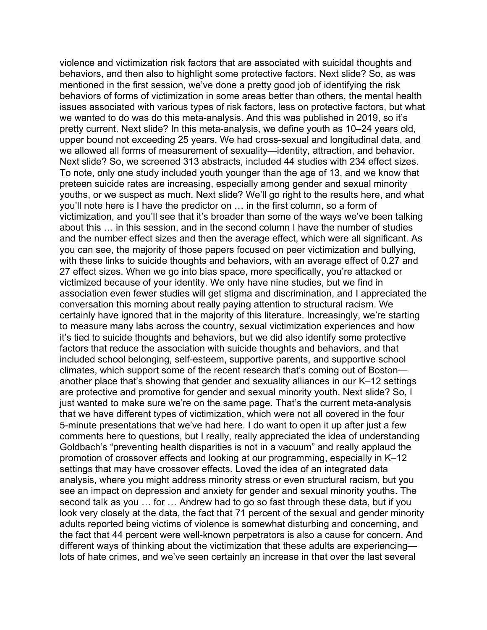violence and victimization risk factors that are associated with suicidal thoughts and behaviors, and then also to highlight some protective factors. Next slide? So, as was mentioned in the first session, we've done a pretty good job of identifying the risk behaviors of forms of victimization in some areas better than others, the mental health issues associated with various types of risk factors, less on protective factors, but what we wanted to do was do this meta-analysis. And this was published in 2019, so it's pretty current. Next slide? In this meta-analysis, we define youth as 10–24 years old, upper bound not exceeding 25 years. We had cross-sexual and longitudinal data, and we allowed all forms of measurement of sexuality—identity, attraction, and behavior. Next slide? So, we screened 313 abstracts, included 44 studies with 234 effect sizes. To note, only one study included youth younger than the age of 13, and we know that preteen suicide rates are increasing, especially among gender and sexual minority youths, or we suspect as much. Next slide? We'll go right to the results here, and what you'll note here is I have the predictor on … in the first column, so a form of victimization, and you'll see that it's broader than some of the ways we've been talking about this … in this session, and in the second column I have the number of studies and the number effect sizes and then the average effect, which were all significant. As you can see, the majority of those papers focused on peer victimization and bullying, with these links to suicide thoughts and behaviors, with an average effect of 0.27 and 27 effect sizes. When we go into bias space, more specifically, you're attacked or victimized because of your identity. We only have nine studies, but we find in association even fewer studies will get stigma and discrimination, and I appreciated the conversation this morning about really paying attention to structural racism. We certainly have ignored that in the majority of this literature. Increasingly, we're starting to measure many labs across the country, sexual victimization experiences and how it's tied to suicide thoughts and behaviors, but we did also identify some protective factors that reduce the association with suicide thoughts and behaviors, and that included school belonging, self-esteem, supportive parents, and supportive school climates, which support some of the recent research that's coming out of Boston another place that's showing that gender and sexuality alliances in our K–12 settings are protective and promotive for gender and sexual minority youth. Next slide? So, I just wanted to make sure we're on the same page. That's the current meta-analysis that we have different types of victimization, which were not all covered in the four 5-minute presentations that we've had here. I do want to open it up after just a few comments here to questions, but I really, really appreciated the idea of understanding Goldbach's "preventing health disparities is not in a vacuum" and really applaud the promotion of crossover effects and looking at our programming, especially in K–12 settings that may have crossover effects. Loved the idea of an integrated data analysis, where you might address minority stress or even structural racism, but you see an impact on depression and anxiety for gender and sexual minority youths. The second talk as you … for … Andrew had to go so fast through these data, but if you look very closely at the data, the fact that 71 percent of the sexual and gender minority adults reported being victims of violence is somewhat disturbing and concerning, and the fact that 44 percent were well-known perpetrators is also a cause for concern. And different ways of thinking about the victimization that these adults are experiencing lots of hate crimes, and we've seen certainly an increase in that over the last several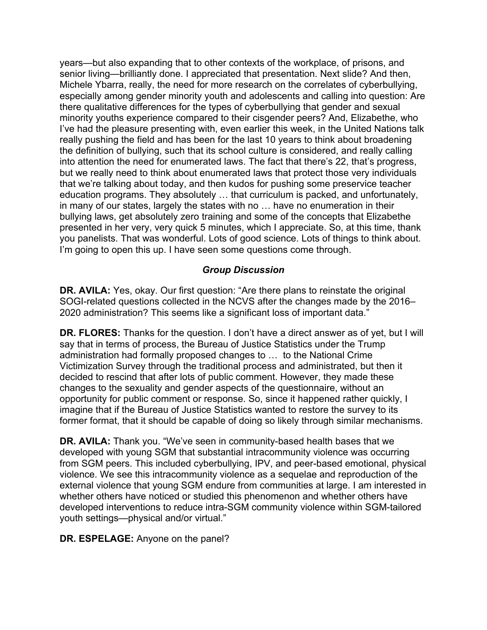years—but also expanding that to other contexts of the workplace, of prisons, and senior living—brilliantly done. I appreciated that presentation. Next slide? And then, Michele Ybarra, really, the need for more research on the correlates of cyberbullying, especially among gender minority youth and adolescents and calling into question: Are there qualitative differences for the types of cyberbullying that gender and sexual minority youths experience compared to their cisgender peers? And, Elizabethe, who I've had the pleasure presenting with, even earlier this week, in the United Nations talk really pushing the field and has been for the last 10 years to think about broadening the definition of bullying, such that its school culture is considered, and really calling into attention the need for enumerated laws. The fact that there's 22, that's progress, but we really need to think about enumerated laws that protect those very individuals that we're talking about today, and then kudos for pushing some preservice teacher education programs. They absolutely … that curriculum is packed, and unfortunately, in many of our states, largely the states with no … have no enumeration in their bullying laws, get absolutely zero training and some of the concepts that Elizabethe presented in her very, very quick 5 minutes, which I appreciate. So, at this time, thank you panelists. That was wonderful. Lots of good science. Lots of things to think about. I'm going to open this up. I have seen some questions come through.

### *Group Discussion*

**DR. AVILA:** Yes, okay. Our first question: "Are there plans to reinstate the original SOGI-related questions collected in the NCVS after the changes made by the 2016– 2020 administration? This seems like a significant loss of important data."

 **DR. FLORES:** Thanks for the question. I don't have a direct answer as of yet, but I will administration had formally proposed changes to … to the National Crime imagine that if the Bureau of Justice Statistics wanted to restore the survey to its former format, that it should be capable of doing so likely through similar mechanisms. say that in terms of process, the Bureau of Justice Statistics under the Trump Victimization Survey through the traditional process and administrated, but then it decided to rescind that after lots of public comment. However, they made these changes to the sexuality and gender aspects of the questionnaire, without an opportunity for public comment or response. So, since it happened rather quickly, I

**DR. AVILA:** Thank you. "We've seen in community-based health bases that we developed with young SGM that substantial intracommunity violence was occurring from SGM peers. This included cyberbullying, IPV, and peer-based emotional, physical violence. We see this intracommunity violence as a sequelae and reproduction of the external violence that young SGM endure from communities at large. I am interested in whether others have noticed or studied this phenomenon and whether others have developed interventions to reduce intra-SGM community violence within SGM-tailored youth settings—physical and/or virtual."

#### **DR. ESPELAGE:** Anyone on the panel?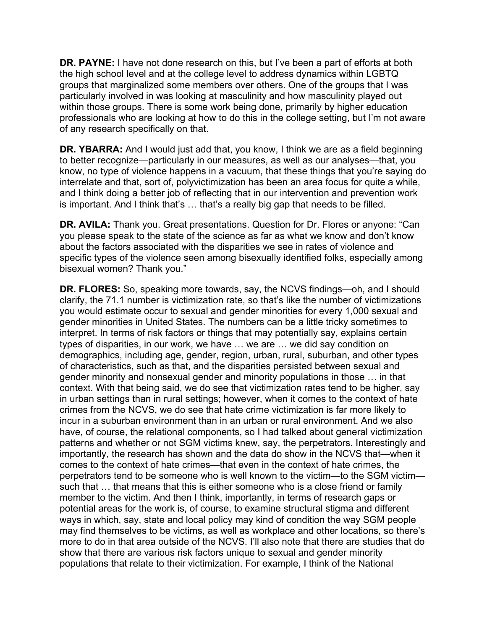**DR. PAYNE:** I have not done research on this, but I've been a part of efforts at both the high school level and at the college level to address dynamics within LGBTQ groups that marginalized some members over others. One of the groups that I was particularly involved in was looking at masculinity and how masculinity played out within those groups. There is some work being done, primarily by higher education professionals who are looking at how to do this in the college setting, but I'm not aware of any research specifically on that.

 know, no type of violence happens in a vacuum, that these things that you're saying do **DR. YBARRA:** And I would just add that, you know, I think we are as a field beginning to better recognize—particularly in our measures, as well as our analyses—that, you interrelate and that, sort of, polyvictimization has been an area focus for quite a while, and I think doing a better job of reflecting that in our intervention and prevention work is important. And I think that's … that's a really big gap that needs to be filled.

 you please speak to the state of the science as far as what we know and don't know bisexual women? Thank you." **DR. AVILA:** Thank you. Great presentations. Question for Dr. Flores or anyone: "Can about the factors associated with the disparities we see in rates of violence and specific types of the violence seen among bisexually identified folks, especially among

**DR. FLORES:** So, speaking more towards, say, the NCVS findings—oh, and I should clarify, the 71.1 number is victimization rate, so that's like the number of victimizations you would estimate occur to sexual and gender minorities for every 1,000 sexual and gender minorities in United States. The numbers can be a little tricky sometimes to interpret. In terms of risk factors or things that may potentially say, explains certain types of disparities, in our work, we have … we are … we did say condition on demographics, including age, gender, region, urban, rural, suburban, and other types of characteristics, such as that, and the disparities persisted between sexual and gender minority and nonsexual gender and minority populations in those … in that context. With that being said, we do see that victimization rates tend to be higher, say in urban settings than in rural settings; however, when it comes to the context of hate crimes from the NCVS, we do see that hate crime victimization is far more likely to incur in a suburban environment than in an urban or rural environment. And we also have, of course, the relational components, so I had talked about general victimization patterns and whether or not SGM victims knew, say, the perpetrators. Interestingly and importantly, the research has shown and the data do show in the NCVS that—when it comes to the context of hate crimes—that even in the context of hate crimes, the perpetrators tend to be someone who is well known to the victim—to the SGM victim such that … that means that this is either someone who is a close friend or family member to the victim. And then I think, importantly, in terms of research gaps or potential areas for the work is, of course, to examine structural stigma and different ways in which, say, state and local policy may kind of condition the way SGM people may find themselves to be victims, as well as workplace and other locations, so there's more to do in that area outside of the NCVS. I'll also note that there are studies that do show that there are various risk factors unique to sexual and gender minority populations that relate to their victimization. For example, I think of the National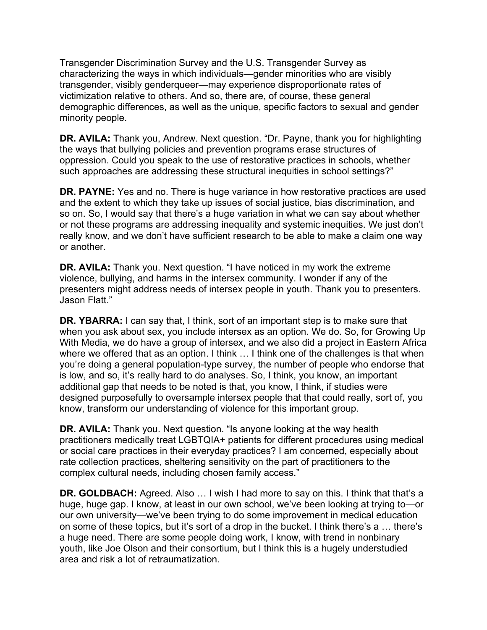Transgender Discrimination Survey and the U.S. Transgender Survey as characterizing the ways in which individuals—gender minorities who are visibly transgender, visibly genderqueer—may experience disproportionate rates of victimization relative to others. And so, there are, of course, these general demographic differences, as well as the unique, specific factors to sexual and gender minority people.

**DR. AVILA:** Thank you, Andrew. Next question. "Dr. Payne, thank you for highlighting the ways that bullying policies and prevention programs erase structures of oppression. Could you speak to the use of restorative practices in schools, whether such approaches are addressing these structural inequities in school settings?"

**DR. PAYNE:** Yes and no. There is huge variance in how restorative practices are used and the extent to which they take up issues of social justice, bias discrimination, and so on. So, I would say that there's a huge variation in what we can say about whether or not these programs are addressing inequality and systemic inequities. We just don't really know, and we don't have sufficient research to be able to make a claim one way or another.

**DR. AVILA:** Thank you. Next question. "I have noticed in my work the extreme violence, bullying, and harms in the intersex community. I wonder if any of the presenters might address needs of intersex people in youth. Thank you to presenters. Jason Flatt."

**DR. YBARRA:** I can say that, I think, sort of an important step is to make sure that when you ask about sex, you include intersex as an option. We do. So, for Growing Up With Media, we do have a group of intersex, and we also did a project in Eastern Africa where we offered that as an option. I think ... I think one of the challenges is that when you're doing a general population-type survey, the number of people who endorse that is low, and so, it's really hard to do analyses. So, I think, you know, an important additional gap that needs to be noted is that, you know, I think, if studies were designed purposefully to oversample intersex people that that could really, sort of, you know, transform our understanding of violence for this important group.

**DR. AVILA:** Thank you. Next question. "Is anyone looking at the way health practitioners medically treat LGBTQIA+ patients for different procedures using medical or social care practices in their everyday practices? I am concerned, especially about rate collection practices, sheltering sensitivity on the part of practitioners to the complex cultural needs, including chosen family access."

 our own university—we've been trying to do some improvement in medical education a huge need. There are some people doing work, I know, with trend in nonbinary youth, like Joe Olson and their consortium, but I think this is a hugely understudied **DR. GOLDBACH:** Agreed. Also ... I wish I had more to say on this. I think that that's a huge, huge gap. I know, at least in our own school, we've been looking at trying to—or on some of these topics, but it's sort of a drop in the bucket. I think there's a … there's area and risk a lot of retraumatization.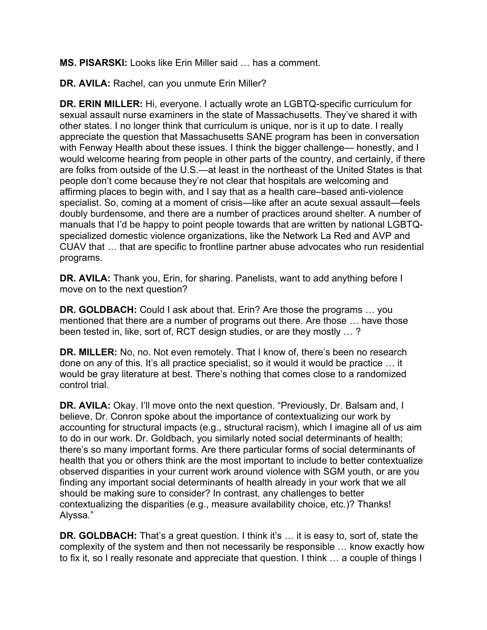**MS. PISARSKI:** Looks like Erin Miller said … has a comment.

**DR. AVILA:** Rachel, can you unmute Erin Miller?

 other states. I no longer think that curriculum is unique, nor is it up to date. I really people don't come because they're not clear that hospitals are welcoming and manuals that I'd be happy to point people towards that are written by national LGBTQ- CUAV that … that are specific to frontline partner abuse advocates who run residential **DR. ERIN MILLER:** Hi, everyone. I actually wrote an LGBTQ-specific curriculum for sexual assault nurse examiners in the state of Massachusetts. They've shared it with appreciate the question that Massachusetts SANE program has been in conversation with Fenway Health about these issues. I think the bigger challenge— honestly, and I would welcome hearing from people in other parts of the country, and certainly, if there are folks from outside of the U.S.—at least in the northeast of the United States is that affirming places to begin with, and I say that as a health care–based anti-violence specialist. So, coming at a moment of crisis—like after an acute sexual assault—feels doubly burdensome, and there are a number of practices around shelter. A number of specialized domestic violence organizations, like the Network La Red and AVP and programs.

**DR. AVILA:** Thank you, Erin, for sharing. Panelists, want to add anything before I move on to the next question?

 been tested in, like, sort of, RCT design studies, or are they mostly … ? **DR. GOLDBACH:** Could I ask about that. Erin? Are those the programs … you mentioned that there are a number of programs out there. Are those … have those

**DR. MILLER:** No, no. Not even remotely. That I know of, there's been no research done on any of this. It's all practice specialist, so it would it would be practice … it would be gray literature at best. There's nothing that comes close to a randomized control trial.

 **DR. AVILA:** Okay. I'll move onto the next question. "Previously, Dr. Balsam and, I to do in our work. Dr. Goldbach, you similarly noted social determinants of health; finding any important social determinants of health already in your work that we all believe, Dr. Conron spoke about the importance of contextualizing our work by accounting for structural impacts (e.g., structural racism), which I imagine all of us aim there's so many important forms. Are there particular forms of social determinants of health that you or others think are the most important to include to better contextualize observed disparities in your current work around violence with SGM youth, or are you should be making sure to consider? In contrast, any challenges to better contextualizing the disparities (e.g., measure availability choice, etc.)? Thanks! Alyssa."

 **DR. GOLDBACH:** That's a great question. I think it's … it is easy to, sort of, state the complexity of the system and then not necessarily be responsible … know exactly how to fix it, so I really resonate and appreciate that question. I think … a couple of things I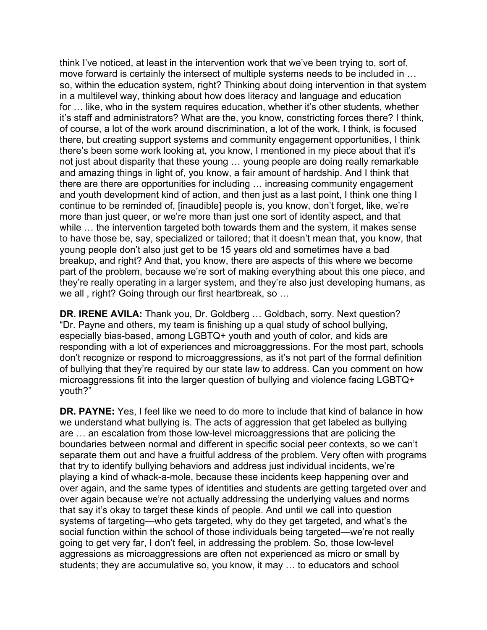think I've noticed, at least in the intervention work that we've been trying to, sort of, move forward is certainly the intersect of multiple systems needs to be included in … so, within the education system, right? Thinking about doing intervention in that system in a multilevel way, thinking about how does literacy and language and education for … like, who in the system requires education, whether it's other students, whether it's staff and administrators? What are the, you know, constricting forces there? I think, of course, a lot of the work around discrimination, a lot of the work, I think, is focused there, but creating support systems and community engagement opportunities, I think there's been some work looking at, you know, I mentioned in my piece about that it's not just about disparity that these young … young people are doing really remarkable and amazing things in light of, you know, a fair amount of hardship. And I think that there are there are opportunities for including … increasing community engagement and youth development kind of action, and then just as a last point, I think one thing I continue to be reminded of, [inaudible] people is, you know, don't forget, like, we're more than just queer, or we're more than just one sort of identity aspect, and that while … the intervention targeted both towards them and the system, it makes sense to have those be, say, specialized or tailored; that it doesn't mean that, you know, that young people don't also just get to be 15 years old and sometimes have a bad breakup, and right? And that, you know, there are aspects of this where we become part of the problem, because we're sort of making everything about this one piece, and they're really operating in a larger system, and they're also just developing humans, as we all , right? Going through our first heartbreak, so …

 **DR. IRENE AVILA:** Thank you, Dr. Goldberg … Goldbach, sorry. Next question? don't recognize or respond to microaggressions, as it's not part of the formal definition of bullying that they're required by our state law to address. Can you comment on how "Dr. Payne and others, my team is finishing up a qual study of school bullying, especially bias-based, among LGBTQ+ youth and youth of color, and kids are responding with a lot of experiences and microaggressions. For the most part, schools microaggressions fit into the larger question of bullying and violence facing LGBTQ+ youth?"

**DR. PAYNE:** Yes, I feel like we need to do more to include that kind of balance in how we understand what bullying is. The acts of aggression that get labeled as bullying are … an escalation from those low-level microaggressions that are policing the boundaries between normal and different in specific social peer contexts, so we can't separate them out and have a fruitful address of the problem. Very often with programs that try to identify bullying behaviors and address just individual incidents, we're playing a kind of whack-a-mole, because these incidents keep happening over and over again, and the same types of identities and students are getting targeted over and over again because we're not actually addressing the underlying values and norms that say it's okay to target these kinds of people. And until we call into question systems of targeting—who gets targeted, why do they get targeted, and what's the social function within the school of those individuals being targeted—we're not really going to get very far, I don't feel, in addressing the problem. So, those low-level aggressions as microaggressions are often not experienced as micro or small by students; they are accumulative so, you know, it may … to educators and school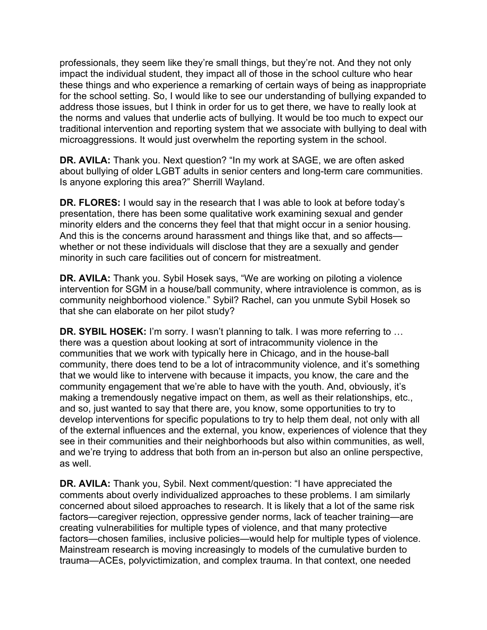professionals, they seem like they're small things, but they're not. And they not only impact the individual student, they impact all of those in the school culture who hear these things and who experience a remarking of certain ways of being as inappropriate for the school setting. So, I would like to see our understanding of bullying expanded to address those issues, but I think in order for us to get there, we have to really look at the norms and values that underlie acts of bullying. It would be too much to expect our traditional intervention and reporting system that we associate with bullying to deal with microaggressions. It would just overwhelm the reporting system in the school.

**DR. AVILA:** Thank you. Next question? "In my work at SAGE, we are often asked about bullying of older LGBT adults in senior centers and long-term care communities. Is anyone exploring this area?" Sherrill Wayland.

**DR. FLORES:** I would say in the research that I was able to look at before today's presentation, there has been some qualitative work examining sexual and gender minority elders and the concerns they feel that that might occur in a senior housing. And this is the concerns around harassment and things like that, and so affects whether or not these individuals will disclose that they are a sexually and gender minority in such care facilities out of concern for mistreatment.

 **DR. AVILA:** Thank you. Sybil Hosek says, "We are working on piloting a violence intervention for SGM in a house/ball community, where intraviolence is common, as is community neighborhood violence." Sybil? Rachel, can you unmute Sybil Hosek so that she can elaborate on her pilot study?

**DR. SYBIL HOSEK:** I'm sorry. I wasn't planning to talk. I was more referring to ... there was a question about looking at sort of intracommunity violence in the communities that we work with typically here in Chicago, and in the house-ball community, there does tend to be a lot of intracommunity violence, and it's something that we would like to intervene with because it impacts, you know, the care and the community engagement that we're able to have with the youth. And, obviously, it's making a tremendously negative impact on them, as well as their relationships, etc., and so, just wanted to say that there are, you know, some opportunities to try to develop interventions for specific populations to try to help them deal, not only with all of the external influences and the external, you know, experiences of violence that they see in their communities and their neighborhoods but also within communities, as well, and we're trying to address that both from an in-person but also an online perspective, as well.

**DR. AVILA:** Thank you, Sybil. Next comment/question: "I have appreciated the comments about overly individualized approaches to these problems. I am similarly concerned about siloed approaches to research. It is likely that a lot of the same risk factors—caregiver rejection, oppressive gender norms, lack of teacher training—are creating vulnerabilities for multiple types of violence, and that many protective factors—chosen families, inclusive policies—would help for multiple types of violence. Mainstream research is moving increasingly to models of the cumulative burden to trauma—ACEs, polyvictimization, and complex trauma. In that context, one needed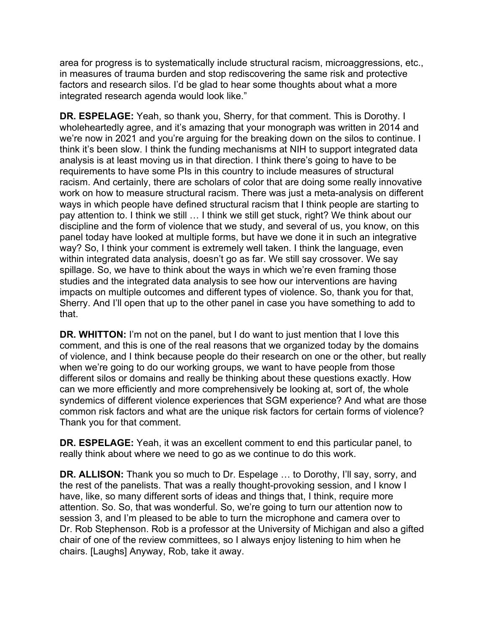area for progress is to systematically include structural racism, microaggressions, etc., in measures of trauma burden and stop rediscovering the same risk and protective factors and research silos. I'd be glad to hear some thoughts about what a more integrated research agenda would look like."

**DR. ESPELAGE:** Yeah, so thank you, Sherry, for that comment. This is Dorothy. I wholeheartedly agree, and it's amazing that your monograph was written in 2014 and we're now in 2021 and you're arguing for the breaking down on the silos to continue. I think it's been slow. I think the funding mechanisms at NIH to support integrated data analysis is at least moving us in that direction. I think there's going to have to be requirements to have some PIs in this country to include measures of structural racism. And certainly, there are scholars of color that are doing some really innovative work on how to measure structural racism. There was just a meta-analysis on different ways in which people have defined structural racism that I think people are starting to pay attention to. I think we still … I think we still get stuck, right? We think about our discipline and the form of violence that we study, and several of us, you know, on this panel today have looked at multiple forms, but have we done it in such an integrative way? So, I think your comment is extremely well taken. I think the language, even within integrated data analysis, doesn't go as far. We still say crossover. We say spillage. So, we have to think about the ways in which we're even framing those studies and the integrated data analysis to see how our interventions are having impacts on multiple outcomes and different types of violence. So, thank you for that, Sherry. And I'll open that up to the other panel in case you have something to add to that.

 **DR. WHITTON:** I'm not on the panel, but I do want to just mention that I love this of violence, and I think because people do their research on one or the other, but really different silos or domains and really be thinking about these questions exactly. How comment, and this is one of the real reasons that we organized today by the domains when we're going to do our working groups, we want to have people from those can we more efficiently and more comprehensively be looking at, sort of, the whole syndemics of different violence experiences that SGM experience? And what are those common risk factors and what are the unique risk factors for certain forms of violence? Thank you for that comment.

**DR. ESPELAGE:** Yeah, it was an excellent comment to end this particular panel, to really think about where we need to go as we continue to do this work.

**DR. ALLISON:** Thank you so much to Dr. Espelage … to Dorothy, I'll say, sorry, and the rest of the panelists. That was a really thought-provoking session, and I know I have, like, so many different sorts of ideas and things that, I think, require more attention. So. So, that was wonderful. So, we're going to turn our attention now to session 3, and I'm pleased to be able to turn the microphone and camera over to Dr. Rob Stephenson. Rob is a professor at the University of Michigan and also a gifted chair of one of the review committees, so I always enjoy listening to him when he chairs. [Laughs] Anyway, Rob, take it away.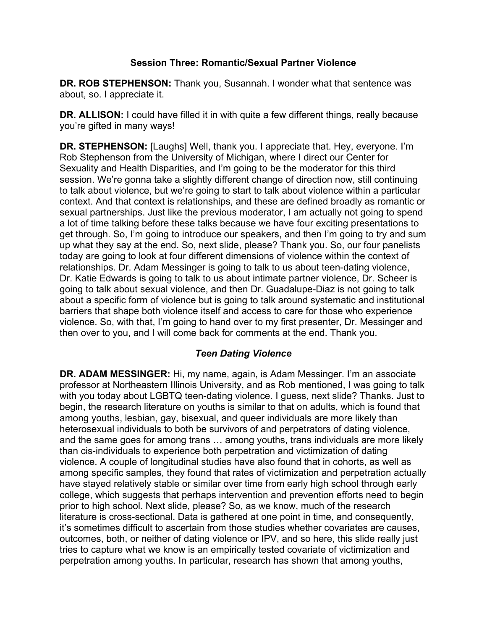## **Session Three: Romantic/Sexual Partner Violence**

**DR. ROB STEPHENSON:** Thank you, Susannah. I wonder what that sentence was about, so. I appreciate it.

**DR. ALLISON:** I could have filled it in with quite a few different things, really because you're gifted in many ways!

**DR. STEPHENSON:** [Laughs] Well, thank you. I appreciate that. Hey, everyone. I'm Rob Stephenson from the University of Michigan, where I direct our Center for Sexuality and Health Disparities, and I'm going to be the moderator for this third session. We're gonna take a slightly different change of direction now, still continuing to talk about violence, but we're going to start to talk about violence within a particular context. And that context is relationships, and these are defined broadly as romantic or sexual partnerships. Just like the previous moderator, I am actually not going to spend a lot of time talking before these talks because we have four exciting presentations to get through. So, I'm going to introduce our speakers, and then I'm going to try and sum up what they say at the end. So, next slide, please? Thank you. So, our four panelists today are going to look at four different dimensions of violence within the context of relationships. Dr. Adam Messinger is going to talk to us about teen-dating violence, Dr. Katie Edwards is going to talk to us about intimate partner violence, Dr. Scheer is going to talk about sexual violence, and then Dr. Guadalupe-Diaz is not going to talk about a specific form of violence but is going to talk around systematic and institutional barriers that shape both violence itself and access to care for those who experience violence. So, with that, I'm going to hand over to my first presenter, Dr. Messinger and then over to you, and I will come back for comments at the end. Thank you.

# *Teen Dating Violence*

**DR. ADAM MESSINGER:** Hi, my name, again, is Adam Messinger. I'm an associate professor at Northeastern Illinois University, and as Rob mentioned, I was going to talk with you today about LGBTQ teen-dating violence. I guess, next slide? Thanks. Just to begin, the research literature on youths is similar to that on adults, which is found that among youths, lesbian, gay, bisexual, and queer individuals are more likely than heterosexual individuals to both be survivors of and perpetrators of dating violence, and the same goes for among trans … among youths, trans individuals are more likely than cis-individuals to experience both perpetration and victimization of dating violence. A couple of longitudinal studies have also found that in cohorts, as well as among specific samples, they found that rates of victimization and perpetration actually have stayed relatively stable or similar over time from early high school through early college, which suggests that perhaps intervention and prevention efforts need to begin prior to high school. Next slide, please? So, as we know, much of the research literature is cross-sectional. Data is gathered at one point in time, and consequently, it's sometimes difficult to ascertain from those studies whether covariates are causes, outcomes, both, or neither of dating violence or IPV, and so here, this slide really just tries to capture what we know is an empirically tested covariate of victimization and perpetration among youths. In particular, research has shown that among youths,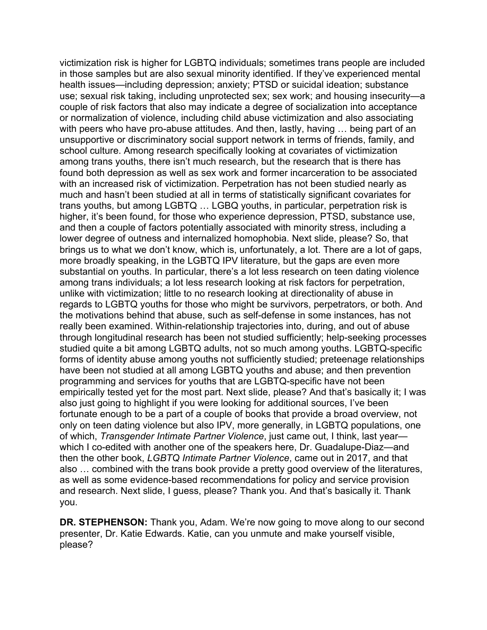victimization risk is higher for LGBTQ individuals; sometimes trans people are included in those samples but are also sexual minority identified. If they've experienced mental health issues—including depression; anxiety; PTSD or suicidal ideation; substance use; sexual risk taking, including unprotected sex; sex work; and housing insecurity—a couple of risk factors that also may indicate a degree of socialization into acceptance or normalization of violence, including child abuse victimization and also associating with peers who have pro-abuse attitudes. And then, lastly, having … being part of an unsupportive or discriminatory social support network in terms of friends, family, and school culture. Among research specifically looking at covariates of victimization among trans youths, there isn't much research, but the research that is there has found both depression as well as sex work and former incarceration to be associated with an increased risk of victimization. Perpetration has not been studied nearly as much and hasn't been studied at all in terms of statistically significant covariates for trans youths, but among LGBTQ … LGBQ youths, in particular, perpetration risk is higher, it's been found, for those who experience depression, PTSD, substance use, and then a couple of factors potentially associated with minority stress, including a lower degree of outness and internalized homophobia. Next slide, please? So, that brings us to what we don't know, which is, unfortunately, a lot. There are a lot of gaps, more broadly speaking, in the LGBTQ IPV literature, but the gaps are even more substantial on youths. In particular, there's a lot less research on teen dating violence among trans individuals; a lot less research looking at risk factors for perpetration, unlike with victimization; little to no research looking at directionality of abuse in regards to LGBTQ youths for those who might be survivors, perpetrators, or both. And the motivations behind that abuse, such as self-defense in some instances, has not really been examined. Within-relationship trajectories into, during, and out of abuse through longitudinal research has been not studied sufficiently; help-seeking processes studied quite a bit among LGBTQ adults, not so much among youths. LGBTQ-specific forms of identity abuse among youths not sufficiently studied; preteenage relationships have been not studied at all among LGBTQ youths and abuse; and then prevention programming and services for youths that are LGBTQ-specific have not been empirically tested yet for the most part. Next slide, please? And that's basically it; I was also just going to highlight if you were looking for additional sources, I've been fortunate enough to be a part of a couple of books that provide a broad overview, not only on teen dating violence but also IPV, more generally, in LGBTQ populations, one of which, *Transgender Intimate Partner Violence*, just came out, I think, last year which I co-edited with another one of the speakers here, Dr. Guadalupe-Diaz—and then the other book, *LGBTQ Intimate Partner Violence*, came out in 2017, and that also … combined with the trans book provide a pretty good overview of the literatures, as well as some evidence-based recommendations for policy and service provision and research. Next slide, I guess, please? Thank you. And that's basically it. Thank you.

**DR. STEPHENSON:** Thank you, Adam. We're now going to move along to our second presenter, Dr. Katie Edwards. Katie, can you unmute and make yourself visible, please?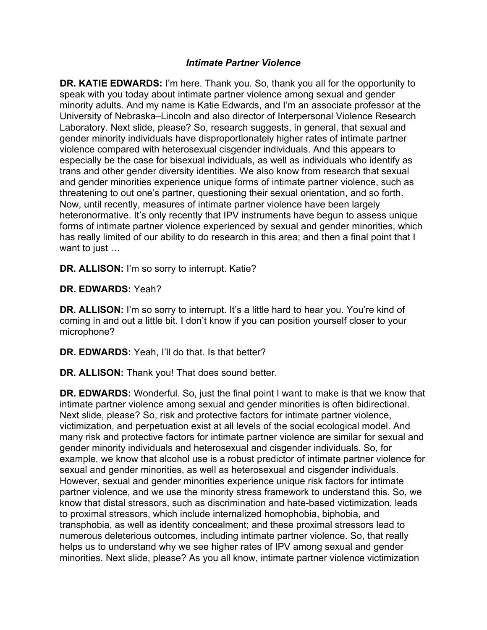## *Intimate Partner Violence*

**DR. KATIE EDWARDS:** I'm here. Thank you. So, thank you all for the opportunity to speak with you today about intimate partner violence among sexual and gender minority adults. And my name is Katie Edwards, and I'm an associate professor at the University of Nebraska–Lincoln and also director of Interpersonal Violence Research Laboratory. Next slide, please? So, research suggests, in general, that sexual and gender minority individuals have disproportionately higher rates of intimate partner violence compared with heterosexual cisgender individuals. And this appears to especially be the case for bisexual individuals, as well as individuals who identify as trans and other gender diversity identities. We also know from research that sexual and gender minorities experience unique forms of intimate partner violence, such as threatening to out one's partner, questioning their sexual orientation, and so forth. Now, until recently, measures of intimate partner violence have been largely heteronormative. It's only recently that IPV instruments have begun to assess unique forms of intimate partner violence experienced by sexual and gender minorities, which has really limited of our ability to do research in this area; and then a final point that I want to just …

**DR. ALLISON:** I'm so sorry to interrupt. Katie?

**DR. EDWARDS:** Yeah?

**DR. ALLISON:** I'm so sorry to interrupt. It's a little hard to hear you. You're kind of coming in and out a little bit. I don't know if you can position yourself closer to your microphone?

**DR. EDWARDS:** Yeah, I'll do that. Is that better?

**DR. ALLISON:** Thank you! That does sound better.

 numerous deleterious outcomes, including intimate partner violence. So, that really **DR. EDWARDS:** Wonderful. So, just the final point I want to make is that we know that intimate partner violence among sexual and gender minorities is often bidirectional. Next slide, please? So, risk and protective factors for intimate partner violence, victimization, and perpetuation exist at all levels of the social ecological model. And many risk and protective factors for intimate partner violence are similar for sexual and gender minority individuals and heterosexual and cisgender individuals. So, for example, we know that alcohol use is a robust predictor of intimate partner violence for sexual and gender minorities, as well as heterosexual and cisgender individuals. However, sexual and gender minorities experience unique risk factors for intimate partner violence, and we use the minority stress framework to understand this. So, we know that distal stressors, such as discrimination and hate-based victimization, leads to proximal stressors, which include internalized homophobia, biphobia, and transphobia, as well as identity concealment; and these proximal stressors lead to helps us to understand why we see higher rates of IPV among sexual and gender minorities. Next slide, please? As you all know, intimate partner violence victimization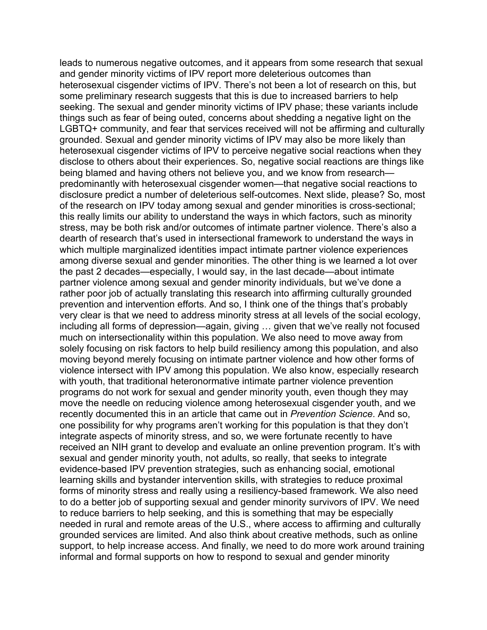leads to numerous negative outcomes, and it appears from some research that sexual and gender minority victims of IPV report more deleterious outcomes than heterosexual cisgender victims of IPV. There's not been a lot of research on this, but some preliminary research suggests that this is due to increased barriers to help seeking. The sexual and gender minority victims of IPV phase; these variants include things such as fear of being outed, concerns about shedding a negative light on the LGBTQ+ community, and fear that services received will not be affirming and culturally grounded. Sexual and gender minority victims of IPV may also be more likely than heterosexual cisgender victims of IPV to perceive negative social reactions when they disclose to others about their experiences. So, negative social reactions are things like being blamed and having others not believe you, and we know from research predominantly with heterosexual cisgender women—that negative social reactions to disclosure predict a number of deleterious self-outcomes. Next slide, please? So, most of the research on IPV today among sexual and gender minorities is cross-sectional; this really limits our ability to understand the ways in which factors, such as minority stress, may be both risk and/or outcomes of intimate partner violence. There's also a dearth of research that's used in intersectional framework to understand the ways in which multiple marginalized identities impact intimate partner violence experiences among diverse sexual and gender minorities. The other thing is we learned a lot over the past 2 decades—especially, I would say, in the last decade—about intimate partner violence among sexual and gender minority individuals, but we've done a rather poor job of actually translating this research into affirming culturally grounded prevention and intervention efforts. And so, I think one of the things that's probably very clear is that we need to address minority stress at all levels of the social ecology, including all forms of depression—again, giving … given that we've really not focused much on intersectionality within this population. We also need to move away from solely focusing on risk factors to help build resiliency among this population, and also moving beyond merely focusing on intimate partner violence and how other forms of violence intersect with IPV among this population. We also know, especially research with youth, that traditional heteronormative intimate partner violence prevention programs do not work for sexual and gender minority youth, even though they may move the needle on reducing violence among heterosexual cisgender youth, and we recently documented this in an article that came out in *Prevention Science*. And so, one possibility for why programs aren't working for this population is that they don't integrate aspects of minority stress, and so, we were fortunate recently to have received an NIH grant to develop and evaluate an online prevention program. It's with sexual and gender minority youth, not adults, so really, that seeks to integrate evidence-based IPV prevention strategies, such as enhancing social, emotional learning skills and bystander intervention skills, with strategies to reduce proximal forms of minority stress and really using a resiliency-based framework. We also need to do a better job of supporting sexual and gender minority survivors of IPV. We need to reduce barriers to help seeking, and this is something that may be especially needed in rural and remote areas of the U.S., where access to affirming and culturally grounded services are limited. And also think about creative methods, such as online support, to help increase access. And finally, we need to do more work around training informal and formal supports on how to respond to sexual and gender minority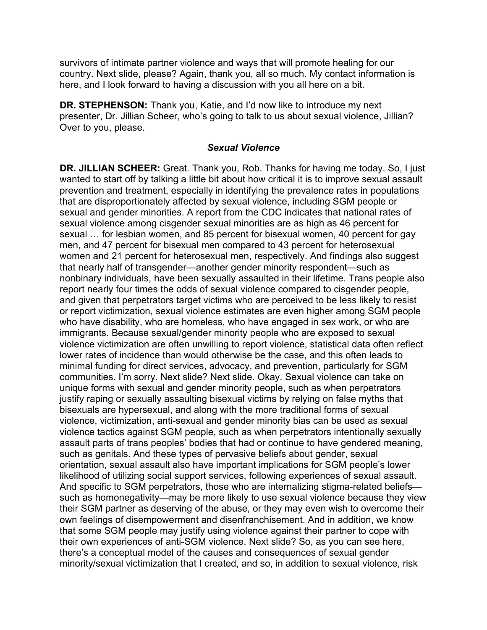survivors of intimate partner violence and ways that will promote healing for our country. Next slide, please? Again, thank you, all so much. My contact information is here, and I look forward to having a discussion with you all here on a bit.

**DR. STEPHENSON:** Thank you, Katie, and I'd now like to introduce my next presenter, Dr. Jillian Scheer, who's going to talk to us about sexual violence, Jillian? Over to you, please.

### *Sexual Violence*

 wanted to start off by talking a little bit about how critical it is to improve sexual assault orientation, sexual assault also have important implications for SGM people's lower their SGM partner as deserving of the abuse, or they may even wish to overcome their there's a conceptual model of the causes and consequences of sexual gender **DR. JILLIAN SCHEER:** Great. Thank you, Rob. Thanks for having me today. So, I just prevention and treatment, especially in identifying the prevalence rates in populations that are disproportionately affected by sexual violence, including SGM people or sexual and gender minorities. A report from the CDC indicates that national rates of sexual violence among cisgender sexual minorities are as high as 46 percent for sexual … for lesbian women, and 85 percent for bisexual women, 40 percent for gay men, and 47 percent for bisexual men compared to 43 percent for heterosexual women and 21 percent for heterosexual men, respectively. And findings also suggest that nearly half of transgender—another gender minority respondent—such as nonbinary individuals, have been sexually assaulted in their lifetime. Trans people also report nearly four times the odds of sexual violence compared to cisgender people, and given that perpetrators target victims who are perceived to be less likely to resist or report victimization, sexual violence estimates are even higher among SGM people who have disability, who are homeless, who have engaged in sex work, or who are immigrants. Because sexual/gender minority people who are exposed to sexual violence victimization are often unwilling to report violence, statistical data often reflect lower rates of incidence than would otherwise be the case, and this often leads to minimal funding for direct services, advocacy, and prevention, particularly for SGM communities. I'm sorry. Next slide? Next slide. Okay. Sexual violence can take on unique forms with sexual and gender minority people, such as when perpetrators justify raping or sexually assaulting bisexual victims by relying on false myths that bisexuals are hypersexual, and along with the more traditional forms of sexual violence, victimization, anti-sexual and gender minority bias can be used as sexual violence tactics against SGM people, such as when perpetrators intentionally sexually assault parts of trans peoples' bodies that had or continue to have gendered meaning, such as genitals. And these types of pervasive beliefs about gender, sexual likelihood of utilizing social support services, following experiences of sexual assault. And specific to SGM perpetrators, those who are internalizing stigma-related beliefs such as homonegativity—may be more likely to use sexual violence because they view own feelings of disempowerment and disenfranchisement. And in addition, we know that some SGM people may justify using violence against their partner to cope with their own experiences of anti-SGM violence. Next slide? So, as you can see here, minority/sexual victimization that I created, and so, in addition to sexual violence, risk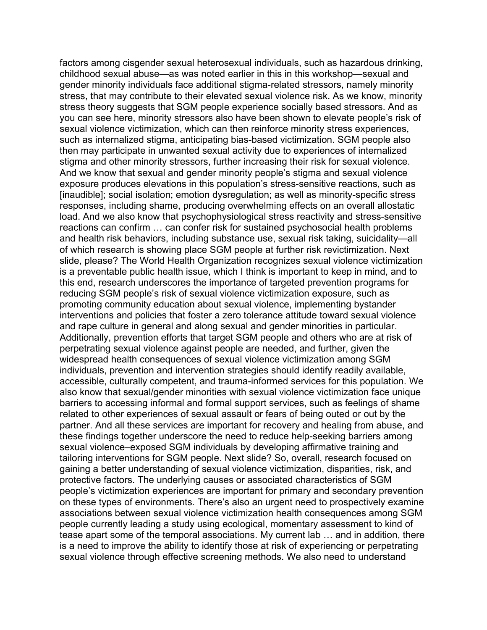factors among cisgender sexual heterosexual individuals, such as hazardous drinking, stress theory suggests that SGM people experience socially based stressors. And as childhood sexual abuse—as was noted earlier in this in this workshop—sexual and gender minority individuals face additional stigma-related stressors, namely minority stress, that may contribute to their elevated sexual violence risk. As we know, minority you can see here, minority stressors also have been shown to elevate people's risk of sexual violence victimization, which can then reinforce minority stress experiences, such as internalized stigma, anticipating bias-based victimization. SGM people also then may participate in unwanted sexual activity due to experiences of internalized stigma and other minority stressors, further increasing their risk for sexual violence. And we know that sexual and gender minority people's stigma and sexual violence exposure produces elevations in this population's stress-sensitive reactions, such as [inaudible]; social isolation; emotion dysregulation; as well as minority-specific stress responses, including shame, producing overwhelming effects on an overall allostatic load. And we also know that psychophysiological stress reactivity and stress-sensitive reactions can confirm … can confer risk for sustained psychosocial health problems and health risk behaviors, including substance use, sexual risk taking, suicidality—all of which research is showing place SGM people at further risk revictimization. Next slide, please? The World Health Organization recognizes sexual violence victimization is a preventable public health issue, which I think is important to keep in mind, and to this end, research underscores the importance of targeted prevention programs for reducing SGM people's risk of sexual violence victimization exposure, such as promoting community education about sexual violence, implementing bystander interventions and policies that foster a zero tolerance attitude toward sexual violence and rape culture in general and along sexual and gender minorities in particular. Additionally, prevention efforts that target SGM people and others who are at risk of perpetrating sexual violence against people are needed, and further, given the widespread health consequences of sexual violence victimization among SGM individuals, prevention and intervention strategies should identify readily available, accessible, culturally competent, and trauma-informed services for this population. We also know that sexual/gender minorities with sexual violence victimization face unique barriers to accessing informal and formal support services, such as feelings of shame related to other experiences of sexual assault or fears of being outed or out by the partner. And all these services are important for recovery and healing from abuse, and these findings together underscore the need to reduce help-seeking barriers among sexual violence–exposed SGM individuals by developing affirmative training and tailoring interventions for SGM people. Next slide? So, overall, research focused on gaining a better understanding of sexual violence victimization, disparities, risk, and protective factors. The underlying causes or associated characteristics of SGM people's victimization experiences are important for primary and secondary prevention on these types of environments. There's also an urgent need to prospectively examine associations between sexual violence victimization health consequences among SGM people currently leading a study using ecological, momentary assessment to kind of tease apart some of the temporal associations. My current lab … and in addition, there is a need to improve the ability to identify those at risk of experiencing or perpetrating sexual violence through effective screening methods. We also need to understand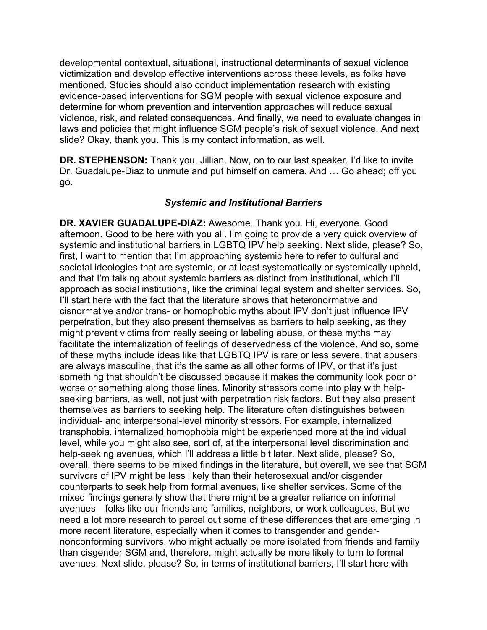slide? Okay, thank you. This is my contact information, as well. developmental contextual, situational, instructional determinants of sexual violence victimization and develop effective interventions across these levels, as folks have mentioned. Studies should also conduct implementation research with existing evidence-based interventions for SGM people with sexual violence exposure and determine for whom prevention and intervention approaches will reduce sexual violence, risk, and related consequences. And finally, we need to evaluate changes in laws and policies that might influence SGM people's risk of sexual violence. And next

**DR. STEPHENSON:** Thank you, Jillian. Now, on to our last speaker. I'd like to invite Dr. Guadalupe-Diaz to unmute and put himself on camera. And … Go ahead; off you go.

## *Systemic and Institutional Barriers*

**DR. XAVIER GUADALUPE-DIAZ:** Awesome. Thank you. Hi, everyone. Good afternoon. Good to be here with you all. I'm going to provide a very quick overview of systemic and institutional barriers in LGBTQ IPV help seeking. Next slide, please? So, first, I want to mention that I'm approaching systemic here to refer to cultural and societal ideologies that are systemic, or at least systematically or systemically upheld, and that I'm talking about systemic barriers as distinct from institutional, which I'll approach as social institutions, like the criminal legal system and shelter services. So, I'll start here with the fact that the literature shows that heteronormative and cisnormative and/or trans- or homophobic myths about IPV don't just influence IPV perpetration, but they also present themselves as barriers to help seeking, as they might prevent victims from really seeing or labeling abuse, or these myths may facilitate the internalization of feelings of deservedness of the violence. And so, some of these myths include ideas like that LGBTQ IPV is rare or less severe, that abusers are always masculine, that it's the same as all other forms of IPV, or that it's just something that shouldn't be discussed because it makes the community look poor or worse or something along those lines. Minority stressors come into play with helpseeking barriers, as well, not just with perpetration risk factors. But they also present themselves as barriers to seeking help. The literature often distinguishes between individual- and interpersonal-level minority stressors. For example, internalized transphobia, internalized homophobia might be experienced more at the individual level, while you might also see, sort of, at the interpersonal level discrimination and help-seeking avenues, which I'll address a little bit later. Next slide, please? So, overall, there seems to be mixed findings in the literature, but overall, we see that SGM survivors of IPV might be less likely than their heterosexual and/or cisgender counterparts to seek help from formal avenues, like shelter services. Some of the mixed findings generally show that there might be a greater reliance on informal avenues—folks like our friends and families, neighbors, or work colleagues. But we need a lot more research to parcel out some of these differences that are emerging in more recent literature, especially when it comes to transgender and gendernonconforming survivors, who might actually be more isolated from friends and family than cisgender SGM and, therefore, might actually be more likely to turn to formal avenues. Next slide, please? So, in terms of institutional barriers, I'll start here with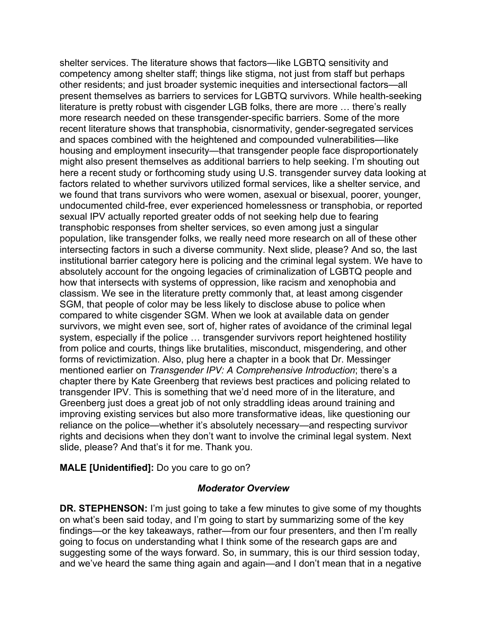literature is pretty robust with cisgender LGB folks, there are more … there's really we found that trans survivors who were women, asexual or bisexual, poorer, younger, institutional barrier category here is policing and the criminal legal system. We have to SGM, that people of color may be less likely to disclose abuse to police when shelter services. The literature shows that factors—like LGBTQ sensitivity and competency among shelter staff; things like stigma, not just from staff but perhaps other residents; and just broader systemic inequities and intersectional factors—all present themselves as barriers to services for LGBTQ survivors. While health-seeking more research needed on these transgender-specific barriers. Some of the more recent literature shows that transphobia, cisnormativity, gender-segregated services and spaces combined with the heightened and compounded vulnerabilities—like housing and employment insecurity—that transgender people face disproportionately might also present themselves as additional barriers to help seeking. I'm shouting out here a recent study or forthcoming study using U.S. transgender survey data looking at factors related to whether survivors utilized formal services, like a shelter service, and undocumented child-free, ever experienced homelessness or transphobia, or reported sexual IPV actually reported greater odds of not seeking help due to fearing transphobic responses from shelter services, so even among just a singular population, like transgender folks, we really need more research on all of these other intersecting factors in such a diverse community. Next slide, please? And so, the last absolutely account for the ongoing legacies of criminalization of LGBTQ people and how that intersects with systems of oppression, like racism and xenophobia and classism. We see in the literature pretty commonly that, at least among cisgender compared to white cisgender SGM. When we look at available data on gender survivors, we might even see, sort of, higher rates of avoidance of the criminal legal system, especially if the police … transgender survivors report heightened hostility from police and courts, things like brutalities, misconduct, misgendering, and other forms of revictimization. Also, plug here a chapter in a book that Dr. Messinger mentioned earlier on *Transgender IPV: A Comprehensive Introduction*; there's a chapter there by Kate Greenberg that reviews best practices and policing related to transgender IPV. This is something that we'd need more of in the literature, and Greenberg just does a great job of not only straddling ideas around training and improving existing services but also more transformative ideas, like questioning our reliance on the police—whether it's absolutely necessary—and respecting survivor rights and decisions when they don't want to involve the criminal legal system. Next slide, please? And that's it for me. Thank you.

**MALE [Unidentified]:** Do you care to go on?

#### *Moderator Overview*

 **DR. STEPHENSON:** I'm just going to take a few minutes to give some of my thoughts on what's been said today, and I'm going to start by summarizing some of the key and we've heard the same thing again and again—and I don't mean that in a negative findings—or the key takeaways, rather—from our four presenters, and then I'm really going to focus on understanding what I think some of the research gaps are and suggesting some of the ways forward. So, in summary, this is our third session today,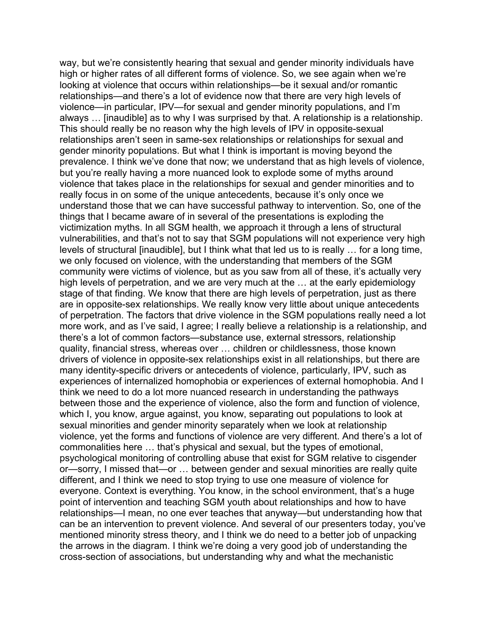way, but we're consistently hearing that sexual and gender minority individuals have high or higher rates of all different forms of violence. So, we see again when we're looking at violence that occurs within relationships—be it sexual and/or romantic relationships—and there's a lot of evidence now that there are very high levels of violence—in particular, IPV—for sexual and gender minority populations, and I'm always … [inaudible] as to why I was surprised by that. A relationship is a relationship. This should really be no reason why the high levels of IPV in opposite-sexual relationships aren't seen in same-sex relationships or relationships for sexual and gender minority populations. But what I think is important is moving beyond the prevalence. I think we've done that now; we understand that as high levels of violence, but you're really having a more nuanced look to explode some of myths around violence that takes place in the relationships for sexual and gender minorities and to really focus in on some of the unique antecedents, because it's only once we understand those that we can have successful pathway to intervention. So, one of the things that I became aware of in several of the presentations is exploding the victimization myths. In all SGM health, we approach it through a lens of structural vulnerabilities, and that's not to say that SGM populations will not experience very high levels of structural [inaudible], but I think what that led us to is really … for a long time, we only focused on violence, with the understanding that members of the SGM community were victims of violence, but as you saw from all of these, it's actually very high levels of perpetration, and we are very much at the … at the early epidemiology stage of that finding. We know that there are high levels of perpetration, just as there are in opposite-sex relationships. We really know very little about unique antecedents of perpetration. The factors that drive violence in the SGM populations really need a lot more work, and as I've said, I agree; I really believe a relationship is a relationship, and there's a lot of common factors—substance use, external stressors, relationship quality, financial stress, whereas over … children or childlessness, those known drivers of violence in opposite-sex relationships exist in all relationships, but there are many identity-specific drivers or antecedents of violence, particularly, IPV, such as experiences of internalized homophobia or experiences of external homophobia. And I think we need to do a lot more nuanced research in understanding the pathways between those and the experience of violence, also the form and function of violence, which I, you know, argue against, you know, separating out populations to look at sexual minorities and gender minority separately when we look at relationship violence, yet the forms and functions of violence are very different. And there's a lot of commonalities here … that's physical and sexual, but the types of emotional, psychological monitoring of controlling abuse that exist for SGM relative to cisgender or—sorry, I missed that—or … between gender and sexual minorities are really quite different, and I think we need to stop trying to use one measure of violence for everyone. Context is everything. You know, in the school environment, that's a huge point of intervention and teaching SGM youth about relationships and how to have relationships—I mean, no one ever teaches that anyway—but understanding how that can be an intervention to prevent violence. And several of our presenters today, you've mentioned minority stress theory, and I think we do need to a better job of unpacking the arrows in the diagram. I think we're doing a very good job of understanding the cross-section of associations, but understanding why and what the mechanistic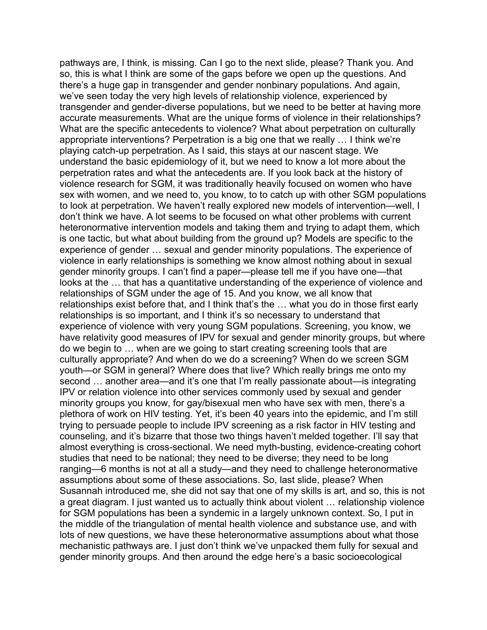pathways are, I think, is missing. Can I go to the next slide, please? Thank you. And so, this is what I think are some of the gaps before we open up the questions. And there's a huge gap in transgender and gender nonbinary populations. And again, we've seen today the very high levels of relationship violence, experienced by transgender and gender-diverse populations, but we need to be better at having more accurate measurements. What are the unique forms of violence in their relationships? What are the specific antecedents to violence? What about perpetration on culturally appropriate interventions? Perpetration is a big one that we really … I think we're playing catch-up perpetration. As I said, this stays at our nascent stage. We understand the basic epidemiology of it, but we need to know a lot more about the perpetration rates and what the antecedents are. If you look back at the history of violence research for SGM, it was traditionally heavily focused on women who have sex with women, and we need to, you know, to to catch up with other SGM populations to look at perpetration. We haven't really explored new models of intervention—well, I don't think we have. A lot seems to be focused on what other problems with current heteronormative intervention models and taking them and trying to adapt them, which is one tactic, but what about building from the ground up? Models are specific to the experience of gender … sexual and gender minority populations. The experience of violence in early relationships is something we know almost nothing about in sexual gender minority groups. I can't find a paper—please tell me if you have one—that looks at the … that has a quantitative understanding of the experience of violence and relationships of SGM under the age of 15. And you know, we all know that relationships exist before that, and I think that's the … what you do in those first early relationships is so important, and I think it's so necessary to understand that experience of violence with very young SGM populations. Screening, you know, we have relativity good measures of IPV for sexual and gender minority groups, but where do we begin to … when are we going to start creating screening tools that are culturally appropriate? And when do we do a screening? When do we screen SGM youth—or SGM in general? Where does that live? Which really brings me onto my second … another area—and it's one that I'm really passionate about—is integrating IPV or relation violence into other services commonly used by sexual and gender minority groups you know, for gay/bisexual men who have sex with men, there's a plethora of work on HIV testing. Yet, it's been 40 years into the epidemic, and I'm still trying to persuade people to include IPV screening as a risk factor in HIV testing and counseling, and it's bizarre that those two things haven't melded together. I'll say that almost everything is cross-sectional. We need myth-busting, evidence-creating cohort studies that need to be national; they need to be diverse; they need to be long ranging—6 months is not at all a study—and they need to challenge heteronormative assumptions about some of these associations. So, last slide, please? When Susannah introduced me, she did not say that one of my skills is art, and so, this is not a great diagram. I just wanted us to actually think about violent … relationship violence for SGM populations has been a syndemic in a largely unknown context. So, I put in the middle of the triangulation of mental health violence and substance use, and with lots of new questions, we have these heteronormative assumptions about what those mechanistic pathways are. I just don't think we've unpacked them fully for sexual and gender minority groups. And then around the edge here's a basic socioecological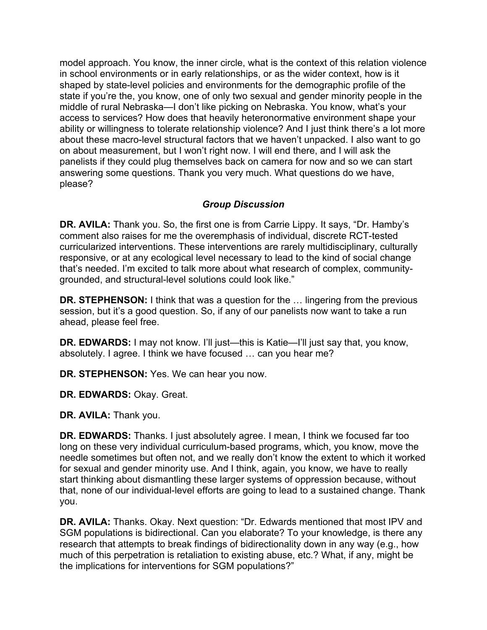model approach. You know, the inner circle, what is the context of this relation violence in school environments or in early relationships, or as the wider context, how is it shaped by state-level policies and environments for the demographic profile of the state if you're the, you know, one of only two sexual and gender minority people in the middle of rural Nebraska—I don't like picking on Nebraska. You know, what's your access to services? How does that heavily heteronormative environment shape your ability or willingness to tolerate relationship violence? And I just think there's a lot more about these macro-level structural factors that we haven't unpacked. I also want to go on about measurement, but I won't right now. I will end there, and I will ask the panelists if they could plug themselves back on camera for now and so we can start answering some questions. Thank you very much. What questions do we have, please?

# *Group Discussion*

 grounded, and structural-level solutions could look like." **DR. AVILA:** Thank you. So, the first one is from Carrie Lippy. It says, "Dr. Hamby's comment also raises for me the overemphasis of individual, discrete RCT-tested curricularized interventions. These interventions are rarely multidisciplinary, culturally responsive, or at any ecological level necessary to lead to the kind of social change that's needed. I'm excited to talk more about what research of complex, community-

**DR. STEPHENSON:** I think that was a question for the … lingering from the previous session, but it's a good question. So, if any of our panelists now want to take a run ahead, please feel free.

 absolutely. I agree. I think we have focused … can you hear me? **DR. EDWARDS:** I may not know. I'll just—this is Katie—I'll just say that, you know,

**DR. STEPHENSON:** Yes. We can hear you now.

**DR. EDWARDS:** Okay. Great.

**DR. AVILA:** Thank you.

**DR. EDWARDS:** Thanks. I just absolutely agree. I mean, I think we focused far too long on these very individual curriculum-based programs, which, you know, move the needle sometimes but often not, and we really don't know the extent to which it worked for sexual and gender minority use. And I think, again, you know, we have to really start thinking about dismantling these larger systems of oppression because, without that, none of our individual-level efforts are going to lead to a sustained change. Thank you.

**DR. AVILA:** Thanks. Okay. Next question: "Dr. Edwards mentioned that most IPV and SGM populations is bidirectional. Can you elaborate? To your knowledge, is there any research that attempts to break findings of bidirectionality down in any way (e.g., how much of this perpetration is retaliation to existing abuse, etc.? What, if any, might be the implications for interventions for SGM populations?"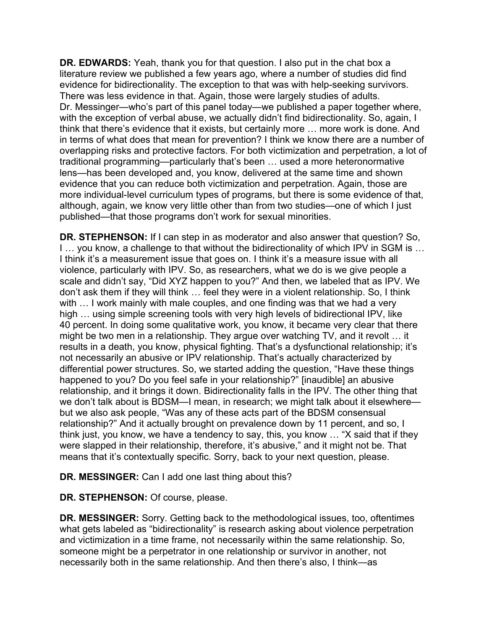Dr. Messinger—who's part of this panel today—we published a paper together where, with the exception of verbal abuse, we actually didn't find bidirectionality. So, again, I think that there's evidence that it exists, but certainly more … more work is done. And traditional programming—particularly that's been … used a more heteronormative **DR. EDWARDS:** Yeah, thank you for that question. I also put in the chat box a literature review we published a few years ago, where a number of studies did find evidence for bidirectionality. The exception to that was with help-seeking survivors. There was less evidence in that. Again, those were largely studies of adults. in terms of what does that mean for prevention? I think we know there are a number of overlapping risks and protective factors. For both victimization and perpetration, a lot of lens—has been developed and, you know, delivered at the same time and shown evidence that you can reduce both victimization and perpetration. Again, those are more individual-level curriculum types of programs, but there is some evidence of that, although, again, we know very little other than from two studies—one of which I just published—that those programs don't work for sexual minorities.

**DR. STEPHENSON:** If I can step in as moderator and also answer that question? So, I … you know, a challenge to that without the bidirectionality of which IPV in SGM is … I think it's a measurement issue that goes on. I think it's a measure issue with all violence, particularly with IPV. So, as researchers, what we do is we give people a scale and didn't say, "Did XYZ happen to you?" And then, we labeled that as IPV. We don't ask them if they will think … feel they were in a violent relationship. So, I think with ... I work mainly with male couples, and one finding was that we had a very high … using simple screening tools with very high levels of bidirectional IPV, like 40 percent. In doing some qualitative work, you know, it became very clear that there might be two men in a relationship. They argue over watching TV, and it revolt … it results in a death, you know, physical fighting. That's a dysfunctional relationship; it's not necessarily an abusive or IPV relationship. That's actually characterized by differential power structures. So, we started adding the question, "Have these things happened to you? Do you feel safe in your relationship?" [inaudible] an abusive relationship, and it brings it down. Bidirectionality falls in the IPV. The other thing that we don't talk about is BDSM—I mean, in research; we might talk about it elsewhere but we also ask people, "Was any of these acts part of the BDSM consensual relationship?" And it actually brought on prevalence down by 11 percent, and so, I think just, you know, we have a tendency to say, this, you know … "X said that if they were slapped in their relationship, therefore, it's abusive," and it might not be. That means that it's contextually specific. Sorry, back to your next question, please.

**DR. MESSINGER:** Can I add one last thing about this?

**DR. STEPHENSON:** Of course, please.

 necessarily both in the same relationship. And then there's also, I think—as **DR. MESSINGER:** Sorry. Getting back to the methodological issues, too, oftentimes what gets labeled as "bidirectionality" is research asking about violence perpetration and victimization in a time frame, not necessarily within the same relationship. So, someone might be a perpetrator in one relationship or survivor in another, not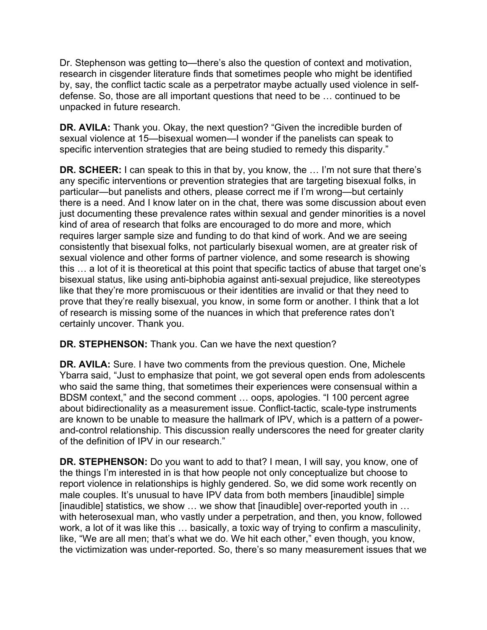Dr. Stephenson was getting to—there's also the question of context and motivation, research in cisgender literature finds that sometimes people who might be identified by, say, the conflict tactic scale as a perpetrator maybe actually used violence in selfdefense. So, those are all important questions that need to be … continued to be unpacked in future research.

**DR. AVILA:** Thank you. Okay, the next question? "Given the incredible burden of sexual violence at 15—bisexual women—I wonder if the panelists can speak to specific intervention strategies that are being studied to remedy this disparity."

**DR. SCHEER:** I can speak to this in that by, you know, the … I'm not sure that there's any specific interventions or prevention strategies that are targeting bisexual folks, in particular—but panelists and others, please correct me if I'm wrong—but certainly there is a need. And I know later on in the chat, there was some discussion about even just documenting these prevalence rates within sexual and gender minorities is a novel kind of area of research that folks are encouraged to do more and more, which requires larger sample size and funding to do that kind of work. And we are seeing consistently that bisexual folks, not particularly bisexual women, are at greater risk of sexual violence and other forms of partner violence, and some research is showing this … a lot of it is theoretical at this point that specific tactics of abuse that target one's bisexual status, like using anti-biphobia against anti-sexual prejudice, like stereotypes like that they're more promiscuous or their identities are invalid or that they need to prove that they're really bisexual, you know, in some form or another. I think that a lot of research is missing some of the nuances in which that preference rates don't certainly uncover. Thank you.

**DR. STEPHENSON:** Thank you. Can we have the next question?

**DR. AVILA:** Sure. I have two comments from the previous question. One, Michele Ybarra said, "Just to emphasize that point, we got several open ends from adolescents who said the same thing, that sometimes their experiences were consensual within a BDSM context," and the second comment … oops, apologies. "I 100 percent agree about bidirectionality as a measurement issue. Conflict-tactic, scale-type instruments are known to be unable to measure the hallmark of IPV, which is a pattern of a powerand-control relationship. This discussion really underscores the need for greater clarity of the definition of IPV in our research."

 the things I'm interested in is that how people not only conceptualize but choose to male couples. It's unusual to have IPV data from both members [inaudible] simple like, "We are all men; that's what we do. We hit each other," even though, you know, the victimization was under-reported. So, there's so many measurement issues that we **DR. STEPHENSON:** Do you want to add to that? I mean, I will say, you know, one of report violence in relationships is highly gendered. So, we did some work recently on [inaudible] statistics, we show … we show that [inaudible] over-reported youth in … with heterosexual man, who vastly under a perpetration, and then, you know, followed work, a lot of it was like this … basically, a toxic way of trying to confirm a masculinity,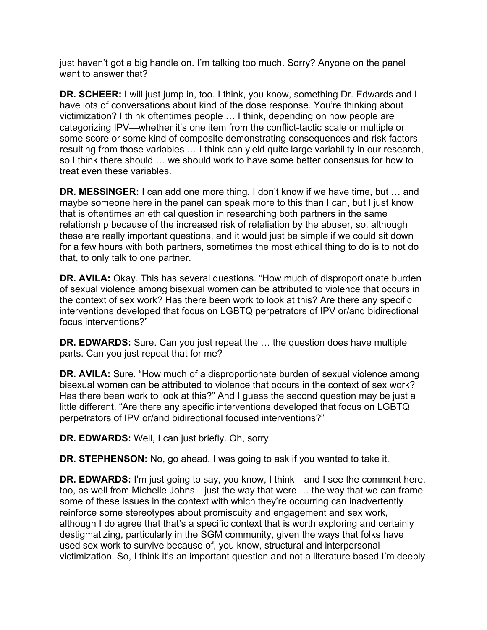just haven't got a big handle on. I'm talking too much. Sorry? Anyone on the panel want to answer that?

 **DR. SCHEER:** I will just jump in, too. I think, you know, something Dr. Edwards and I have lots of conversations about kind of the dose response. You're thinking about victimization? I think oftentimes people … I think, depending on how people are categorizing IPV—whether it's one item from the conflict-tactic scale or multiple or some score or some kind of composite demonstrating consequences and risk factors resulting from those variables … I think can yield quite large variability in our research, so I think there should … we should work to have some better consensus for how to treat even these variables.

 **DR. MESSINGER:** I can add one more thing. I don't know if we have time, but … and maybe someone here in the panel can speak more to this than I can, but I just know that is oftentimes an ethical question in researching both partners in the same relationship because of the increased risk of retaliation by the abuser, so, although these are really important questions, and it would just be simple if we could sit down for a few hours with both partners, sometimes the most ethical thing to do is to not do that, to only talk to one partner.

**DR. AVILA:** Okay. This has several questions. "How much of disproportionate burden of sexual violence among bisexual women can be attributed to violence that occurs in the context of sex work? Has there been work to look at this? Are there any specific interventions developed that focus on LGBTQ perpetrators of IPV or/and bidirectional focus interventions?"

**DR. EDWARDS:** Sure. Can you just repeat the … the question does have multiple parts. Can you just repeat that for me?

**DR. AVILA:** Sure. "How much of a disproportionate burden of sexual violence among bisexual women can be attributed to violence that occurs in the context of sex work? Has there been work to look at this?" And I guess the second question may be just a little different. "Are there any specific interventions developed that focus on LGBTQ perpetrators of IPV or/and bidirectional focused interventions?"

**DR. EDWARDS:** Well, I can just briefly. Oh, sorry.

**DR. STEPHENSON:** No, go ahead. I was going to ask if you wanted to take it.

**DR. EDWARDS:** I'm just going to say, you know, I think—and I see the comment here, too, as well from Michelle Johns—just the way that were … the way that we can frame some of these issues in the context with which they're occurring can inadvertently reinforce some stereotypes about promiscuity and engagement and sex work, although I do agree that that's a specific context that is worth exploring and certainly destigmatizing, particularly in the SGM community, given the ways that folks have used sex work to survive because of, you know, structural and interpersonal victimization. So, I think it's an important question and not a literature based I'm deeply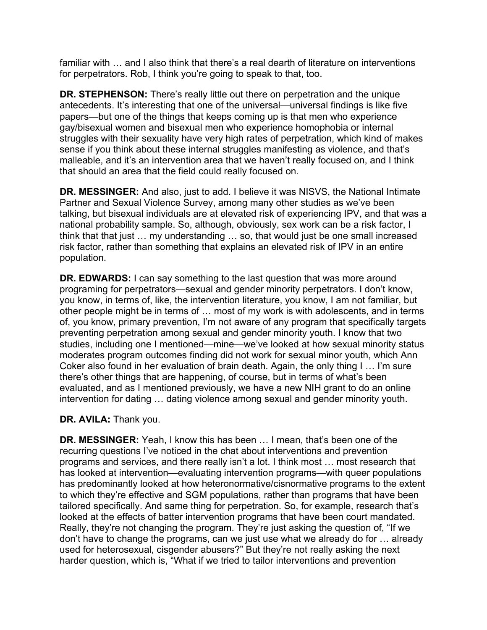familiar with … and I also think that there's a real dearth of literature on interventions for perpetrators. Rob, I think you're going to speak to that, too.

**DR. STEPHENSON:** There's really little out there on perpetration and the unique antecedents. It's interesting that one of the universal—universal findings is like five papers—but one of the things that keeps coming up is that men who experience gay/bisexual women and bisexual men who experience homophobia or internal struggles with their sexuality have very high rates of perpetration, which kind of makes sense if you think about these internal struggles manifesting as violence, and that's malleable, and it's an intervention area that we haven't really focused on, and I think that should an area that the field could really focused on.

**DR. MESSINGER:** And also, just to add. I believe it was NISVS, the National Intimate Partner and Sexual Violence Survey, among many other studies as we've been talking, but bisexual individuals are at elevated risk of experiencing IPV, and that was a national probability sample. So, although, obviously, sex work can be a risk factor, I think that that just … my understanding … so, that would just be one small increased risk factor, rather than something that explains an elevated risk of IPV in an entire population.

**DR. EDWARDS:** I can say something to the last question that was more around programing for perpetrators—sexual and gender minority perpetrators. I don't know, you know, in terms of, like, the intervention literature, you know, I am not familiar, but other people might be in terms of … most of my work is with adolescents, and in terms of, you know, primary prevention, I'm not aware of any program that specifically targets preventing perpetration among sexual and gender minority youth. I know that two studies, including one I mentioned—mine—we've looked at how sexual minority status moderates program outcomes finding did not work for sexual minor youth, which Ann Coker also found in her evaluation of brain death. Again, the only thing I … I'm sure there's other things that are happening, of course, but in terms of what's been evaluated, and as I mentioned previously, we have a new NIH grant to do an online intervention for dating … dating violence among sexual and gender minority youth.

# **DR. AVILA:** Thank you.

**DR. MESSINGER:** Yeah, I know this has been … I mean, that's been one of the recurring questions I've noticed in the chat about interventions and prevention programs and services, and there really isn't a lot. I think most … most research that has looked at intervention—evaluating intervention programs—with queer populations has predominantly looked at how heteronormative/cisnormative programs to the extent to which they're effective and SGM populations, rather than programs that have been tailored specifically. And same thing for perpetration. So, for example, research that's looked at the effects of batter intervention programs that have been court mandated. Really, they're not changing the program. They're just asking the question of, "If we don't have to change the programs, can we just use what we already do for … already used for heterosexual, cisgender abusers?" But they're not really asking the next harder question, which is, "What if we tried to tailor interventions and prevention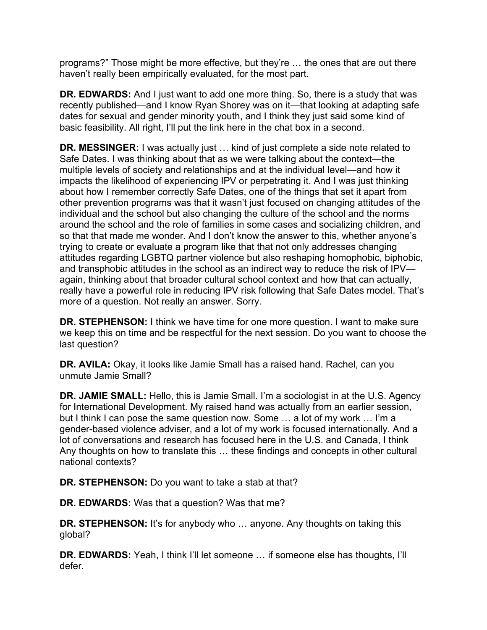programs?" Those might be more effective, but they're … the ones that are out there haven't really been empirically evaluated, for the most part.

 **DR. EDWARDS:** And I just want to add one more thing. So, there is a study that was recently published—and I know Ryan Shorey was on it—that looking at adapting safe dates for sexual and gender minority youth, and I think they just said some kind of basic feasibility. All right, I'll put the link here in the chat box in a second.

**DR. MESSINGER:** I was actually just … kind of just complete a side note related to Safe Dates. I was thinking about that as we were talking about the context—the multiple levels of society and relationships and at the individual level—and how it impacts the likelihood of experiencing IPV or perpetrating it. And I was just thinking about how I remember correctly Safe Dates, one of the things that set it apart from other prevention programs was that it wasn't just focused on changing attitudes of the individual and the school but also changing the culture of the school and the norms around the school and the role of families in some cases and socializing children, and so that that made me wonder. And I don't know the answer to this, whether anyone's trying to create or evaluate a program like that that not only addresses changing attitudes regarding LGBTQ partner violence but also reshaping homophobic, biphobic, and transphobic attitudes in the school as an indirect way to reduce the risk of IPV again, thinking about that broader cultural school context and how that can actually, really have a powerful role in reducing IPV risk following that Safe Dates model. That's more of a question. Not really an answer. Sorry.

**DR. STEPHENSON:** I think we have time for one more question. I want to make sure we keep this on time and be respectful for the next session. Do you want to choose the last question?

**DR. AVILA:** Okay, it looks like Jamie Small has a raised hand. Rachel, can you unmute Jamie Small?

**DR. JAMIE SMALL:** Hello, this is Jamie Small. I'm a sociologist in at the U.S. Agency for International Development. My raised hand was actually from an earlier session, but I think I can pose the same question now. Some … a lot of my work … I'm a gender-based violence adviser, and a lot of my work is focused internationally. And a lot of conversations and research has focused here in the U.S. and Canada, I think Any thoughts on how to translate this … these findings and concepts in other cultural national contexts?

**DR. STEPHENSON:** Do you want to take a stab at that?

**DR. EDWARDS:** Was that a question? Was that me?

**DR. STEPHENSON:** It's for anybody who ... anyone. Any thoughts on taking this global?

 **DR. EDWARDS:** Yeah, I think I'll let someone … if someone else has thoughts, I'll defer.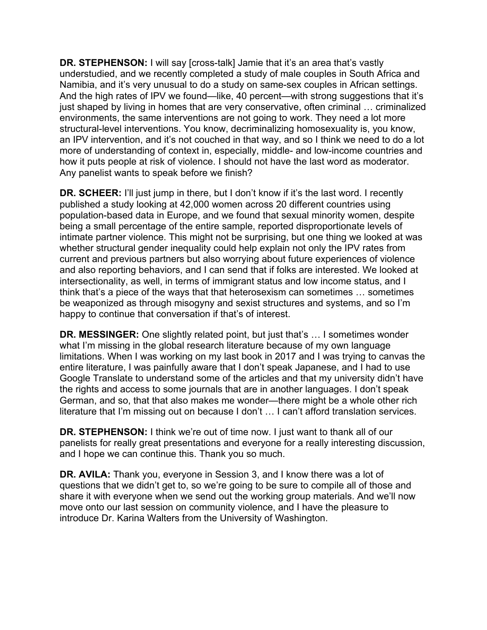And the high rates of IPV we found—like, 40 percent—with strong suggestions that it's **DR. STEPHENSON:** I will say [cross-talk] Jamie that it's an area that's vastly understudied, and we recently completed a study of male couples in South Africa and Namibia, and it's very unusual to do a study on same-sex couples in African settings. just shaped by living in homes that are very conservative, often criminal … criminalized environments, the same interventions are not going to work. They need a lot more structural-level interventions. You know, decriminalizing homosexuality is, you know, an IPV intervention, and it's not couched in that way, and so I think we need to do a lot more of understanding of context in, especially, middle- and low-income countries and how it puts people at risk of violence. I should not have the last word as moderator. Any panelist wants to speak before we finish?

 intersectionality, as well, in terms of immigrant status and low income status, and I think that's a piece of the ways that that heterosexism can sometimes … sometimes be weaponized as through misogyny and sexist structures and systems, and so I'm happy to continue that conversation if that's of interest. **DR. SCHEER:** I'll just jump in there, but I don't know if it's the last word. I recently published a study looking at 42,000 women across 20 different countries using population-based data in Europe, and we found that sexual minority women, despite being a small percentage of the entire sample, reported disproportionate levels of intimate partner violence. This might not be surprising, but one thing we looked at was whether structural gender inequality could help explain not only the IPV rates from current and previous partners but also worrying about future experiences of violence and also reporting behaviors, and I can send that if folks are interested. We looked at

**DR. MESSINGER:** One slightly related point, but just that's … I sometimes wonder what I'm missing in the global research literature because of my own language limitations. When I was working on my last book in 2017 and I was trying to canvas the entire literature, I was painfully aware that I don't speak Japanese, and I had to use Google Translate to understand some of the articles and that my university didn't have the rights and access to some journals that are in another languages. I don't speak German, and so, that that also makes me wonder—there might be a whole other rich literature that I'm missing out on because I don't … I can't afford translation services.

**DR. STEPHENSON:** I think we're out of time now. I just want to thank all of our panelists for really great presentations and everyone for a really interesting discussion, and I hope we can continue this. Thank you so much.

**DR. AVILA:** Thank you, everyone in Session 3, and I know there was a lot of questions that we didn't get to, so we're going to be sure to compile all of those and share it with everyone when we send out the working group materials. And we'll now move onto our last session on community violence, and I have the pleasure to introduce Dr. Karina Walters from the University of Washington.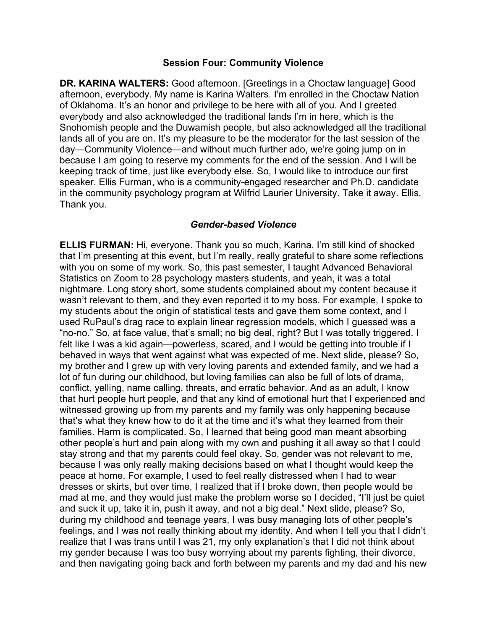#### **Session Four: Community Violence**

 lands all of you are on. It's my pleasure to be the moderator for the last session of the day—Community Violence—and without much further ado, we're going jump on in in the community psychology program at Wilfrid Laurier University. Take it away. Ellis. **DR. KARINA WALTERS:** Good afternoon. [Greetings in a Choctaw language] Good afternoon, everybody. My name is Karina Walters. I'm enrolled in the Choctaw Nation of Oklahoma. It's an honor and privilege to be here with all of you. And I greeted everybody and also acknowledged the traditional lands I'm in here, which is the Snohomish people and the Duwamish people, but also acknowledged all the traditional because I am going to reserve my comments for the end of the session. And I will be keeping track of time, just like everybody else. So, I would like to introduce our first speaker. Ellis Furman, who is a community-engaged researcher and Ph.D. candidate Thank you.

#### *Gender-based Violence*

**ELLIS FURMAN:** Hi, everyone. Thank you so much, Karina. I'm still kind of shocked that I'm presenting at this event, but I'm really, really grateful to share some reflections with you on some of my work. So, this past semester, I taught Advanced Behavioral Statistics on Zoom to 28 psychology masters students, and yeah, it was a total nightmare. Long story short, some students complained about my content because it wasn't relevant to them, and they even reported it to my boss. For example, I spoke to my students about the origin of statistical tests and gave them some context, and I used RuPaul's drag race to explain linear regression models, which I guessed was a "no-no." So, at face value, that's small; no big deal, right? But I was totally triggered. I felt like I was a kid again—powerless, scared, and I would be getting into trouble if I behaved in ways that went against what was expected of me. Next slide, please? So, my brother and I grew up with very loving parents and extended family, and we had a lot of fun during our childhood, but loving families can also be full of lots of drama, conflict, yelling, name calling, threats, and erratic behavior. And as an adult, I know that hurt people hurt people, and that any kind of emotional hurt that I experienced and witnessed growing up from my parents and my family was only happening because that's what they knew how to do it at the time and it's what they learned from their families. Harm is complicated. So, I learned that being good man meant absorbing other people's hurt and pain along with my own and pushing it all away so that I could stay strong and that my parents could feel okay. So, gender was not relevant to me, because I was only really making decisions based on what I thought would keep the peace at home. For example, I used to feel really distressed when I had to wear dresses or skirts, but over time, I realized that if I broke down, then people would be mad at me, and they would just make the problem worse so I decided, "I'll just be quiet and suck it up, take it in, push it away, and not a big deal." Next slide, please? So, during my childhood and teenage years, I was busy managing lots of other people's feelings, and I was not really thinking about my identity. And when I tell you that I didn't realize that I was trans until I was 21, my only explanation's that I did not think about my gender because I was too busy worrying about my parents fighting, their divorce, and then navigating going back and forth between my parents and my dad and his new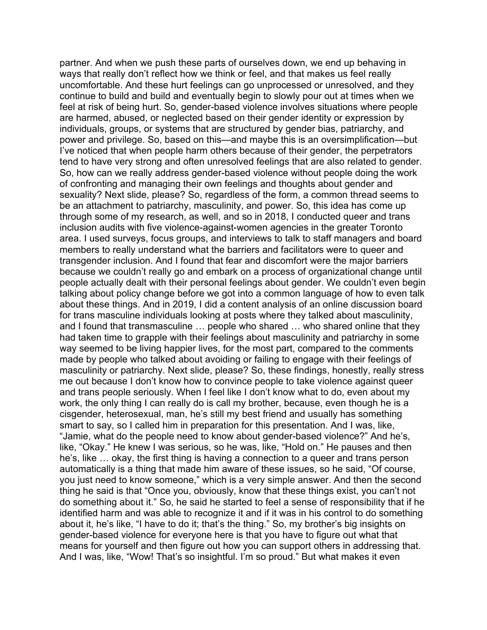partner. And when we push these parts of ourselves down, we end up behaving in ways that really don't reflect how we think or feel, and that makes us feel really uncomfortable. And these hurt feelings can go unprocessed or unresolved, and they continue to build and build and eventually begin to slowly pour out at times when we feel at risk of being hurt. So, gender-based violence involves situations where people are harmed, abused, or neglected based on their gender identity or expression by individuals, groups, or systems that are structured by gender bias, patriarchy, and power and privilege. So, based on this—and maybe this is an oversimplification—but I've noticed that when people harm others because of their gender, the perpetrators tend to have very strong and often unresolved feelings that are also related to gender. So, how can we really address gender-based violence without people doing the work of confronting and managing their own feelings and thoughts about gender and sexuality? Next slide, please? So, regardless of the form, a common thread seems to be an attachment to patriarchy, masculinity, and power. So, this idea has come up through some of my research, as well, and so in 2018, I conducted queer and trans inclusion audits with five violence-against-women agencies in the greater Toronto area. I used surveys, focus groups, and interviews to talk to staff managers and board members to really understand what the barriers and facilitators were to queer and transgender inclusion. And I found that fear and discomfort were the major barriers because we couldn't really go and embark on a process of organizational change until people actually dealt with their personal feelings about gender. We couldn't even begin talking about policy change before we got into a common language of how to even talk about these things. And in 2019, I did a content analysis of an online discussion board for trans masculine individuals looking at posts where they talked about masculinity, and I found that transmasculine … people who shared … who shared online that they had taken time to grapple with their feelings about masculinity and patriarchy in some way seemed to be living happier lives, for the most part, compared to the comments made by people who talked about avoiding or failing to engage with their feelings of masculinity or patriarchy. Next slide, please? So, these findings, honestly, really stress me out because I don't know how to convince people to take violence against queer and trans people seriously. When I feel like I don't know what to do, even about my work, the only thing I can really do is call my brother, because, even though he is a cisgender, heterosexual, man, he's still my best friend and usually has something smart to say, so I called him in preparation for this presentation. And I was, like, "Jamie, what do the people need to know about gender-based violence?" And he's, like, "Okay." He knew I was serious, so he was, like, "Hold on." He pauses and then he's, like … okay, the first thing is having a connection to a queer and trans person automatically is a thing that made him aware of these issues, so he said, "Of course, you just need to know someone," which is a very simple answer. And then the second thing he said is that "Once you, obviously, know that these things exist, you can't not do something about it." So, he said he started to feel a sense of responsibility that if he identified harm and was able to recognize it and if it was in his control to do something about it, he's like, "I have to do it; that's the thing." So, my brother's big insights on gender-based violence for everyone here is that you have to figure out what that means for yourself and then figure out how you can support others in addressing that. And I was, like, "Wow! That's so insightful. I'm so proud." But what makes it even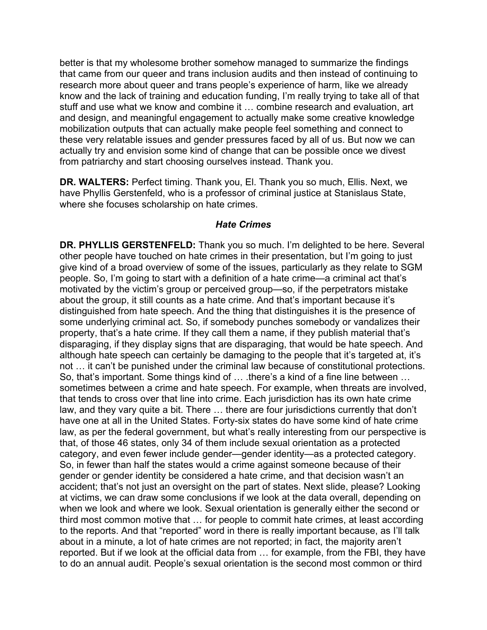better is that my wholesome brother somehow managed to summarize the findings that came from our queer and trans inclusion audits and then instead of continuing to research more about queer and trans people's experience of harm, like we already know and the lack of training and education funding, I'm really trying to take all of that stuff and use what we know and combine it … combine research and evaluation, art and design, and meaningful engagement to actually make some creative knowledge mobilization outputs that can actually make people feel something and connect to these very relatable issues and gender pressures faced by all of us. But now we can actually try and envision some kind of change that can be possible once we divest from patriarchy and start choosing ourselves instead. Thank you.

**DR. WALTERS:** Perfect timing. Thank you, El. Thank you so much, Ellis. Next, we have Phyllis Gerstenfeld, who is a professor of criminal justice at Stanislaus State, where she focuses scholarship on hate crimes.

### *Hate Crimes*

**DR. PHYLLIS GERSTENFELD:** Thank you so much. I'm delighted to be here. Several other people have touched on hate crimes in their presentation, but I'm going to just give kind of a broad overview of some of the issues, particularly as they relate to SGM people. So, I'm going to start with a definition of a hate crime—a criminal act that's motivated by the victim's group or perceived group—so, if the perpetrators mistake about the group, it still counts as a hate crime. And that's important because it's distinguished from hate speech. And the thing that distinguishes it is the presence of some underlying criminal act. So, if somebody punches somebody or vandalizes their property, that's a hate crime. If they call them a name, if they publish material that's disparaging, if they display signs that are disparaging, that would be hate speech. And although hate speech can certainly be damaging to the people that it's targeted at, it's not … it can't be punished under the criminal law because of constitutional protections. So, that's important. Some things kind of … .there's a kind of a fine line between … sometimes between a crime and hate speech. For example, when threats are involved, that tends to cross over that line into crime. Each jurisdiction has its own hate crime law, and they vary quite a bit. There … there are four jurisdictions currently that don't have one at all in the United States. Forty-six states do have some kind of hate crime law, as per the federal government, but what's really interesting from our perspective is that, of those 46 states, only 34 of them include sexual orientation as a protected category, and even fewer include gender—gender identity—as a protected category. So, in fewer than half the states would a crime against someone because of their gender or gender identity be considered a hate crime, and that decision wasn't an accident; that's not just an oversight on the part of states. Next slide, please? Looking at victims, we can draw some conclusions if we look at the data overall, depending on when we look and where we look. Sexual orientation is generally either the second or third most common motive that … for people to commit hate crimes, at least according to the reports. And that "reported" word in there is really important because, as I'll talk about in a minute, a lot of hate crimes are not reported; in fact, the majority aren't reported. But if we look at the official data from … for example, from the FBI, they have to do an annual audit. People's sexual orientation is the second most common or third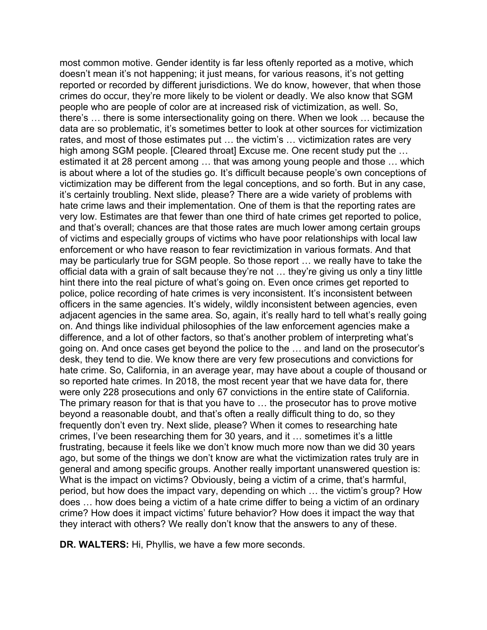most common motive. Gender identity is far less oftenly reported as a motive, which doesn't mean it's not happening; it just means, for various reasons, it's not getting reported or recorded by different jurisdictions. We do know, however, that when those crimes do occur, they're more likely to be violent or deadly. We also know that SGM people who are people of color are at increased risk of victimization, as well. So, there's … there is some intersectionality going on there. When we look … because the data are so problematic, it's sometimes better to look at other sources for victimization rates, and most of those estimates put … the victim's … victimization rates are very high among SGM people. [Cleared throat] Excuse me. One recent study put the … estimated it at 28 percent among … that was among young people and those … which is about where a lot of the studies go. It's difficult because people's own conceptions of victimization may be different from the legal conceptions, and so forth. But in any case, it's certainly troubling. Next slide, please? There are a wide variety of problems with hate crime laws and their implementation. One of them is that the reporting rates are very low. Estimates are that fewer than one third of hate crimes get reported to police, and that's overall; chances are that those rates are much lower among certain groups of victims and especially groups of victims who have poor relationships with local law enforcement or who have reason to fear revictimization in various formats. And that may be particularly true for SGM people. So those report … we really have to take the official data with a grain of salt because they're not … they're giving us only a tiny little hint there into the real picture of what's going on. Even once crimes get reported to police, police recording of hate crimes is very inconsistent. It's inconsistent between officers in the same agencies. It's widely, wildly inconsistent between agencies, even adjacent agencies in the same area. So, again, it's really hard to tell what's really going on. And things like individual philosophies of the law enforcement agencies make a difference, and a lot of other factors, so that's another problem of interpreting what's going on. And once cases get beyond the police to the … and land on the prosecutor's desk, they tend to die. We know there are very few prosecutions and convictions for hate crime. So, California, in an average year, may have about a couple of thousand or so reported hate crimes. In 2018, the most recent year that we have data for, there were only 228 prosecutions and only 67 convictions in the entire state of California. The primary reason for that is that you have to … the prosecutor has to prove motive beyond a reasonable doubt, and that's often a really difficult thing to do, so they frequently don't even try. Next slide, please? When it comes to researching hate crimes, I've been researching them for 30 years, and it … sometimes it's a little frustrating, because it feels like we don't know much more now than we did 30 years ago, but some of the things we don't know are what the victimization rates truly are in general and among specific groups. Another really important unanswered question is: What is the impact on victims? Obviously, being a victim of a crime, that's harmful, period, but how does the impact vary, depending on which … the victim's group? How does … how does being a victim of a hate crime differ to being a victim of an ordinary crime? How does it impact victims' future behavior? How does it impact the way that they interact with others? We really don't know that the answers to any of these.

**DR. WALTERS:** Hi, Phyllis, we have a few more seconds.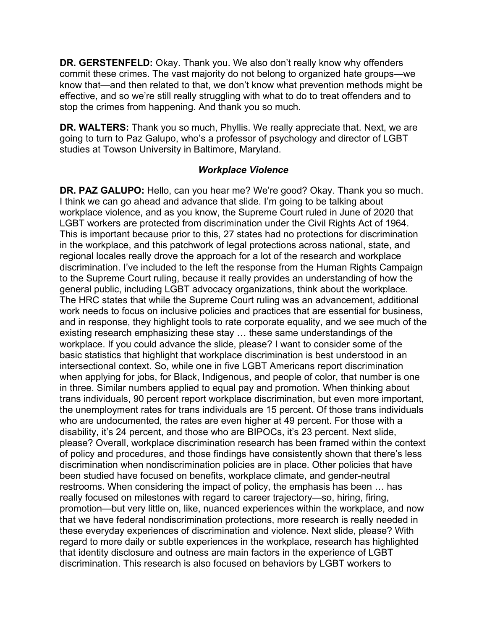**DR. GERSTENFELD:** Okay. Thank you. We also don't really know why offenders know that—and then related to that, we don't know what prevention methods might be commit these crimes. The vast majority do not belong to organized hate groups—we effective, and so we're still really struggling with what to do to treat offenders and to stop the crimes from happening. And thank you so much.

**DR. WALTERS:** Thank you so much, Phyllis. We really appreciate that. Next, we are going to turn to Paz Galupo, who's a professor of psychology and director of LGBT studies at Towson University in Baltimore, Maryland.

## *Workplace Violence*

**DR. PAZ GALUPO:** Hello, can you hear me? We're good? Okay. Thank you so much. I think we can go ahead and advance that slide. I'm going to be talking about workplace violence, and as you know, the Supreme Court ruled in June of 2020 that LGBT workers are protected from discrimination under the Civil Rights Act of 1964. This is important because prior to this, 27 states had no protections for discrimination in the workplace, and this patchwork of legal protections across national, state, and regional locales really drove the approach for a lot of the research and workplace discrimination. I've included to the left the response from the Human Rights Campaign to the Supreme Court ruling, because it really provides an understanding of how the general public, including LGBT advocacy organizations, think about the workplace. The HRC states that while the Supreme Court ruling was an advancement, additional work needs to focus on inclusive policies and practices that are essential for business, and in response, they highlight tools to rate corporate equality, and we see much of the existing research emphasizing these stay … these same understandings of the workplace. If you could advance the slide, please? I want to consider some of the basic statistics that highlight that workplace discrimination is best understood in an intersectional context. So, while one in five LGBT Americans report discrimination when applying for jobs, for Black, Indigenous, and people of color, that number is one in three. Similar numbers applied to equal pay and promotion. When thinking about trans individuals, 90 percent report workplace discrimination, but even more important, the unemployment rates for trans individuals are 15 percent. Of those trans individuals who are undocumented, the rates are even higher at 49 percent. For those with a disability, it's 24 percent, and those who are BIPOCs, it's 23 percent. Next slide, please? Overall, workplace discrimination research has been framed within the context of policy and procedures, and those findings have consistently shown that there's less discrimination when nondiscrimination policies are in place. Other policies that have been studied have focused on benefits, workplace climate, and gender-neutral restrooms. When considering the impact of policy, the emphasis has been … has really focused on milestones with regard to career trajectory—so, hiring, firing, promotion—but very little on, like, nuanced experiences within the workplace, and now that we have federal nondiscrimination protections, more research is really needed in these everyday experiences of discrimination and violence. Next slide, please? With regard to more daily or subtle experiences in the workplace, research has highlighted that identity disclosure and outness are main factors in the experience of LGBT discrimination. This research is also focused on behaviors by LGBT workers to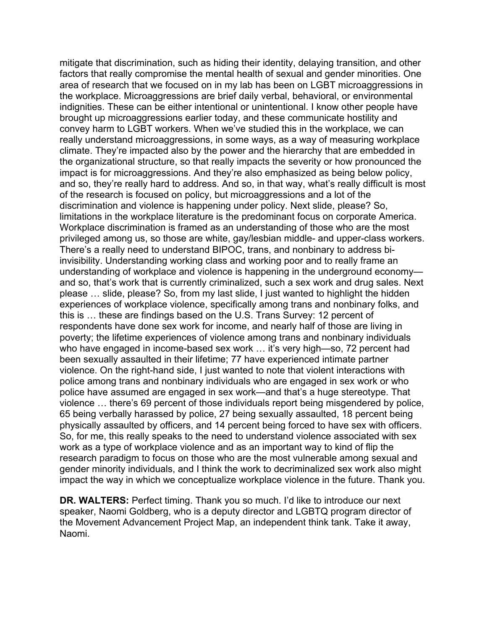mitigate that discrimination, such as hiding their identity, delaying transition, and other factors that really compromise the mental health of sexual and gender minorities. One area of research that we focused on in my lab has been on LGBT microaggressions in the workplace. Microaggressions are brief daily verbal, behavioral, or environmental indignities. These can be either intentional or unintentional. I know other people have brought up microaggressions earlier today, and these communicate hostility and convey harm to LGBT workers. When we've studied this in the workplace, we can really understand microaggressions, in some ways, as a way of measuring workplace climate. They're impacted also by the power and the hierarchy that are embedded in the organizational structure, so that really impacts the severity or how pronounced the impact is for microaggressions. And they're also emphasized as being below policy, and so, they're really hard to address. And so, in that way, what's really difficult is most of the research is focused on policy, but microaggressions and a lot of the discrimination and violence is happening under policy. Next slide, please? So, limitations in the workplace literature is the predominant focus on corporate America. Workplace discrimination is framed as an understanding of those who are the most privileged among us, so those are white, gay/lesbian middle- and upper-class workers. There's a really need to understand BIPOC, trans, and nonbinary to address biinvisibility. Understanding working class and working poor and to really frame an understanding of workplace and violence is happening in the underground economy and so, that's work that is currently criminalized, such a sex work and drug sales. Next please … slide, please? So, from my last slide, I just wanted to highlight the hidden experiences of workplace violence, specifically among trans and nonbinary folks, and this is … these are findings based on the U.S. Trans Survey: 12 percent of respondents have done sex work for income, and nearly half of those are living in poverty; the lifetime experiences of violence among trans and nonbinary individuals who have engaged in income-based sex work ... it's very high—so, 72 percent had been sexually assaulted in their lifetime; 77 have experienced intimate partner violence. On the right-hand side, I just wanted to note that violent interactions with police among trans and nonbinary individuals who are engaged in sex work or who police have assumed are engaged in sex work—and that's a huge stereotype. That violence … there's 69 percent of those individuals report being misgendered by police, 65 being verbally harassed by police, 27 being sexually assaulted, 18 percent being physically assaulted by officers, and 14 percent being forced to have sex with officers. So, for me, this really speaks to the need to understand violence associated with sex work as a type of workplace violence and as an important way to kind of flip the research paradigm to focus on those who are the most vulnerable among sexual and gender minority individuals, and I think the work to decriminalized sex work also might impact the way in which we conceptualize workplace violence in the future. Thank you.

**DR. WALTERS:** Perfect timing. Thank you so much. I'd like to introduce our next speaker, Naomi Goldberg, who is a deputy director and LGBTQ program director of the Movement Advancement Project Map, an independent think tank. Take it away, Naomi.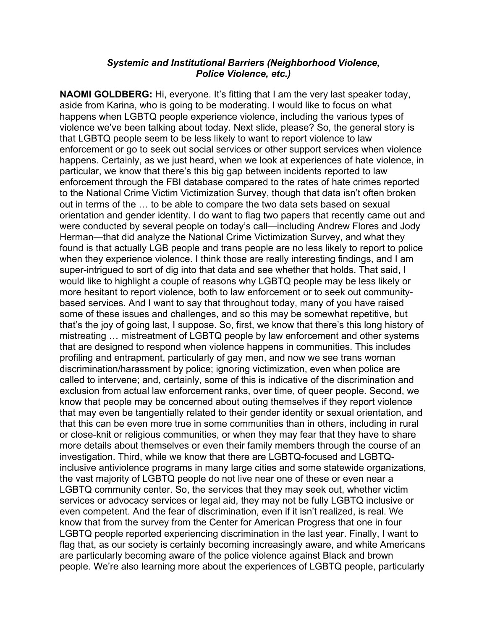## *Police Violence, etc.) Systemic and Institutional Barriers (Neighborhood Violence,*

**NAOMI GOLDBERG:** Hi, everyone. It's fitting that I am the very last speaker today, aside from Karina, who is going to be moderating. I would like to focus on what happens when LGBTQ people experience violence, including the various types of violence we've been talking about today. Next slide, please? So, the general story is that LGBTQ people seem to be less likely to want to report violence to law enforcement or go to seek out social services or other support services when violence happens. Certainly, as we just heard, when we look at experiences of hate violence, in particular, we know that there's this big gap between incidents reported to law enforcement through the FBI database compared to the rates of hate crimes reported to the National Crime Victim Victimization Survey, though that data isn't often broken out in terms of the … to be able to compare the two data sets based on sexual orientation and gender identity. I do want to flag two papers that recently came out and were conducted by several people on today's call—including Andrew Flores and Jody Herman—that did analyze the National Crime Victimization Survey, and what they found is that actually LGB people and trans people are no less likely to report to police when they experience violence. I think those are really interesting findings, and I am super-intrigued to sort of dig into that data and see whether that holds. That said, I would like to highlight a couple of reasons why LGBTQ people may be less likely or more hesitant to report violence, both to law enforcement or to seek out communitybased services. And I want to say that throughout today, many of you have raised some of these issues and challenges, and so this may be somewhat repetitive, but that's the joy of going last, I suppose. So, first, we know that there's this long history of mistreating … mistreatment of LGBTQ people by law enforcement and other systems that are designed to respond when violence happens in communities. This includes profiling and entrapment, particularly of gay men, and now we see trans woman discrimination/harassment by police; ignoring victimization, even when police are called to intervene; and, certainly, some of this is indicative of the discrimination and exclusion from actual law enforcement ranks, over time, of queer people. Second, we know that people may be concerned about outing themselves if they report violence that may even be tangentially related to their gender identity or sexual orientation, and that this can be even more true in some communities than in others, including in rural or close-knit or religious communities, or when they may fear that they have to share more details about themselves or even their family members through the course of an investigation. Third, while we know that there are LGBTQ-focused and LGBTQinclusive antiviolence programs in many large cities and some statewide organizations, the vast majority of LGBTQ people do not live near one of these or even near a LGBTQ community center. So, the services that they may seek out, whether victim services or advocacy services or legal aid, they may not be fully LGBTQ inclusive or even competent. And the fear of discrimination, even if it isn't realized, is real. We know that from the survey from the Center for American Progress that one in four LGBTQ people reported experiencing discrimination in the last year. Finally, I want to flag that, as our society is certainly becoming increasingly aware, and white Americans are particularly becoming aware of the police violence against Black and brown people. We're also learning more about the experiences of LGBTQ people, particularly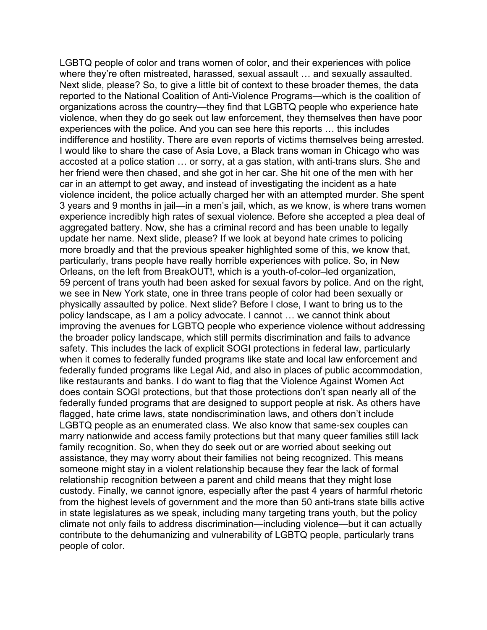LGBTQ people of color and trans women of color, and their experiences with police where they're often mistreated, harassed, sexual assault … and sexually assaulted. Next slide, please? So, to give a little bit of context to these broader themes, the data reported to the National Coalition of Anti-Violence Programs—which is the coalition of organizations across the country—they find that LGBTQ people who experience hate violence, when they do go seek out law enforcement, they themselves then have poor experiences with the police. And you can see here this reports … this includes indifference and hostility. There are even reports of victims themselves being arrested. I would like to share the case of Asia Love, a Black trans woman in Chicago who was accosted at a police station … or sorry, at a gas station, with anti-trans slurs. She and her friend were then chased, and she got in her car. She hit one of the men with her car in an attempt to get away, and instead of investigating the incident as a hate violence incident, the police actually charged her with an attempted murder. She spent 3 years and 9 months in jail—in a men's jail, which, as we know, is where trans women experience incredibly high rates of sexual violence. Before she accepted a plea deal of aggregated battery. Now, she has a criminal record and has been unable to legally update her name. Next slide, please? If we look at beyond hate crimes to policing more broadly and that the previous speaker highlighted some of this, we know that, particularly, trans people have really horrible experiences with police. So, in New Orleans, on the left from BreakOUT!, which is a youth-of-color–led organization, 59 percent of trans youth had been asked for sexual favors by police. And on the right, we see in New York state, one in three trans people of color had been sexually or physically assaulted by police. Next slide? Before I close, I want to bring us to the policy landscape, as I am a policy advocate. I cannot … we cannot think about improving the avenues for LGBTQ people who experience violence without addressing the broader policy landscape, which still permits discrimination and fails to advance safety. This includes the lack of explicit SOGI protections in federal law, particularly when it comes to federally funded programs like state and local law enforcement and federally funded programs like Legal Aid, and also in places of public accommodation, like restaurants and banks. I do want to flag that the Violence Against Women Act does contain SOGI protections, but that those protections don't span nearly all of the federally funded programs that are designed to support people at risk. As others have flagged, hate crime laws, state nondiscrimination laws, and others don't include LGBTQ people as an enumerated class. We also know that same-sex couples can marry nationwide and access family protections but that many queer families still lack family recognition. So, when they do seek out or are worried about seeking out assistance, they may worry about their families not being recognized. This means someone might stay in a violent relationship because they fear the lack of formal relationship recognition between a parent and child means that they might lose custody. Finally, we cannot ignore, especially after the past 4 years of harmful rhetoric from the highest levels of government and the more than 50 anti-trans state bills active in state legislatures as we speak, including many targeting trans youth, but the policy climate not only fails to address discrimination—including violence—but it can actually contribute to the dehumanizing and vulnerability of LGBTQ people, particularly trans people of color.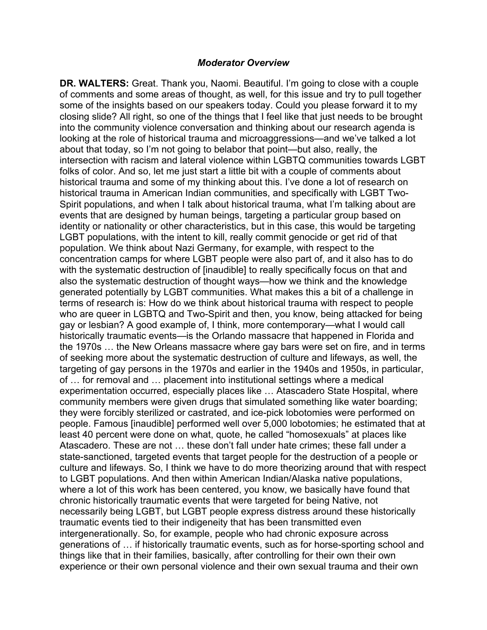#### *Moderator Overview*

**DR. WALTERS:** Great. Thank you, Naomi. Beautiful. I'm going to close with a couple of comments and some areas of thought, as well, for this issue and try to pull together some of the insights based on our speakers today. Could you please forward it to my closing slide? All right, so one of the things that I feel like that just needs to be brought into the community violence conversation and thinking about our research agenda is looking at the role of historical trauma and microaggressions—and we've talked a lot about that today, so I'm not going to belabor that point—but also, really, the intersection with racism and lateral violence within LGBTQ communities towards LGBT folks of color. And so, let me just start a little bit with a couple of comments about historical trauma and some of my thinking about this. I've done a lot of research on historical trauma in American Indian communities, and specifically with LGBT Two-Spirit populations, and when I talk about historical trauma, what I'm talking about are events that are designed by human beings, targeting a particular group based on identity or nationality or other characteristics, but in this case, this would be targeting LGBT populations, with the intent to kill, really commit genocide or get rid of that population. We think about Nazi Germany, for example, with respect to the concentration camps for where LGBT people were also part of, and it also has to do with the systematic destruction of [inaudible] to really specifically focus on that and also the systematic destruction of thought ways—how we think and the knowledge generated potentially by LGBT communities. What makes this a bit of a challenge in terms of research is: How do we think about historical trauma with respect to people who are queer in LGBTQ and Two-Spirit and then, you know, being attacked for being gay or lesbian? A good example of, I think, more contemporary—what I would call historically traumatic events—is the Orlando massacre that happened in Florida and the 1970s … the New Orleans massacre where gay bars were set on fire, and in terms of seeking more about the systematic destruction of culture and lifeways, as well, the targeting of gay persons in the 1970s and earlier in the 1940s and 1950s, in particular, of … for removal and … placement into institutional settings where a medical experimentation occurred, especially places like … Atascadero State Hospital, where community members were given drugs that simulated something like water boarding; they were forcibly sterilized or castrated, and ice-pick lobotomies were performed on people. Famous [inaudible] performed well over 5,000 lobotomies; he estimated that at least 40 percent were done on what, quote, he called "homosexuals" at places like Atascadero. These are not … these don't fall under hate crimes; these fall under a state-sanctioned, targeted events that target people for the destruction of a people or culture and lifeways. So, I think we have to do more theorizing around that with respect to LGBT populations. And then within American Indian/Alaska native populations, where a lot of this work has been centered, you know, we basically have found that chronic historically traumatic events that were targeted for being Native, not necessarily being LGBT, but LGBT people express distress around these historically traumatic events tied to their indigeneity that has been transmitted even intergenerationally. So, for example, people who had chronic exposure across generations of … if historically traumatic events, such as for horse-sporting school and things like that in their families, basically, after controlling for their own their own experience or their own personal violence and their own sexual trauma and their own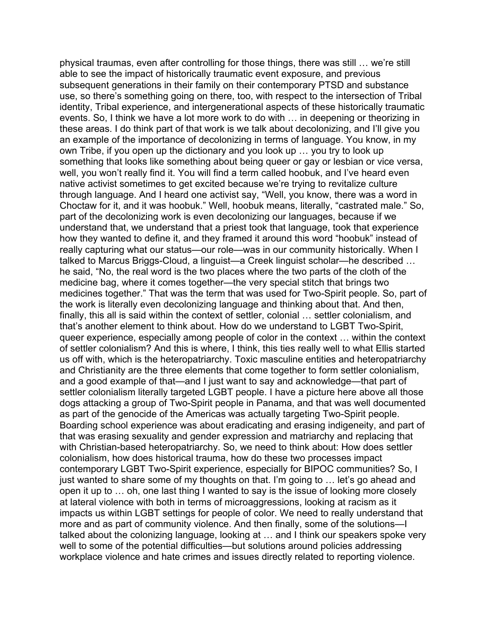physical traumas, even after controlling for those things, there was still … we're still able to see the impact of historically traumatic event exposure, and previous subsequent generations in their family on their contemporary PTSD and substance use, so there's something going on there, too, with respect to the intersection of Tribal identity, Tribal experience, and intergenerational aspects of these historically traumatic events. So, I think we have a lot more work to do with … in deepening or theorizing in these areas. I do think part of that work is we talk about decolonizing, and I'll give you an example of the importance of decolonizing in terms of language. You know, in my own Tribe, if you open up the dictionary and you look up … you try to look up something that looks like something about being queer or gay or lesbian or vice versa, well, you won't really find it. You will find a term called hoobuk, and I've heard even native activist sometimes to get excited because we're trying to revitalize culture through language. And I heard one activist say, "Well, you know, there was a word in Choctaw for it, and it was hoobuk." Well, hoobuk means, literally, "castrated male." So, part of the decolonizing work is even decolonizing our languages, because if we understand that, we understand that a priest took that language, took that experience how they wanted to define it, and they framed it around this word "hoobuk" instead of really capturing what our status—our role—was in our community historically. When I talked to Marcus Briggs-Cloud, a linguist—a Creek linguist scholar—he described … he said, "No, the real word is the two places where the two parts of the cloth of the medicine bag, where it comes together—the very special stitch that brings two medicines together." That was the term that was used for Two-Spirit people. So, part of the work is literally even decolonizing language and thinking about that. And then, finally, this all is said within the context of settler, colonial … settler colonialism, and that's another element to think about. How do we understand to LGBT Two-Spirit, queer experience, especially among people of color in the context … within the context of settler colonialism? And this is where, I think, this ties really well to what Ellis started us off with, which is the heteropatriarchy. Toxic masculine entities and heteropatriarchy and Christianity are the three elements that come together to form settler colonialism, and a good example of that—and I just want to say and acknowledge—that part of settler colonialism literally targeted LGBT people. I have a picture here above all those dogs attacking a group of Two-Spirit people in Panama, and that was well documented as part of the genocide of the Americas was actually targeting Two-Spirit people. Boarding school experience was about eradicating and erasing indigeneity, and part of that was erasing sexuality and gender expression and matriarchy and replacing that with Christian-based heteropatriarchy. So, we need to think about: How does settler colonialism, how does historical trauma, how do these two processes impact contemporary LGBT Two-Spirit experience, especially for BIPOC communities? So, I just wanted to share some of my thoughts on that. I'm going to … let's go ahead and open it up to … oh, one last thing I wanted to say is the issue of looking more closely at lateral violence with both in terms of microaggressions, looking at racism as it impacts us within LGBT settings for people of color. We need to really understand that more and as part of community violence. And then finally, some of the solutions—I talked about the colonizing language, looking at … and I think our speakers spoke very well to some of the potential difficulties—but solutions around policies addressing workplace violence and hate crimes and issues directly related to reporting violence.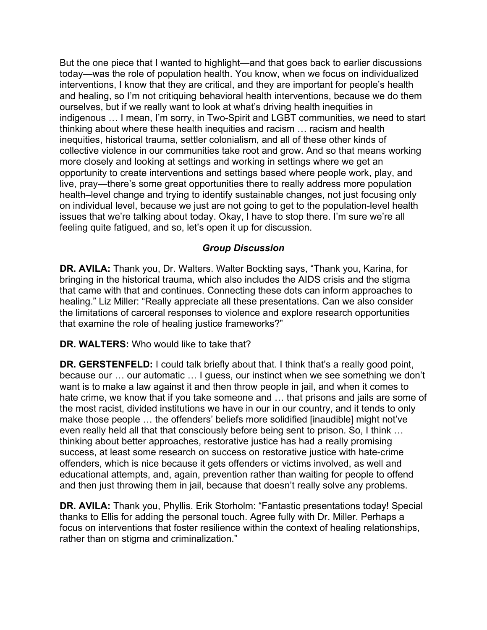and healing, so I'm not critiquing behavioral health interventions, because we do them live, pray—there's some great opportunities there to really address more population feeling quite fatigued, and so, let's open it up for discussion. But the one piece that I wanted to highlight—and that goes back to earlier discussions today—was the role of population health. You know, when we focus on individualized interventions, I know that they are critical, and they are important for people's health ourselves, but if we really want to look at what's driving health inequities in indigenous … I mean, I'm sorry, in Two-Spirit and LGBT communities, we need to start thinking about where these health inequities and racism … racism and health inequities, historical trauma, settler colonialism, and all of these other kinds of collective violence in our communities take root and grow. And so that means working more closely and looking at settings and working in settings where we get an opportunity to create interventions and settings based where people work, play, and health–level change and trying to identify sustainable changes, not just focusing only on individual level, because we just are not going to get to the population-level health issues that we're talking about today. Okay, I have to stop there. I'm sure we're all

## *Group Discussion*

 that examine the role of healing justice frameworks?" **DR. AVILA:** Thank you, Dr. Walters. Walter Bockting says, "Thank you, Karina, for bringing in the historical trauma, which also includes the AIDS crisis and the stigma that came with that and continues. Connecting these dots can inform approaches to healing." Liz Miller: "Really appreciate all these presentations. Can we also consider the limitations of carceral responses to violence and explore research opportunities

**DR. WALTERS:** Who would like to take that?

 **DR. GERSTENFELD:** I could talk briefly about that. I think that's a really good point, because our … our automatic … I guess, our instinct when we see something we don't the most racist, divided institutions we have in our in our country, and it tends to only want is to make a law against it and then throw people in jail, and when it comes to hate crime, we know that if you take someone and … that prisons and jails are some of make those people … the offenders' beliefs more solidified [inaudible] might not've even really held all that that consciously before being sent to prison. So, I think … thinking about better approaches, restorative justice has had a really promising success, at least some research on success on restorative justice with hate-crime offenders, which is nice because it gets offenders or victims involved, as well and educational attempts, and, again, prevention rather than waiting for people to offend and then just throwing them in jail, because that doesn't really solve any problems.

**DR. AVILA:** Thank you, Phyllis. Erik Storholm: "Fantastic presentations today! Special thanks to Ellis for adding the personal touch. Agree fully with Dr. Miller. Perhaps a focus on interventions that foster resilience within the context of healing relationships, rather than on stigma and criminalization."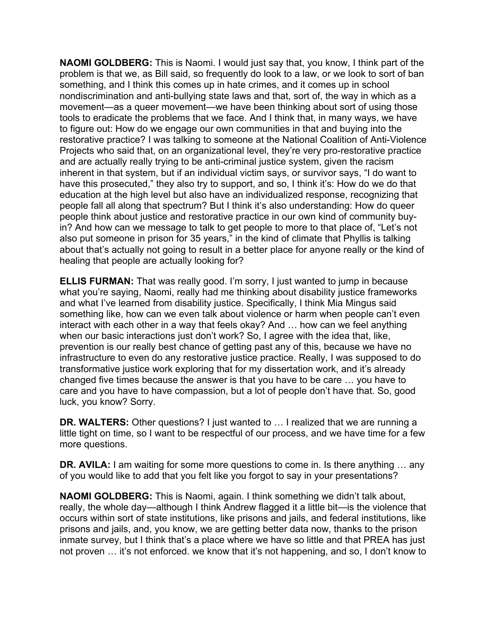**NAOMI GOLDBERG:** This is Naomi. I would just say that, you know, I think part of the problem is that we, as Bill said, so frequently do look to a law, or we look to sort of ban something, and I think this comes up in hate crimes, and it comes up in school nondiscrimination and anti-bullying state laws and that, sort of, the way in which as a movement—as a queer movement—we have been thinking about sort of using those tools to eradicate the problems that we face. And I think that, in many ways, we have to figure out: How do we engage our own communities in that and buying into the restorative practice? I was talking to someone at the National Coalition of Anti-Violence Projects who said that, on an organizational level, they're very pro-restorative practice and are actually really trying to be anti-criminal justice system, given the racism inherent in that system, but if an individual victim says, or survivor says, "I do want to have this prosecuted," they also try to support, and so, I think it's: How do we do that education at the high level but also have an individualized response, recognizing that people fall all along that spectrum? But I think it's also understanding: How do queer people think about justice and restorative practice in our own kind of community buyin? And how can we message to talk to get people to more to that place of, "Let's not also put someone in prison for 35 years," in the kind of climate that Phyllis is talking about that's actually not going to result in a better place for anyone really or the kind of healing that people are actually looking for?

**ELLIS FURMAN:** That was really good. I'm sorry, I just wanted to jump in because what you're saying, Naomi, really had me thinking about disability justice frameworks and what I've learned from disability justice. Specifically, I think Mia Mingus said something like, how can we even talk about violence or harm when people can't even interact with each other in a way that feels okay? And … how can we feel anything when our basic interactions just don't work? So, I agree with the idea that, like, prevention is our really best chance of getting past any of this, because we have no infrastructure to even do any restorative justice practice. Really, I was supposed to do transformative justice work exploring that for my dissertation work, and it's already changed five times because the answer is that you have to be care … you have to care and you have to have compassion, but a lot of people don't have that. So, good luck, you know? Sorry.

**DR. WALTERS:** Other questions? I just wanted to … I realized that we are running a little tight on time, so I want to be respectful of our process, and we have time for a few more questions.

**DR. AVILA:** I am waiting for some more questions to come in. Is there anything ... any of you would like to add that you felt like you forgot to say in your presentations?

**NAOMI GOLDBERG:** This is Naomi, again. I think something we didn't talk about, really, the whole day—although I think Andrew flagged it a little bit—is the violence that occurs within sort of state institutions, like prisons and jails, and federal institutions, like prisons and jails, and, you know, we are getting better data now, thanks to the prison inmate survey, but I think that's a place where we have so little and that PREA has just not proven … it's not enforced. we know that it's not happening, and so, I don't know to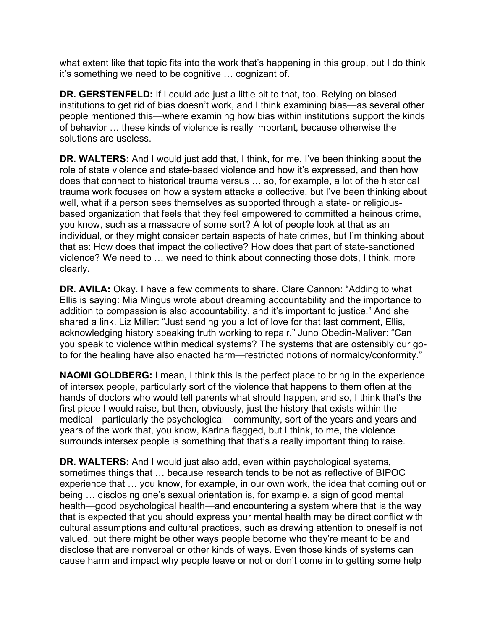what extent like that topic fits into the work that's happening in this group, but I do think it's something we need to be cognitive … cognizant of.

**DR. GERSTENFELD:** If I could add just a little bit to that, too. Relying on biased institutions to get rid of bias doesn't work, and I think examining bias—as several other people mentioned this—where examining how bias within institutions support the kinds of behavior … these kinds of violence is really important, because otherwise the solutions are useless.

 **DR. WALTERS:** And I would just add that, I think, for me, I've been thinking about the role of state violence and state-based violence and how it's expressed, and then how trauma work focuses on how a system attacks a collective, but I've been thinking about you know, such as a massacre of some sort? A lot of people look at that as an individual, or they might consider certain aspects of hate crimes, but I'm thinking about does that connect to historical trauma versus … so, for example, a lot of the historical well, what if a person sees themselves as supported through a state- or religiousbased organization that feels that they feel empowered to committed a heinous crime, that as: How does that impact the collective? How does that part of state-sanctioned violence? We need to … we need to think about connecting those dots, I think, more clearly.

**DR. AVILA:** Okay. I have a few comments to share. Clare Cannon: "Adding to what Ellis is saying: Mia Mingus wrote about dreaming accountability and the importance to addition to compassion is also accountability, and it's important to justice." And she shared a link. Liz Miller: "Just sending you a lot of love for that last comment, Ellis, acknowledging history speaking truth working to repair." Juno Obedin-Maliver: "Can you speak to violence within medical systems? The systems that are ostensibly our goto for the healing have also enacted harm—restricted notions of normalcy/conformity."

**NAOMI GOLDBERG:** I mean, I think this is the perfect place to bring in the experience of intersex people, particularly sort of the violence that happens to them often at the hands of doctors who would tell parents what should happen, and so, I think that's the first piece I would raise, but then, obviously, just the history that exists within the medical—particularly the psychological—community, sort of the years and years and years of the work that, you know, Karina flagged, but I think, to me, the violence surrounds intersex people is something that that's a really important thing to raise.

 health—good psychological health—and encountering a system where that is the way cause harm and impact why people leave or not or don't come in to getting some help **DR. WALTERS:** And I would just also add, even within psychological systems, sometimes things that … because research tends to be not as reflective of BIPOC experience that … you know, for example, in our own work, the idea that coming out or being … disclosing one's sexual orientation is, for example, a sign of good mental that is expected that you should express your mental health may be direct conflict with cultural assumptions and cultural practices, such as drawing attention to oneself is not valued, but there might be other ways people become who they're meant to be and disclose that are nonverbal or other kinds of ways. Even those kinds of systems can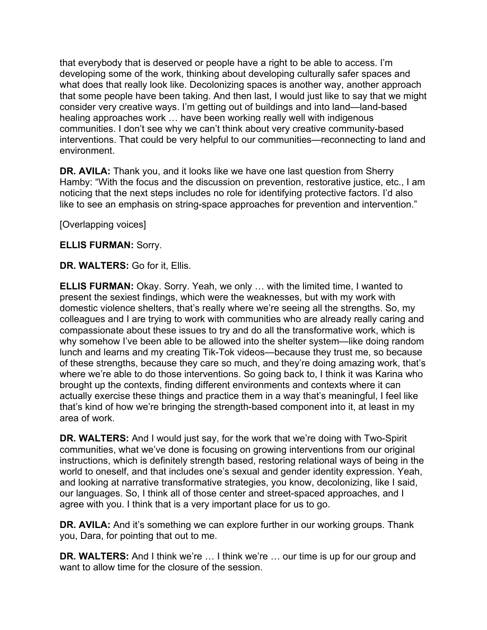that everybody that is deserved or people have a right to be able to access. I'm developing some of the work, thinking about developing culturally safer spaces and what does that really look like. Decolonizing spaces is another way, another approach that some people have been taking. And then last, I would just like to say that we might consider very creative ways. I'm getting out of buildings and into land—land-based healing approaches work … have been working really well with indigenous communities. I don't see why we can't think about very creative community-based interventions. That could be very helpful to our communities—reconnecting to land and environment.

**DR. AVILA:** Thank you, and it looks like we have one last question from Sherry Hamby: "With the focus and the discussion on prevention, restorative justice, etc., I am noticing that the next steps includes no role for identifying protective factors. I'd also like to see an emphasis on string-space approaches for prevention and intervention."

[Overlapping voices]

## **ELLIS FURMAN:** Sorry.

**DR. WALTERS:** Go for it, Ellis.

**ELLIS FURMAN:** Okay. Sorry. Yeah, we only … with the limited time, I wanted to present the sexiest findings, which were the weaknesses, but with my work with domestic violence shelters, that's really where we're seeing all the strengths. So, my colleagues and I are trying to work with communities who are already really caring and compassionate about these issues to try and do all the transformative work, which is why somehow I've been able to be allowed into the shelter system—like doing random lunch and learns and my creating Tik-Tok videos—because they trust me, so because of these strengths, because they care so much, and they're doing amazing work, that's where we're able to do those interventions. So going back to, I think it was Karina who brought up the contexts, finding different environments and contexts where it can actually exercise these things and practice them in a way that's meaningful, I feel like that's kind of how we're bringing the strength-based component into it, at least in my area of work.

 communities, what we've done is focusing on growing interventions from our original **DR. WALTERS:** And I would just say, for the work that we're doing with Two-Spirit instructions, which is definitely strength based, restoring relational ways of being in the world to oneself, and that includes one's sexual and gender identity expression. Yeah, and looking at narrative transformative strategies, you know, decolonizing, like I said, our languages. So, I think all of those center and street-spaced approaches, and I agree with you. I think that is a very important place for us to go.

**DR. AVILA:** And it's something we can explore further in our working groups. Thank you, Dara, for pointing that out to me.

**DR. WALTERS:** And I think we're ... I think we're ... our time is up for our group and want to allow time for the closure of the session.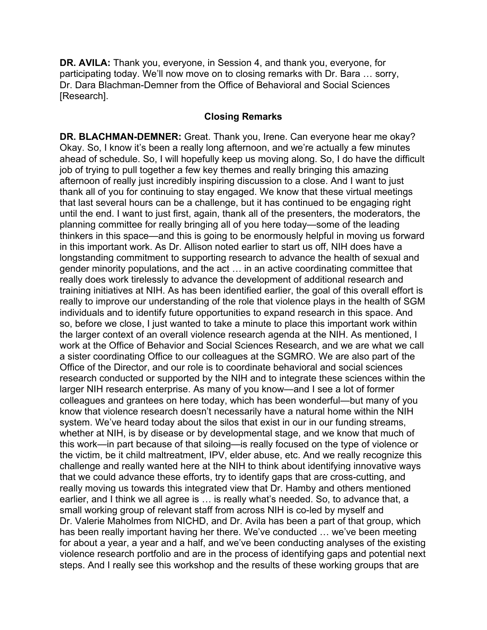participating today. We'll now move on to closing remarks with Dr. Bara … sorry, **DR. AVILA:** Thank you, everyone, in Session 4, and thank you, everyone, for Dr. Dara Blachman-Demner from the Office of Behavioral and Social Sciences [Research].

### **Closing Remarks**

**DR. BLACHMAN-DEMNER:** Great. Thank you, Irene. Can everyone hear me okay? Okay. So, I know it's been a really long afternoon, and we're actually a few minutes ahead of schedule. So, I will hopefully keep us moving along. So, I do have the difficult job of trying to pull together a few key themes and really bringing this amazing afternoon of really just incredibly inspiring discussion to a close. And I want to just thank all of you for continuing to stay engaged. We know that these virtual meetings that last several hours can be a challenge, but it has continued to be engaging right until the end. I want to just first, again, thank all of the presenters, the moderators, the planning committee for really bringing all of you here today—some of the leading thinkers in this space—and this is going to be enormously helpful in moving us forward in this important work. As Dr. Allison noted earlier to start us off, NIH does have a longstanding commitment to supporting research to advance the health of sexual and gender minority populations, and the act … in an active coordinating committee that really does work tirelessly to advance the development of additional research and training initiatives at NIH. As has been identified earlier, the goal of this overall effort is really to improve our understanding of the role that violence plays in the health of SGM individuals and to identify future opportunities to expand research in this space. And so, before we close, I just wanted to take a minute to place this important work within the larger context of an overall violence research agenda at the NIH. As mentioned, I work at the Office of Behavior and Social Sciences Research, and we are what we call a sister coordinating Office to our colleagues at the SGMRO. We are also part of the Office of the Director, and our role is to coordinate behavioral and social sciences research conducted or supported by the NIH and to integrate these sciences within the larger NIH research enterprise. As many of you know—and I see a lot of former colleagues and grantees on here today, which has been wonderful—but many of you know that violence research doesn't necessarily have a natural home within the NIH system. We've heard today about the silos that exist in our in our funding streams, whether at NIH, is by disease or by developmental stage, and we know that much of this work—in part because of that siloing—is really focused on the type of violence or the victim, be it child maltreatment, IPV, elder abuse, etc. And we really recognize this challenge and really wanted here at the NIH to think about identifying innovative ways that we could advance these efforts, try to identify gaps that are cross-cutting, and really moving us towards this integrated view that Dr. Hamby and others mentioned earlier, and I think we all agree is ... is really what's needed. So, to advance that, a small working group of relevant staff from across NIH is co-led by myself and Dr. Valerie Maholmes from NICHD, and Dr. Avila has been a part of that group, which has been really important having her there. We've conducted … we've been meeting for about a year, a year and a half, and we've been conducting analyses of the existing violence research portfolio and are in the process of identifying gaps and potential next steps. And I really see this workshop and the results of these working groups that are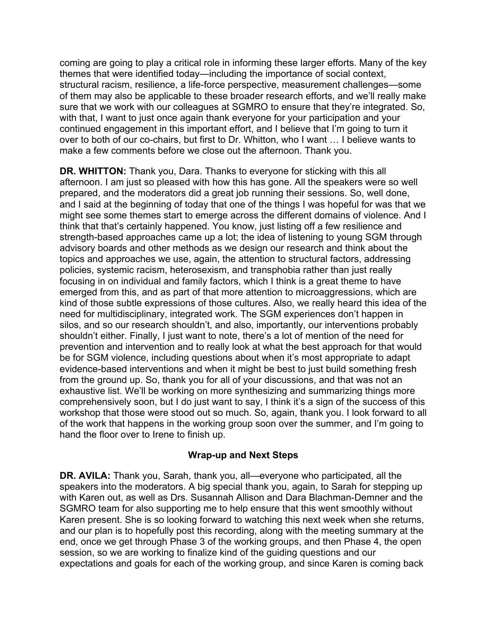coming are going to play a critical role in informing these larger efforts. Many of the key with that, I want to just once again thank everyone for your participation and your themes that were identified today—including the importance of social context, structural racism, resilience, a life-force perspective, measurement challenges—some of them may also be applicable to these broader research efforts, and we'll really make sure that we work with our colleagues at SGMRO to ensure that they're integrated. So, continued engagement in this important effort, and I believe that I'm going to turn it over to both of our co-chairs, but first to Dr. Whitton, who I want … I believe wants to make a few comments before we close out the afternoon. Thank you.

**DR. WHITTON:** Thank you, Dara. Thanks to everyone for sticking with this all afternoon. I am just so pleased with how this has gone. All the speakers were so well prepared, and the moderators did a great job running their sessions. So, well done, and I said at the beginning of today that one of the things I was hopeful for was that we might see some themes start to emerge across the different domains of violence. And I think that that's certainly happened. You know, just listing off a few resilience and strength-based approaches came up a lot; the idea of listening to young SGM through advisory boards and other methods as we design our research and think about the topics and approaches we use, again, the attention to structural factors, addressing policies, systemic racism, heterosexism, and transphobia rather than just really focusing in on individual and family factors, which I think is a great theme to have emerged from this, and as part of that more attention to microaggressions, which are kind of those subtle expressions of those cultures. Also, we really heard this idea of the need for multidisciplinary, integrated work. The SGM experiences don't happen in silos, and so our research shouldn't, and also, importantly, our interventions probably shouldn't either. Finally, I just want to note, there's a lot of mention of the need for prevention and intervention and to really look at what the best approach for that would be for SGM violence, including questions about when it's most appropriate to adapt evidence-based interventions and when it might be best to just build something fresh from the ground up. So, thank you for all of your discussions, and that was not an exhaustive list. We'll be working on more synthesizing and summarizing things more comprehensively soon, but I do just want to say, I think it's a sign of the success of this workshop that those were stood out so much. So, again, thank you. I look forward to all of the work that happens in the working group soon over the summer, and I'm going to hand the floor over to Irene to finish up.

## **Wrap-up and Next Steps**

 speakers into the moderators. A big special thank you, again, to Sarah for stepping up **DR. AVILA:** Thank you, Sarah, thank you, all—everyone who participated, all the with Karen out, as well as Drs. Susannah Allison and Dara Blachman-Demner and the SGMRO team for also supporting me to help ensure that this went smoothly without Karen present. She is so looking forward to watching this next week when she returns, and our plan is to hopefully post this recording, along with the meeting summary at the end, once we get through Phase 3 of the working groups, and then Phase 4, the open session, so we are working to finalize kind of the guiding questions and our expectations and goals for each of the working group, and since Karen is coming back